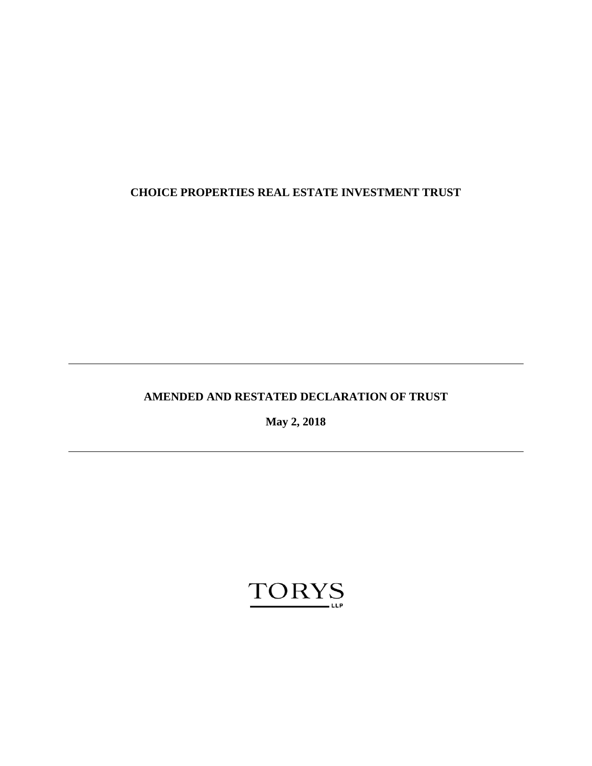# **CHOICE PROPERTIES REAL ESTATE INVESTMENT TRUST**

# **AMENDED AND RESTATED DECLARATION OF TRUST**

**May 2, 2018**

# **TORYS**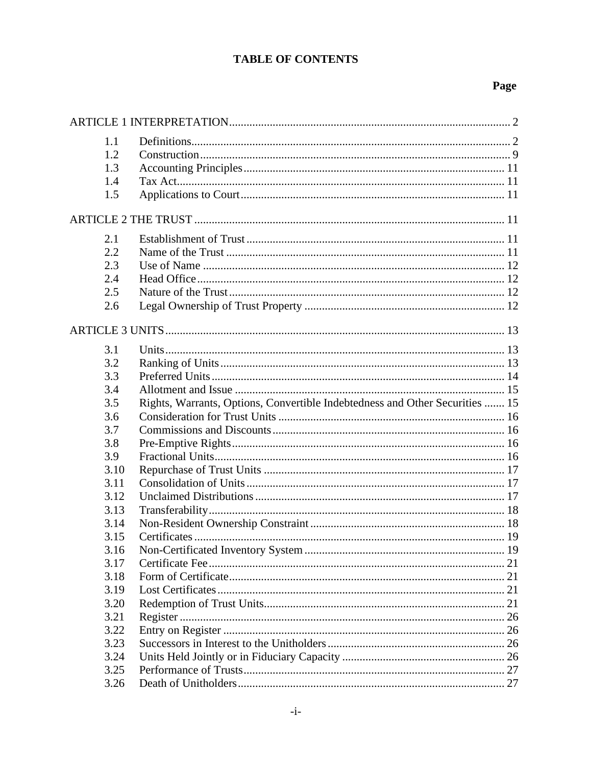# **TABLE OF CONTENTS**

| 1.1  |                                                                              |  |
|------|------------------------------------------------------------------------------|--|
| 1.2  |                                                                              |  |
| 1.3  |                                                                              |  |
| 1.4  |                                                                              |  |
| 1.5  |                                                                              |  |
|      |                                                                              |  |
| 2.1  |                                                                              |  |
| 2.2  |                                                                              |  |
| 2.3  |                                                                              |  |
| 2.4  |                                                                              |  |
| 2.5  |                                                                              |  |
| 2.6  |                                                                              |  |
|      |                                                                              |  |
|      |                                                                              |  |
| 3.1  |                                                                              |  |
| 3.2  |                                                                              |  |
| 3.3  |                                                                              |  |
| 3.4  |                                                                              |  |
| 3.5  | Rights, Warrants, Options, Convertible Indebtedness and Other Securities  15 |  |
| 3.6  |                                                                              |  |
| 3.7  |                                                                              |  |
| 3.8  |                                                                              |  |
| 3.9  |                                                                              |  |
| 3.10 |                                                                              |  |
| 3.11 |                                                                              |  |
| 3.12 |                                                                              |  |
| 3.13 |                                                                              |  |
| 3.14 |                                                                              |  |
| 3.15 |                                                                              |  |
| 3.16 |                                                                              |  |
| 3.17 |                                                                              |  |
| 3.18 |                                                                              |  |
| 3.19 |                                                                              |  |
| 3.20 |                                                                              |  |
| 3.21 |                                                                              |  |
| 3.22 |                                                                              |  |
| 3.23 |                                                                              |  |
| 3.24 |                                                                              |  |
| 3.25 |                                                                              |  |
| 3.26 |                                                                              |  |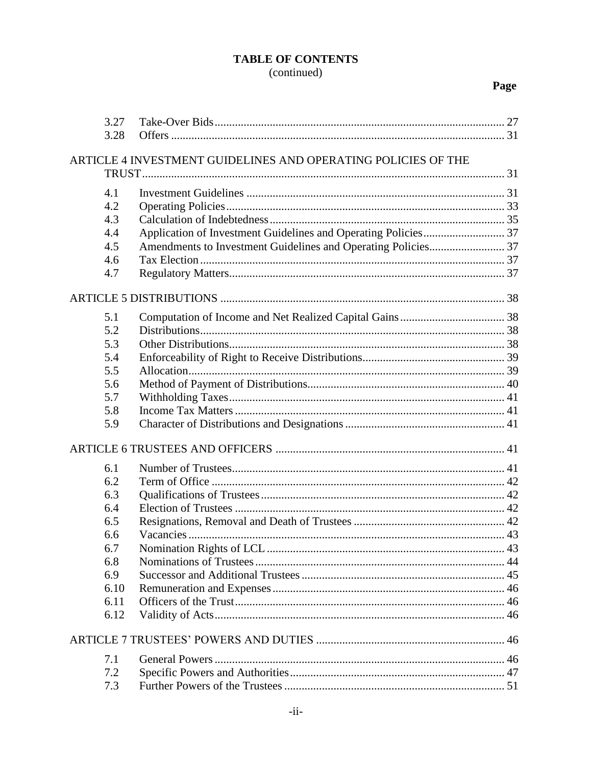| 3.28<br>ARTICLE 4 INVESTMENT GUIDELINES AND OPERATING POLICIES OF THE<br>4.1<br>4.2<br>4.3<br>4.4<br>4.5<br>4.6<br>4.7 |
|------------------------------------------------------------------------------------------------------------------------|
|                                                                                                                        |
|                                                                                                                        |
|                                                                                                                        |
|                                                                                                                        |
|                                                                                                                        |
|                                                                                                                        |
|                                                                                                                        |
|                                                                                                                        |
|                                                                                                                        |
|                                                                                                                        |
|                                                                                                                        |
| 5.1                                                                                                                    |
| 5.2                                                                                                                    |
| 5.3                                                                                                                    |
| 5.4                                                                                                                    |
| 5.5                                                                                                                    |
| 5.6                                                                                                                    |
| 5.7                                                                                                                    |
| 5.8                                                                                                                    |
| 5.9                                                                                                                    |
|                                                                                                                        |
| 6.1                                                                                                                    |
| 6.2                                                                                                                    |
| 6.3                                                                                                                    |
| 6.4                                                                                                                    |
| 6.5                                                                                                                    |
| 6.6                                                                                                                    |
| 6.7                                                                                                                    |
| 6.8                                                                                                                    |
| 6.9                                                                                                                    |
| 6.10                                                                                                                   |
| 6.11                                                                                                                   |
| 6.12                                                                                                                   |
|                                                                                                                        |
| 7.1                                                                                                                    |
| 7.2                                                                                                                    |
| 7.3                                                                                                                    |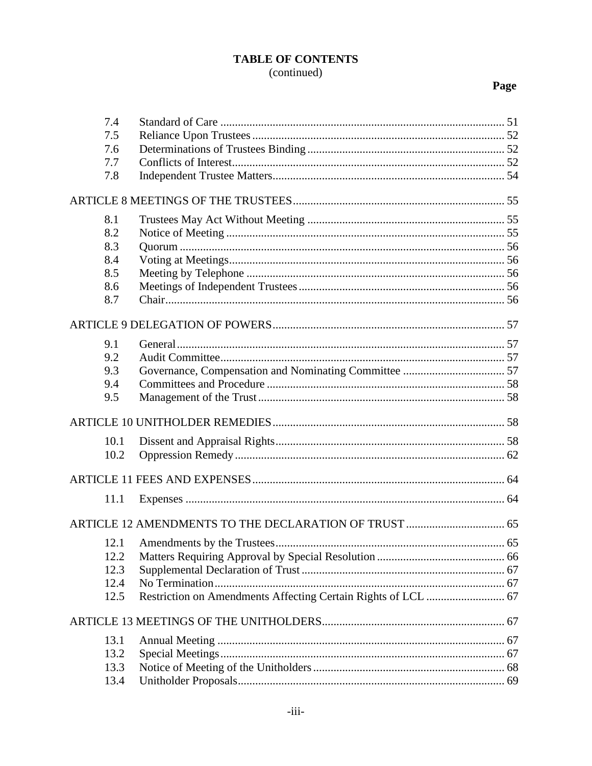| 7.4  |  |
|------|--|
| 7.5  |  |
| 7.6  |  |
| 7.7  |  |
| 7.8  |  |
|      |  |
| 8.1  |  |
| 8.2  |  |
| 8.3  |  |
| 8.4  |  |
| 8.5  |  |
| 8.6  |  |
| 8.7  |  |
|      |  |
| 9.1  |  |
| 9.2  |  |
| 9.3  |  |
| 9.4  |  |
| 9.5  |  |
|      |  |
| 10.1 |  |
| 10.2 |  |
|      |  |
|      |  |
| 11.1 |  |
|      |  |
| 12.1 |  |
| 12.2 |  |
| 12.3 |  |
| 12.4 |  |
| 12.5 |  |
|      |  |
| 13.1 |  |
| 13.2 |  |
| 13.3 |  |
| 13.4 |  |
|      |  |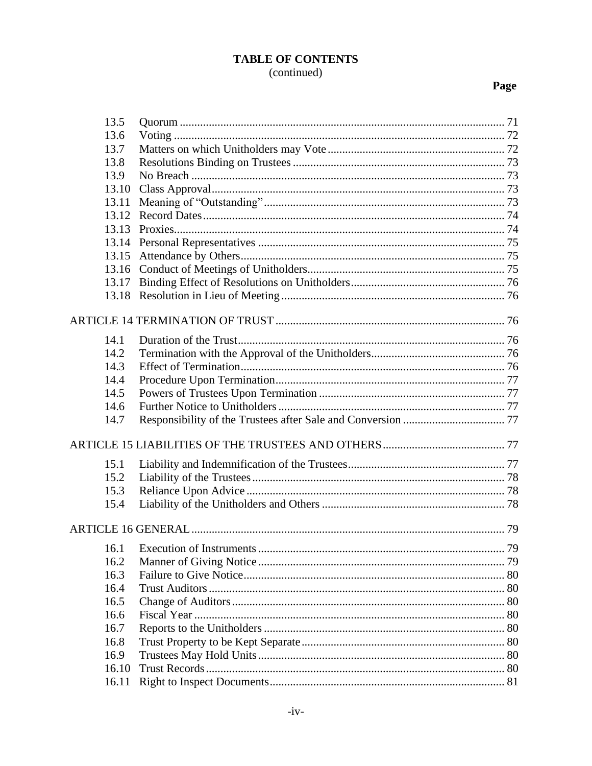| 13.5 |       |    |
|------|-------|----|
| 13.6 |       |    |
| 13.7 |       |    |
| 13.8 |       |    |
| 13.9 |       |    |
|      | 13.10 |    |
|      | 13.11 |    |
|      | 13.12 |    |
|      | 13.13 |    |
|      | 13.14 |    |
|      | 13.15 |    |
|      |       |    |
|      | 13.17 |    |
|      | 13.18 |    |
|      |       |    |
|      |       |    |
| 14.1 |       |    |
| 14.2 |       |    |
| 14.3 |       |    |
| 14.4 |       |    |
| 14.5 |       |    |
| 14.6 |       |    |
| 14.7 |       |    |
|      |       |    |
|      |       |    |
| 15.1 |       |    |
| 15.2 |       |    |
| 15.3 |       |    |
| 15.4 |       |    |
|      |       |    |
|      |       | 79 |
| 16.2 |       |    |
| 16.3 |       |    |
| 16.4 |       |    |
| 16.5 |       |    |
| 16.6 |       |    |
| 16.7 |       |    |
| 16.8 |       |    |
| 16.9 |       |    |
|      | 16.10 |    |
|      | 16.11 |    |
|      |       |    |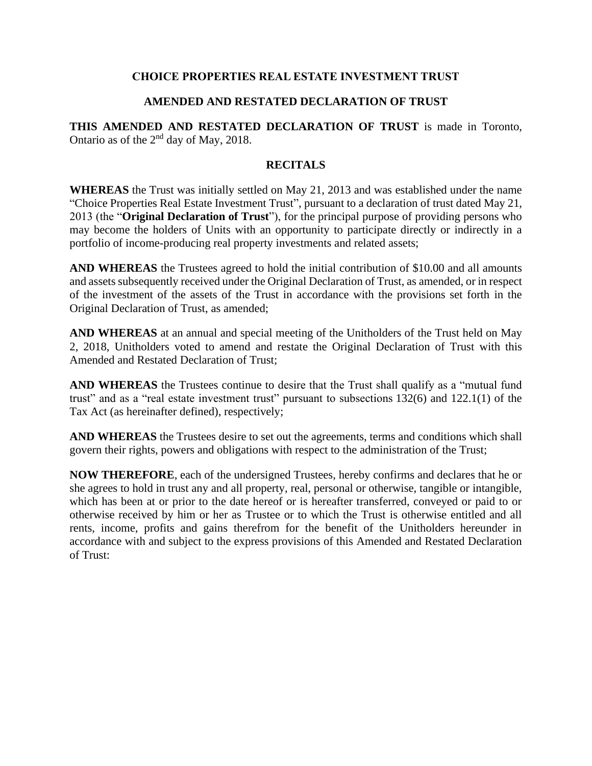## **CHOICE PROPERTIES REAL ESTATE INVESTMENT TRUST**

## **AMENDED AND RESTATED DECLARATION OF TRUST**

**THIS AMENDED AND RESTATED DECLARATION OF TRUST** is made in Toronto, Ontario as of the  $2<sup>nd</sup>$  day of May, 2018.

## **RECITALS**

**WHEREAS** the Trust was initially settled on May 21, 2013 and was established under the name "Choice Properties Real Estate Investment Trust", pursuant to a declaration of trust dated May 21, 2013 (the "**Original Declaration of Trust**"), for the principal purpose of providing persons who may become the holders of Units with an opportunity to participate directly or indirectly in a portfolio of income-producing real property investments and related assets;

**AND WHEREAS** the Trustees agreed to hold the initial contribution of \$10.00 and all amounts and assets subsequently received under the Original Declaration of Trust, as amended, or in respect of the investment of the assets of the Trust in accordance with the provisions set forth in the Original Declaration of Trust, as amended;

**AND WHEREAS** at an annual and special meeting of the Unitholders of the Trust held on May 2, 2018, Unitholders voted to amend and restate the Original Declaration of Trust with this Amended and Restated Declaration of Trust;

**AND WHEREAS** the Trustees continue to desire that the Trust shall qualify as a "mutual fund trust" and as a "real estate investment trust" pursuant to subsections 132(6) and 122.1(1) of the Tax Act (as hereinafter defined), respectively;

**AND WHEREAS** the Trustees desire to set out the agreements, terms and conditions which shall govern their rights, powers and obligations with respect to the administration of the Trust;

**NOW THEREFORE**, each of the undersigned Trustees, hereby confirms and declares that he or she agrees to hold in trust any and all property, real, personal or otherwise, tangible or intangible, which has been at or prior to the date hereof or is hereafter transferred, conveyed or paid to or otherwise received by him or her as Trustee or to which the Trust is otherwise entitled and all rents, income, profits and gains therefrom for the benefit of the Unitholders hereunder in accordance with and subject to the express provisions of this Amended and Restated Declaration of Trust: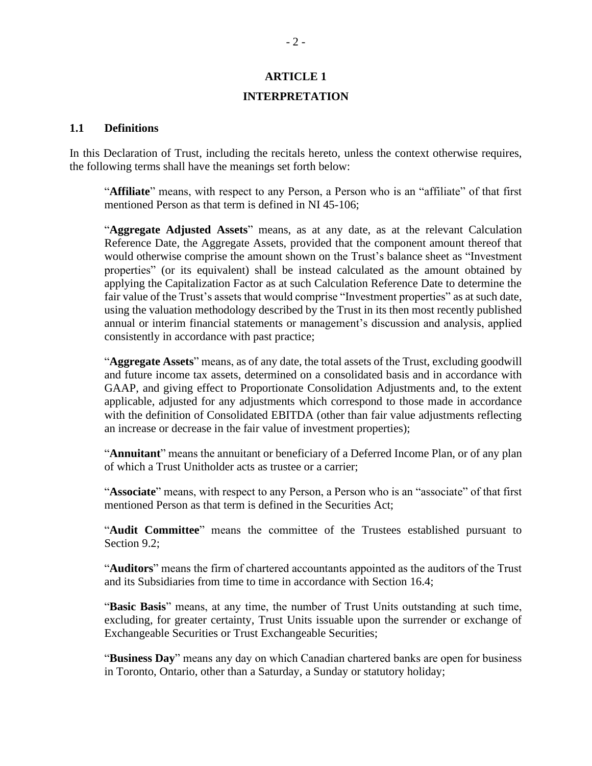# **ARTICLE 1 INTERPRETATION**

#### <span id="page-7-1"></span><span id="page-7-0"></span>**1.1 Definitions**

In this Declaration of Trust, including the recitals hereto, unless the context otherwise requires, the following terms shall have the meanings set forth below:

"**Affiliate**" means, with respect to any Person, a Person who is an "affiliate" of that first mentioned Person as that term is defined in NI 45-106;

"**Aggregate Adjusted Assets**" means, as at any date, as at the relevant Calculation Reference Date, the Aggregate Assets, provided that the component amount thereof that would otherwise comprise the amount shown on the Trust's balance sheet as "Investment properties" (or its equivalent) shall be instead calculated as the amount obtained by applying the Capitalization Factor as at such Calculation Reference Date to determine the fair value of the Trust's assets that would comprise "Investment properties" as at such date, using the valuation methodology described by the Trust in its then most recently published annual or interim financial statements or management's discussion and analysis, applied consistently in accordance with past practice;

"**Aggregate Assets**" means, as of any date, the total assets of the Trust, excluding goodwill and future income tax assets, determined on a consolidated basis and in accordance with GAAP, and giving effect to Proportionate Consolidation Adjustments and, to the extent applicable, adjusted for any adjustments which correspond to those made in accordance with the definition of Consolidated EBITDA (other than fair value adjustments reflecting an increase or decrease in the fair value of investment properties);

"**Annuitant**" means the annuitant or beneficiary of a Deferred Income Plan, or of any plan of which a Trust Unitholder acts as trustee or a carrier;

"**Associate**" means, with respect to any Person, a Person who is an "associate" of that first mentioned Person as that term is defined in the Securities Act;

"**Audit Committee**" means the committee of the Trustees established pursuant to Section 9.2:

"**Auditors**" means the firm of chartered accountants appointed as the auditors of the Trust and its Subsidiaries from time to time in accordance with Section [16.4;](#page-85-1)

"**Basic Basis**" means, at any time, the number of Trust Units outstanding at such time, excluding, for greater certainty, Trust Units issuable upon the surrender or exchange of Exchangeable Securities or Trust Exchangeable Securities;

"**Business Day**" means any day on which Canadian chartered banks are open for business in Toronto, Ontario, other than a Saturday, a Sunday or statutory holiday;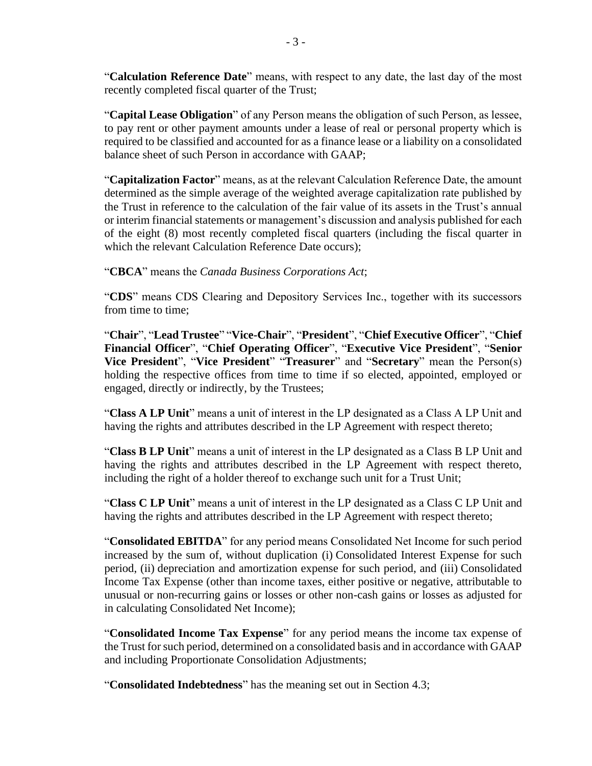"**Calculation Reference Date**" means, with respect to any date, the last day of the most recently completed fiscal quarter of the Trust;

"**Capital Lease Obligation**" of any Person means the obligation of such Person, as lessee, to pay rent or other payment amounts under a lease of real or personal property which is required to be classified and accounted for as a finance lease or a liability on a consolidated balance sheet of such Person in accordance with GAAP;

"**Capitalization Factor**" means, as at the relevant Calculation Reference Date, the amount determined as the simple average of the weighted average capitalization rate published by the Trust in reference to the calculation of the fair value of its assets in the Trust's annual or interim financial statements or management's discussion and analysis published for each of the eight (8) most recently completed fiscal quarters (including the fiscal quarter in which the relevant Calculation Reference Date occurs);

"**CBCA**" means the *Canada Business Corporations Act*;

"**CDS**" means CDS Clearing and Depository Services Inc., together with its successors from time to time;

"**Chair**", "**Lead Trustee**" "**Vice-Chair**", "**President**", "**Chief Executive Officer**", "**Chief Financial Officer**", "**Chief Operating Officer**", "**Executive Vice President**", "**Senior Vice President**", "**Vice President**" "**Treasurer**" and "**Secretary**" mean the Person(s) holding the respective offices from time to time if so elected, appointed, employed or engaged, directly or indirectly, by the Trustees;

"**Class A LP Unit**" means a unit of interest in the LP designated as a Class A LP Unit and having the rights and attributes described in the LP Agreement with respect thereto;

"**Class B LP Unit**" means a unit of interest in the LP designated as a Class B LP Unit and having the rights and attributes described in the LP Agreement with respect thereto, including the right of a holder thereof to exchange such unit for a Trust Unit;

"**Class C LP Unit**" means a unit of interest in the LP designated as a Class C LP Unit and having the rights and attributes described in the LP Agreement with respect thereto;

"**Consolidated EBITDA**" for any period means Consolidated Net Income for such period increased by the sum of, without duplication (i) Consolidated Interest Expense for such period, (ii) depreciation and amortization expense for such period, and (iii) Consolidated Income Tax Expense (other than income taxes, either positive or negative, attributable to unusual or non-recurring gains or losses or other non-cash gains or losses as adjusted for in calculating Consolidated Net Income);

"**Consolidated Income Tax Expense**" for any period means the income tax expense of the Trust for such period, determined on a consolidated basis and in accordance with GAAP and including Proportionate Consolidation Adjustments;

"**Consolidated Indebtedness**" has the meaning set out in Section [4.3;](#page-40-0)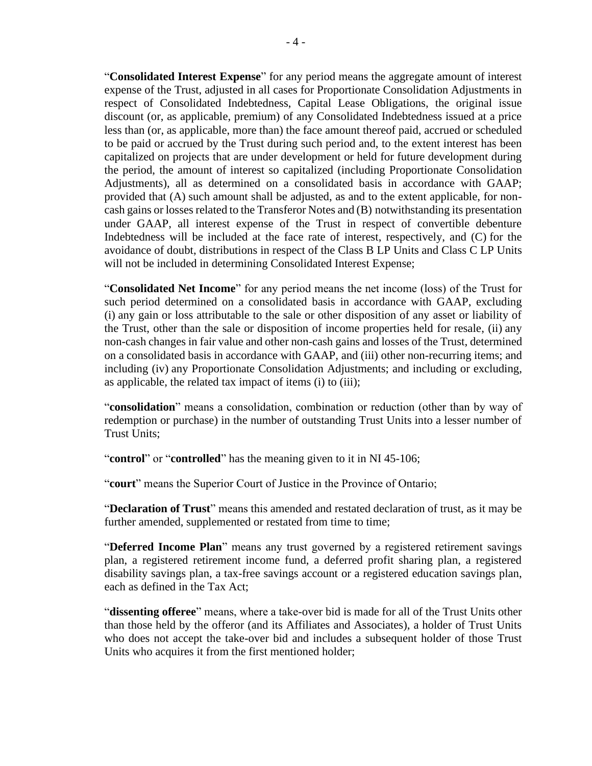"**Consolidated Interest Expense**" for any period means the aggregate amount of interest expense of the Trust, adjusted in all cases for Proportionate Consolidation Adjustments in respect of Consolidated Indebtedness, Capital Lease Obligations, the original issue discount (or, as applicable, premium) of any Consolidated Indebtedness issued at a price less than (or, as applicable, more than) the face amount thereof paid, accrued or scheduled to be paid or accrued by the Trust during such period and, to the extent interest has been capitalized on projects that are under development or held for future development during the period, the amount of interest so capitalized (including Proportionate Consolidation Adjustments), all as determined on a consolidated basis in accordance with GAAP; provided that (A) such amount shall be adjusted, as and to the extent applicable, for noncash gains or losses related to the Transferor Notes and (B) notwithstanding its presentation under GAAP, all interest expense of the Trust in respect of convertible debenture Indebtedness will be included at the face rate of interest, respectively, and (C) for the avoidance of doubt, distributions in respect of the Class B LP Units and Class C LP Units will not be included in determining Consolidated Interest Expense;

"**Consolidated Net Income**" for any period means the net income (loss) of the Trust for such period determined on a consolidated basis in accordance with GAAP, excluding (i) any gain or loss attributable to the sale or other disposition of any asset or liability of the Trust, other than the sale or disposition of income properties held for resale, (ii) any non-cash changes in fair value and other non-cash gains and losses of the Trust, determined on a consolidated basis in accordance with GAAP, and (iii) other non-recurring items; and including (iv) any Proportionate Consolidation Adjustments; and including or excluding, as applicable, the related tax impact of items (i) to (iii);

"**consolidation**" means a consolidation, combination or reduction (other than by way of redemption or purchase) in the number of outstanding Trust Units into a lesser number of Trust Units;

"**control**" or "**controlled**" has the meaning given to it in NI 45-106;

"**court**" means the Superior Court of Justice in the Province of Ontario;

"**Declaration of Trust**" means this amended and restated declaration of trust, as it may be further amended, supplemented or restated from time to time;

"**Deferred Income Plan**" means any trust governed by a registered retirement savings plan, a registered retirement income fund, a deferred profit sharing plan, a registered disability savings plan, a tax-free savings account or a registered education savings plan, each as defined in the Tax Act;

"**dissenting offeree**" means, where a take-over bid is made for all of the Trust Units other than those held by the offeror (and its Affiliates and Associates), a holder of Trust Units who does not accept the take-over bid and includes a subsequent holder of those Trust Units who acquires it from the first mentioned holder;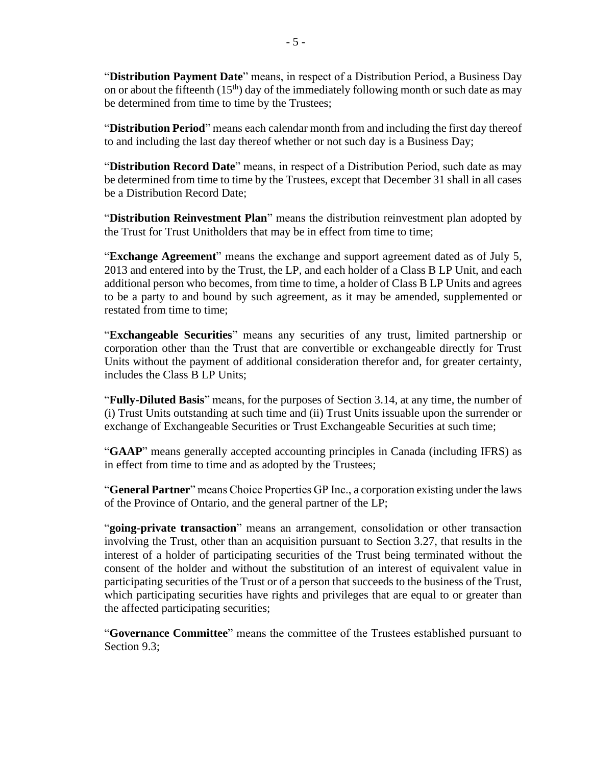"**Distribution Payment Date**" means, in respect of a Distribution Period, a Business Day on or about the fifteenth  $(15<sup>th</sup>)$  day of the immediately following month or such date as may be determined from time to time by the Trustees;

"**Distribution Period**" means each calendar month from and including the first day thereof to and including the last day thereof whether or not such day is a Business Day;

"**Distribution Record Date**" means, in respect of a Distribution Period, such date as may be determined from time to time by the Trustees, except that December 31 shall in all cases be a Distribution Record Date;

"**Distribution Reinvestment Plan**" means the distribution reinvestment plan adopted by the Trust for Trust Unitholders that may be in effect from time to time;

"**Exchange Agreement**" means the exchange and support agreement dated as of July 5, 2013 and entered into by the Trust, the LP, and each holder of a Class B LP Unit, and each additional person who becomes, from time to time, a holder of Class B LP Units and agrees to be a party to and bound by such agreement, as it may be amended, supplemented or restated from time to time;

"**Exchangeable Securities**" means any securities of any trust, limited partnership or corporation other than the Trust that are convertible or exchangeable directly for Trust Units without the payment of additional consideration therefor and, for greater certainty, includes the Class B LP Units;

"**Fully-Diluted Basis**" means, for the purposes of Section [3.14,](#page-23-1) at any time, the number of (i) Trust Units outstanding at such time and (ii) Trust Units issuable upon the surrender or exchange of Exchangeable Securities or Trust Exchangeable Securities at such time;

"**GAAP**" means generally accepted accounting principles in Canada (including IFRS) as in effect from time to time and as adopted by the Trustees;

"**General Partner**" means Choice Properties GP Inc., a corporation existing under the laws of the Province of Ontario, and the general partner of the LP;

"**going-private transaction**" means an arrangement, consolidation or other transaction involving the Trust, other than an acquisition pursuant to Section [3.27,](#page-32-2) that results in the interest of a holder of participating securities of the Trust being terminated without the consent of the holder and without the substitution of an interest of equivalent value in participating securities of the Trust or of a person that succeeds to the business of the Trust, which participating securities have rights and privileges that are equal to or greater than the affected participating securities;

"**Governance Committee**" means the committee of the Trustees established pursuant to Section [9.3;](#page-62-3)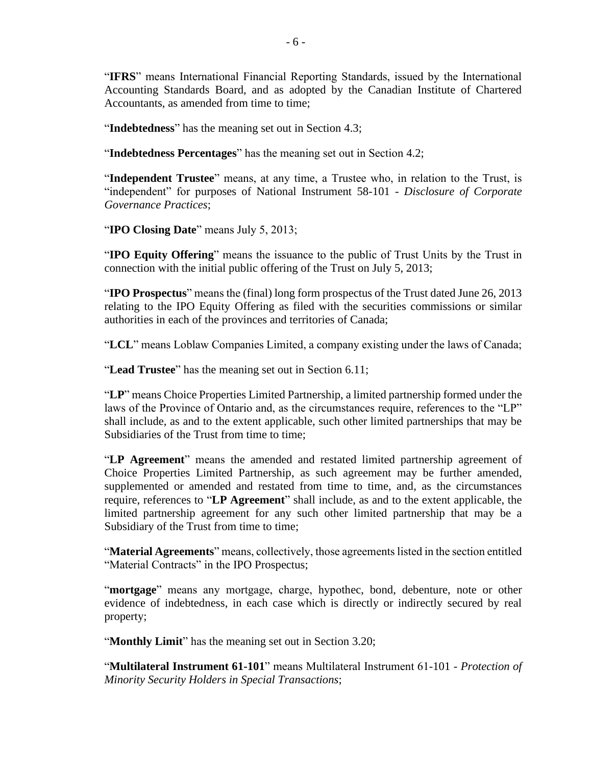"**IFRS**" means International Financial Reporting Standards, issued by the International Accounting Standards Board, and as adopted by the Canadian Institute of Chartered Accountants, as amended from time to time;

"**Indebtedness**" has the meaning set out in Section [4.3;](#page-40-0)

"**Indebtedness Percentages**" has the meaning set out in Section [4.2;](#page-38-0)

"**Independent Trustee**" means, at any time, a Trustee who, in relation to the Trust, is "independent" for purposes of National Instrument 58-101 - *Disclosure of Corporate Governance Practices*;

"**IPO Closing Date**" means July 5, 2013;

"**IPO Equity Offering**" means the issuance to the public of Trust Units by the Trust in connection with the initial public offering of the Trust on July 5, 2013;

"**IPO Prospectus**" means the (final) long form prospectus of the Trust dated June 26, 2013 relating to the IPO Equity Offering as filed with the securities commissions or similar authorities in each of the provinces and territories of Canada;

"**LCL**" means Loblaw Companies Limited, a company existing under the laws of Canada;

"**Lead Trustee**" has the meaning set out in Section [6.11;](#page-51-1)

"**LP**" means Choice Properties Limited Partnership, a limited partnership formed under the laws of the Province of Ontario and, as the circumstances require, references to the "LP" shall include, as and to the extent applicable, such other limited partnerships that may be Subsidiaries of the Trust from time to time;

"**LP Agreement**" means the amended and restated limited partnership agreement of Choice Properties Limited Partnership, as such agreement may be further amended, supplemented or amended and restated from time to time, and, as the circumstances require, references to "**LP Agreement**" shall include, as and to the extent applicable, the limited partnership agreement for any such other limited partnership that may be a Subsidiary of the Trust from time to time;

"**Material Agreements**" means, collectively, those agreements listed in the section entitled "Material Contracts" in the IPO Prospectus:

"**mortgage**" means any mortgage, charge, hypothec, bond, debenture, note or other evidence of indebtedness, in each case which is directly or indirectly secured by real property;

"**Monthly Limit**" has the meaning set out in Section [3.20;](#page-26-3)

"**Multilateral Instrument 61-101**" means Multilateral Instrument 61-101 - *Protection of Minority Security Holders in Special Transactions*;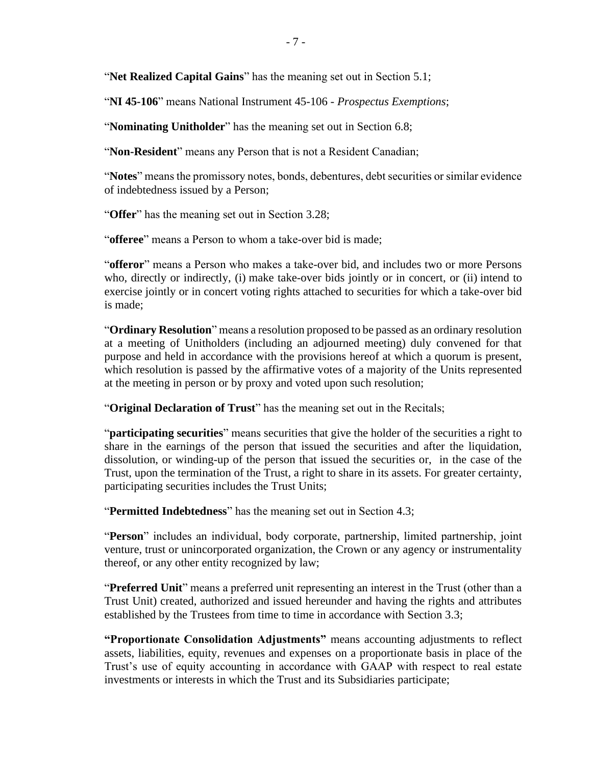"**Net Realized Capital Gains**" has the meaning set out in Section [5.1;](#page-43-1)

"**NI 45-106**" means National Instrument 45-106 - *Prospectus Exemptions*;

"**Nominating Unitholder**" has the meaning set out in Section [6.8;](#page-49-0)

"**Non-Resident**" means any Person that is not a Resident Canadian;

"**Notes**" means the promissory notes, bonds, debentures, debt securities or similar evidence of indebtedness issued by a Person;

"**Offer**" has the meaning set out in Section [3.28;](#page-36-0)

"**offeree**" means a Person to whom a take-over bid is made;

"**offeror**" means a Person who makes a take-over bid, and includes two or more Persons who, directly or indirectly, (i) make take-over bids jointly or in concert, or (ii) intend to exercise jointly or in concert voting rights attached to securities for which a take-over bid is made;

"**Ordinary Resolution**" means a resolution proposed to be passed as an ordinary resolution at a meeting of Unitholders (including an adjourned meeting) duly convened for that purpose and held in accordance with the provisions hereof at which a quorum is present, which resolution is passed by the affirmative votes of a majority of the Units represented at the meeting in person or by proxy and voted upon such resolution;

"**Original Declaration of Trust**" has the meaning set out in the Recitals;

"**participating securities**" means securities that give the holder of the securities a right to share in the earnings of the person that issued the securities and after the liquidation, dissolution, or winding-up of the person that issued the securities or, in the case of the Trust, upon the termination of the Trust, a right to share in its assets. For greater certainty, participating securities includes the Trust Units;

"**Permitted Indebtedness**" has the meaning set out in Section [4.3;](#page-40-0)

"**Person**" includes an individual, body corporate, partnership, limited partnership, joint venture, trust or unincorporated organization, the Crown or any agency or instrumentality thereof, or any other entity recognized by law;

"**Preferred Unit**" means a preferred unit representing an interest in the Trust (other than a Trust Unit) created, authorized and issued hereunder and having the rights and attributes established by the Trustees from time to time in accordance with Section [3.3;](#page-19-0)

**"Proportionate Consolidation Adjustments"** means accounting adjustments to reflect assets, liabilities, equity, revenues and expenses on a proportionate basis in place of the Trust's use of equity accounting in accordance with GAAP with respect to real estate investments or interests in which the Trust and its Subsidiaries participate;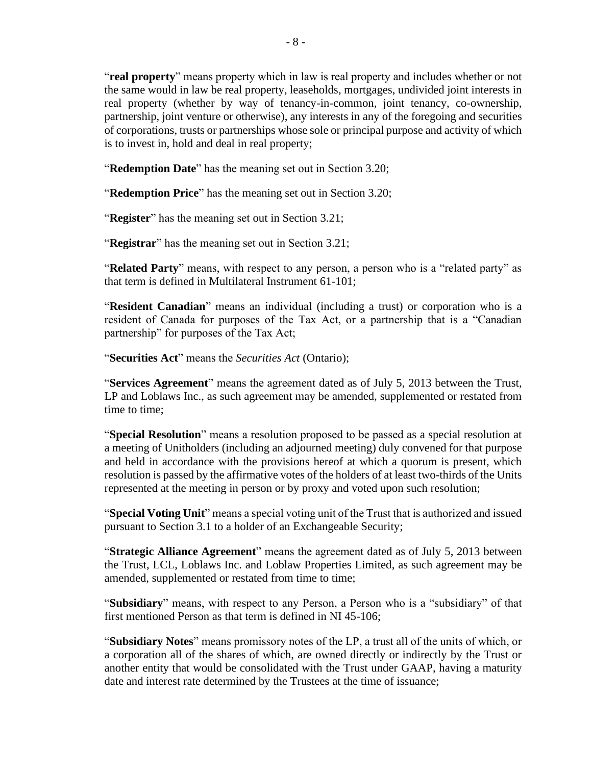"**real property**" means property which in law is real property and includes whether or not the same would in law be real property, leaseholds, mortgages, undivided joint interests in real property (whether by way of tenancy-in-common, joint tenancy, co-ownership, partnership, joint venture or otherwise), any interests in any of the foregoing and securities of corporations, trusts or partnerships whose sole or principal purpose and activity of which is to invest in, hold and deal in real property;

"**Redemption Date**" has the meaning set out in Section [3.20;](#page-26-3)

"**Redemption Price**" has the meaning set out in Section [3.20;](#page-26-3)

"**Register**" has the meaning set out in Section [3.21;](#page-31-0)

"**Registrar**" has the meaning set out in Section [3.21;](#page-31-0)

"**Related Party**" means, with respect to any person, a person who is a "related party" as that term is defined in Multilateral Instrument 61-101;

"**Resident Canadian**" means an individual (including a trust) or corporation who is a resident of Canada for purposes of the Tax Act, or a partnership that is a "Canadian partnership" for purposes of the Tax Act;

"**Securities Act**" means the *Securities Act* (Ontario);

"**Services Agreement**" means the agreement dated as of July 5, 2013 between the Trust, LP and Loblaws Inc., as such agreement may be amended, supplemented or restated from time to time;

"**Special Resolution**" means a resolution proposed to be passed as a special resolution at a meeting of Unitholders (including an adjourned meeting) duly convened for that purpose and held in accordance with the provisions hereof at which a quorum is present, which resolution is passed by the affirmative votes of the holders of at least two-thirds of the Units represented at the meeting in person or by proxy and voted upon such resolution;

"**Special Voting Unit**" means a special voting unit of the Trust that is authorized and issued pursuant to Section [3.1](#page-18-1) to a holder of an Exchangeable Security;

"**Strategic Alliance Agreement**" means the agreement dated as of July 5, 2013 between the Trust, LCL, Loblaws Inc. and Loblaw Properties Limited, as such agreement may be amended, supplemented or restated from time to time;

"**Subsidiary**" means, with respect to any Person, a Person who is a "subsidiary" of that first mentioned Person as that term is defined in NI 45-106;

"**Subsidiary Notes**" means promissory notes of the LP, a trust all of the units of which, or a corporation all of the shares of which, are owned directly or indirectly by the Trust or another entity that would be consolidated with the Trust under GAAP, having a maturity date and interest rate determined by the Trustees at the time of issuance;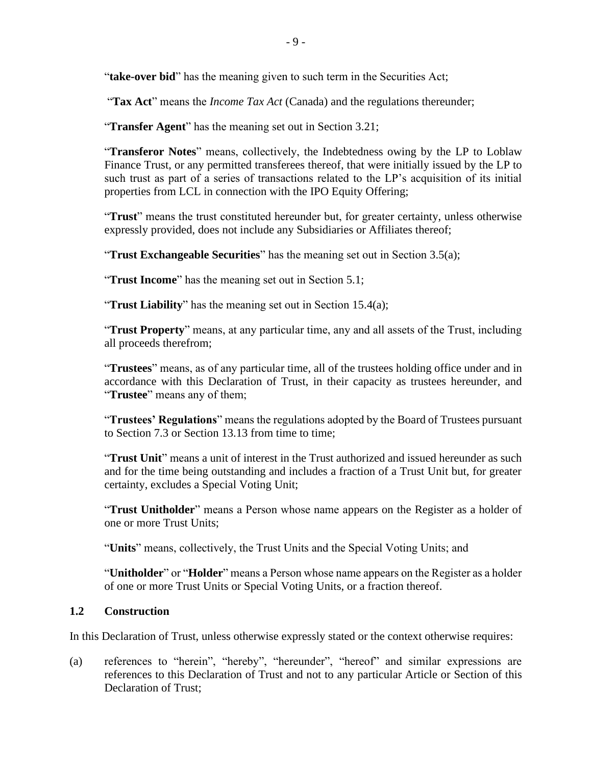"**take-over bid**" has the meaning given to such term in the Securities Act;

"**Tax Act**" means the *Income Tax Act* (Canada) and the regulations thereunder;

"**Transfer Agent**" has the meaning set out in Section [3.21;](#page-31-0)

"**Transferor Notes**" means, collectively, the Indebtedness owing by the LP to Loblaw Finance Trust, or any permitted transferees thereof, that were initially issued by the LP to such trust as part of a series of transactions related to the LP's acquisition of its initial properties from LCL in connection with the IPO Equity Offering;

"**Trust**" means the trust constituted hereunder but, for greater certainty, unless otherwise expressly provided, does not include any Subsidiaries or Affiliates thereof;

"**Trust Exchangeable Securities**" has the meaning set out in Section [3.5\(a\);](#page-20-2)

"**Trust Income**" has the meaning set out in Section [5.1;](#page-43-1)

"**Trust Liability**" has the meaning set out in Section [15.4\(a\);](#page-83-3)

"**Trust Property**" means, at any particular time, any and all assets of the Trust, including all proceeds therefrom;

"**Trustees**" means, as of any particular time, all of the trustees holding office under and in accordance with this Declaration of Trust, in their capacity as trustees hereunder, and "**Trustee**" means any of them;

"**Trustees' Regulations**" means the regulations adopted by the Board of Trustees pursuant to Section [7.3](#page-56-0) or Section [13.13](#page-79-1) from time to time;

"**Trust Unit**" means a unit of interest in the Trust authorized and issued hereunder as such and for the time being outstanding and includes a fraction of a Trust Unit but, for greater certainty, excludes a Special Voting Unit;

"**Trust Unitholder**" means a Person whose name appears on the Register as a holder of one or more Trust Units;

"**Units**" means, collectively, the Trust Units and the Special Voting Units; and

"**Unitholder**" or "**Holder**" means a Person whose name appears on the Register as a holder of one or more Trust Units or Special Voting Units, or a fraction thereof.

## <span id="page-14-0"></span>**1.2 Construction**

In this Declaration of Trust, unless otherwise expressly stated or the context otherwise requires:

(a) references to "herein", "hereby", "hereunder", "hereof" and similar expressions are references to this Declaration of Trust and not to any particular Article or Section of this Declaration of Trust;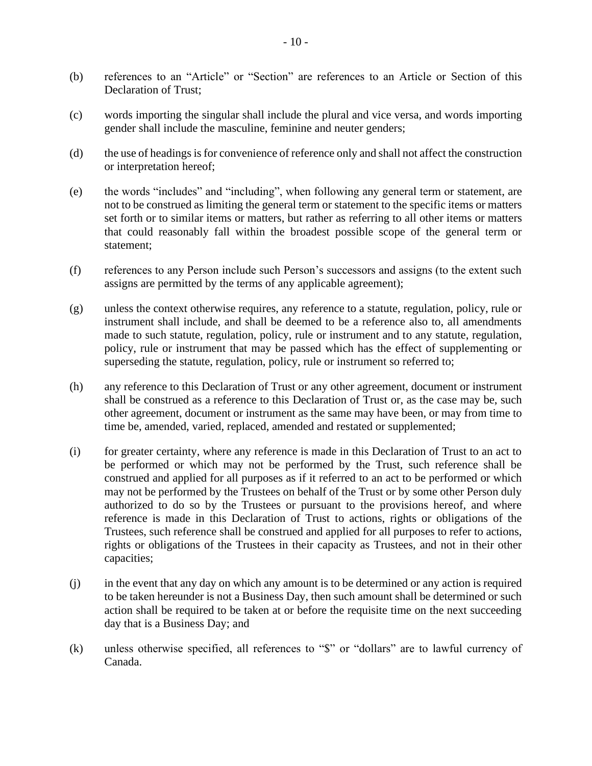- (b) references to an "Article" or "Section" are references to an Article or Section of this Declaration of Trust:
- (c) words importing the singular shall include the plural and vice versa, and words importing gender shall include the masculine, feminine and neuter genders;
- (d) the use of headings is for convenience of reference only and shall not affect the construction or interpretation hereof;
- (e) the words "includes" and "including", when following any general term or statement, are not to be construed as limiting the general term or statement to the specific items or matters set forth or to similar items or matters, but rather as referring to all other items or matters that could reasonably fall within the broadest possible scope of the general term or statement;
- (f) references to any Person include such Person's successors and assigns (to the extent such assigns are permitted by the terms of any applicable agreement);
- (g) unless the context otherwise requires, any reference to a statute, regulation, policy, rule or instrument shall include, and shall be deemed to be a reference also to, all amendments made to such statute, regulation, policy, rule or instrument and to any statute, regulation, policy, rule or instrument that may be passed which has the effect of supplementing or superseding the statute, regulation, policy, rule or instrument so referred to;
- (h) any reference to this Declaration of Trust or any other agreement, document or instrument shall be construed as a reference to this Declaration of Trust or, as the case may be, such other agreement, document or instrument as the same may have been, or may from time to time be, amended, varied, replaced, amended and restated or supplemented;
- (i) for greater certainty, where any reference is made in this Declaration of Trust to an act to be performed or which may not be performed by the Trust, such reference shall be construed and applied for all purposes as if it referred to an act to be performed or which may not be performed by the Trustees on behalf of the Trust or by some other Person duly authorized to do so by the Trustees or pursuant to the provisions hereof, and where reference is made in this Declaration of Trust to actions, rights or obligations of the Trustees, such reference shall be construed and applied for all purposes to refer to actions, rights or obligations of the Trustees in their capacity as Trustees, and not in their other capacities;
- (j) in the event that any day on which any amount is to be determined or any action is required to be taken hereunder is not a Business Day, then such amount shall be determined or such action shall be required to be taken at or before the requisite time on the next succeeding day that is a Business Day; and
- (k) unless otherwise specified, all references to "\$" or "dollars" are to lawful currency of Canada.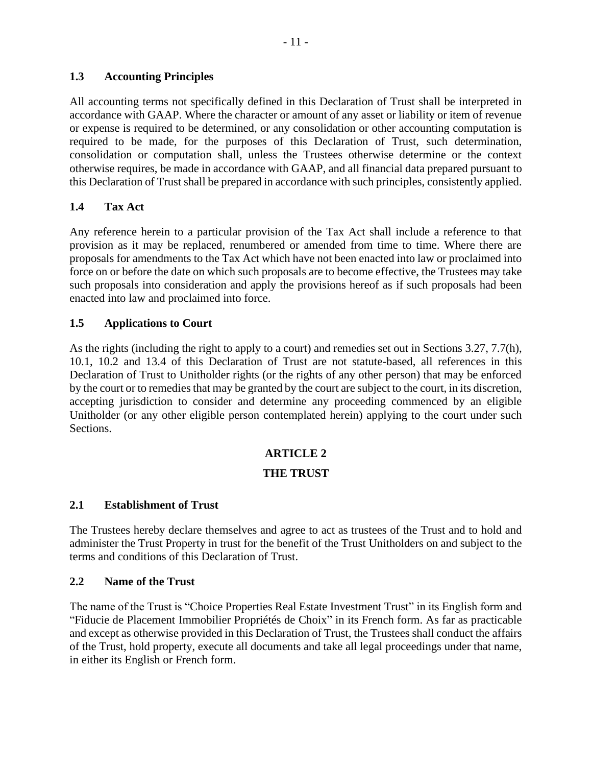## <span id="page-16-0"></span>**1.3 Accounting Principles**

All accounting terms not specifically defined in this Declaration of Trust shall be interpreted in accordance with GAAP. Where the character or amount of any asset or liability or item of revenue or expense is required to be determined, or any consolidation or other accounting computation is required to be made, for the purposes of this Declaration of Trust, such determination, consolidation or computation shall, unless the Trustees otherwise determine or the context otherwise requires, be made in accordance with GAAP, and all financial data prepared pursuant to this Declaration of Trust shall be prepared in accordance with such principles, consistently applied.

## <span id="page-16-1"></span>**1.4 Tax Act**

Any reference herein to a particular provision of the Tax Act shall include a reference to that provision as it may be replaced, renumbered or amended from time to time. Where there are proposals for amendments to the Tax Act which have not been enacted into law or proclaimed into force on or before the date on which such proposals are to become effective, the Trustees may take such proposals into consideration and apply the provisions hereof as if such proposals had been enacted into law and proclaimed into force.

## <span id="page-16-2"></span>**1.5 Applications to Court**

As the rights (including the right to apply to a court) and remedies set out in Sections [3.27,](#page-32-2) [7.7\(h\),](#page-59-1) [10.1,](#page-63-3) [10.2](#page-67-0) and [13.4](#page-74-0) of this Declaration of Trust are not statute-based, all references in this Declaration of Trust to Unitholder rights (or the rights of any other person) that may be enforced by the court or to remedies that may be granted by the court are subject to the court, in its discretion, accepting jurisdiction to consider and determine any proceeding commenced by an eligible Unitholder (or any other eligible person contemplated herein) applying to the court under such Sections.

## **ARTICLE 2**

## **THE TRUST**

## <span id="page-16-4"></span><span id="page-16-3"></span>**2.1 Establishment of Trust**

The Trustees hereby declare themselves and agree to act as trustees of the Trust and to hold and administer the Trust Property in trust for the benefit of the Trust Unitholders on and subject to the terms and conditions of this Declaration of Trust.

## <span id="page-16-5"></span>**2.2 Name of the Trust**

The name of the Trust is "Choice Properties Real Estate Investment Trust" in its English form and "Fiducie de Placement Immobilier Propriétés de Choix" in its French form. As far as practicable and except as otherwise provided in this Declaration of Trust, the Trustees shall conduct the affairs of the Trust, hold property, execute all documents and take all legal proceedings under that name, in either its English or French form.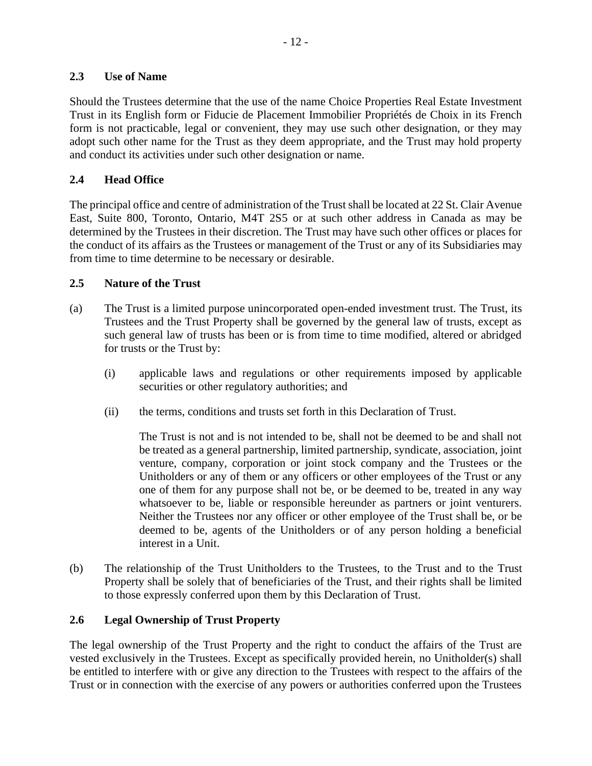## <span id="page-17-0"></span>**2.3 Use of Name**

Should the Trustees determine that the use of the name Choice Properties Real Estate Investment Trust in its English form or Fiducie de Placement Immobilier Propriétés de Choix in its French form is not practicable, legal or convenient, they may use such other designation, or they may adopt such other name for the Trust as they deem appropriate, and the Trust may hold property and conduct its activities under such other designation or name.

## <span id="page-17-1"></span>**2.4 Head Office**

The principal office and centre of administration of the Trust shall be located at 22 St. Clair Avenue East, Suite 800, Toronto, Ontario, M4T 2S5 or at such other address in Canada as may be determined by the Trustees in their discretion. The Trust may have such other offices or places for the conduct of its affairs as the Trustees or management of the Trust or any of its Subsidiaries may from time to time determine to be necessary or desirable.

## <span id="page-17-2"></span>**2.5 Nature of the Trust**

- (a) The Trust is a limited purpose unincorporated open-ended investment trust. The Trust, its Trustees and the Trust Property shall be governed by the general law of trusts, except as such general law of trusts has been or is from time to time modified, altered or abridged for trusts or the Trust by:
	- (i) applicable laws and regulations or other requirements imposed by applicable securities or other regulatory authorities; and
	- (ii) the terms, conditions and trusts set forth in this Declaration of Trust.

The Trust is not and is not intended to be, shall not be deemed to be and shall not be treated as a general partnership, limited partnership, syndicate, association, joint venture, company, corporation or joint stock company and the Trustees or the Unitholders or any of them or any officers or other employees of the Trust or any one of them for any purpose shall not be, or be deemed to be, treated in any way whatsoever to be, liable or responsible hereunder as partners or joint venturers. Neither the Trustees nor any officer or other employee of the Trust shall be, or be deemed to be, agents of the Unitholders or of any person holding a beneficial interest in a Unit.

(b) The relationship of the Trust Unitholders to the Trustees, to the Trust and to the Trust Property shall be solely that of beneficiaries of the Trust, and their rights shall be limited to those expressly conferred upon them by this Declaration of Trust.

## <span id="page-17-3"></span>**2.6 Legal Ownership of Trust Property**

The legal ownership of the Trust Property and the right to conduct the affairs of the Trust are vested exclusively in the Trustees. Except as specifically provided herein, no Unitholder(s) shall be entitled to interfere with or give any direction to the Trustees with respect to the affairs of the Trust or in connection with the exercise of any powers or authorities conferred upon the Trustees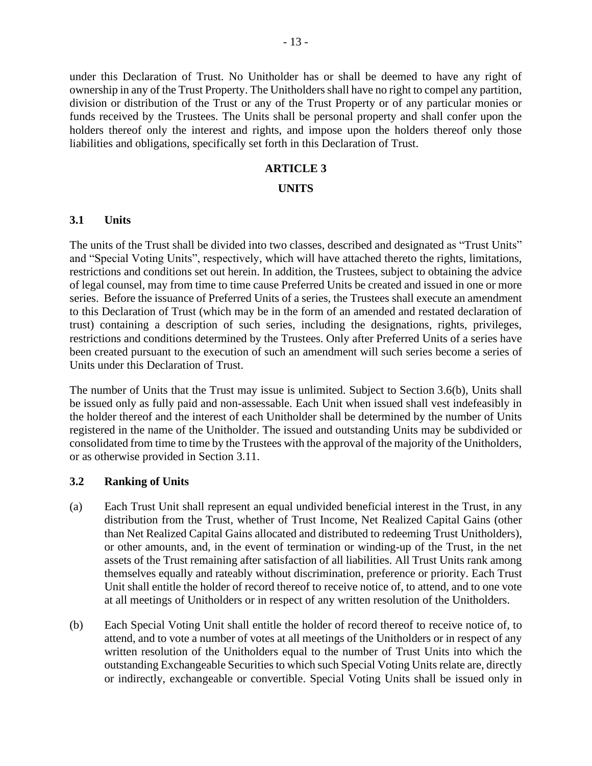under this Declaration of Trust. No Unitholder has or shall be deemed to have any right of ownership in any of the Trust Property. The Unitholders shall have no right to compel any partition, division or distribution of the Trust or any of the Trust Property or of any particular monies or funds received by the Trustees. The Units shall be personal property and shall confer upon the holders thereof only the interest and rights, and impose upon the holders thereof only those liabilities and obligations, specifically set forth in this Declaration of Trust.

#### **ARTICLE 3**

#### **UNITS**

#### <span id="page-18-1"></span><span id="page-18-0"></span>**3.1 Units**

The units of the Trust shall be divided into two classes, described and designated as "Trust Units" and "Special Voting Units", respectively, which will have attached thereto the rights, limitations, restrictions and conditions set out herein. In addition, the Trustees, subject to obtaining the advice of legal counsel, may from time to time cause Preferred Units be created and issued in one or more series. Before the issuance of Preferred Units of a series, the Trustees shall execute an amendment to this Declaration of Trust (which may be in the form of an amended and restated declaration of trust) containing a description of such series, including the designations, rights, privileges, restrictions and conditions determined by the Trustees. Only after Preferred Units of a series have been created pursuant to the execution of such an amendment will such series become a series of Units under this Declaration of Trust.

The number of Units that the Trust may issue is unlimited. Subject to Section [3.6\(b\),](#page-21-4) Units shall be issued only as fully paid and non-assessable. Each Unit when issued shall vest indefeasibly in the holder thereof and the interest of each Unitholder shall be determined by the number of Units registered in the name of the Unitholder. The issued and outstanding Units may be subdivided or consolidated from time to time by the Trustees with the approval of the majority of the Unitholders, or as otherwise provided in Section [3.11.](#page-22-1)

#### <span id="page-18-2"></span>**3.2 Ranking of Units**

- (a) Each Trust Unit shall represent an equal undivided beneficial interest in the Trust, in any distribution from the Trust, whether of Trust Income, Net Realized Capital Gains (other than Net Realized Capital Gains allocated and distributed to redeeming Trust Unitholders), or other amounts, and, in the event of termination or winding-up of the Trust, in the net assets of the Trust remaining after satisfaction of all liabilities. All Trust Units rank among themselves equally and rateably without discrimination, preference or priority. Each Trust Unit shall entitle the holder of record thereof to receive notice of, to attend, and to one vote at all meetings of Unitholders or in respect of any written resolution of the Unitholders.
- <span id="page-18-3"></span>(b) Each Special Voting Unit shall entitle the holder of record thereof to receive notice of, to attend, and to vote a number of votes at all meetings of the Unitholders or in respect of any written resolution of the Unitholders equal to the number of Trust Units into which the outstanding Exchangeable Securities to which such Special Voting Units relate are, directly or indirectly, exchangeable or convertible. Special Voting Units shall be issued only in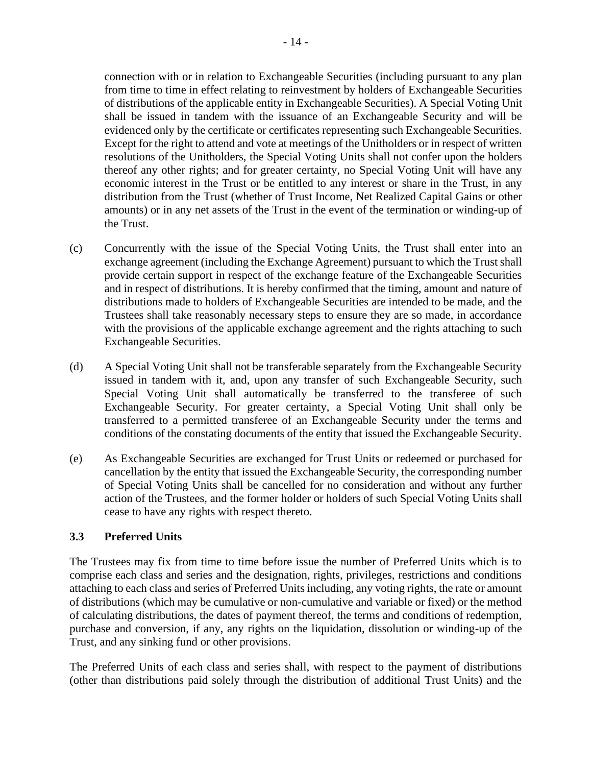connection with or in relation to Exchangeable Securities (including pursuant to any plan from time to time in effect relating to reinvestment by holders of Exchangeable Securities of distributions of the applicable entity in Exchangeable Securities). A Special Voting Unit shall be issued in tandem with the issuance of an Exchangeable Security and will be evidenced only by the certificate or certificates representing such Exchangeable Securities. Except for the right to attend and vote at meetings of the Unitholders or in respect of written resolutions of the Unitholders, the Special Voting Units shall not confer upon the holders thereof any other rights; and for greater certainty, no Special Voting Unit will have any economic interest in the Trust or be entitled to any interest or share in the Trust, in any distribution from the Trust (whether of Trust Income, Net Realized Capital Gains or other amounts) or in any net assets of the Trust in the event of the termination or winding-up of the Trust.

- (c) Concurrently with the issue of the Special Voting Units, the Trust shall enter into an exchange agreement (including the Exchange Agreement) pursuant to which the Trust shall provide certain support in respect of the exchange feature of the Exchangeable Securities and in respect of distributions. It is hereby confirmed that the timing, amount and nature of distributions made to holders of Exchangeable Securities are intended to be made, and the Trustees shall take reasonably necessary steps to ensure they are so made, in accordance with the provisions of the applicable exchange agreement and the rights attaching to such Exchangeable Securities.
- (d) A Special Voting Unit shall not be transferable separately from the Exchangeable Security issued in tandem with it, and, upon any transfer of such Exchangeable Security, such Special Voting Unit shall automatically be transferred to the transferee of such Exchangeable Security. For greater certainty, a Special Voting Unit shall only be transferred to a permitted transferee of an Exchangeable Security under the terms and conditions of the constating documents of the entity that issued the Exchangeable Security.
- (e) As Exchangeable Securities are exchanged for Trust Units or redeemed or purchased for cancellation by the entity that issued the Exchangeable Security, the corresponding number of Special Voting Units shall be cancelled for no consideration and without any further action of the Trustees, and the former holder or holders of such Special Voting Units shall cease to have any rights with respect thereto.

## <span id="page-19-0"></span>**3.3 Preferred Units**

The Trustees may fix from time to time before issue the number of Preferred Units which is to comprise each class and series and the designation, rights, privileges, restrictions and conditions attaching to each class and series of Preferred Units including, any voting rights, the rate or amount of distributions (which may be cumulative or non-cumulative and variable or fixed) or the method of calculating distributions, the dates of payment thereof, the terms and conditions of redemption, purchase and conversion, if any, any rights on the liquidation, dissolution or winding-up of the Trust, and any sinking fund or other provisions.

The Preferred Units of each class and series shall, with respect to the payment of distributions (other than distributions paid solely through the distribution of additional Trust Units) and the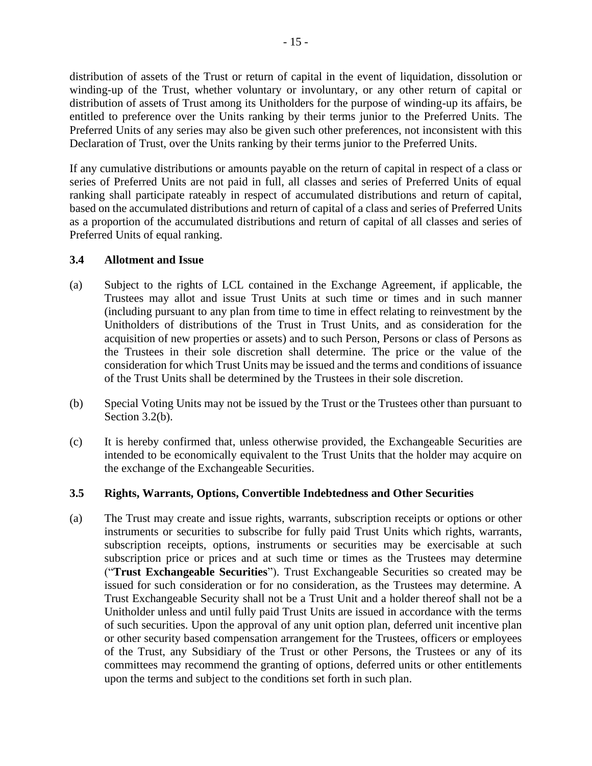distribution of assets of the Trust or return of capital in the event of liquidation, dissolution or winding-up of the Trust, whether voluntary or involuntary, or any other return of capital or distribution of assets of Trust among its Unitholders for the purpose of winding-up its affairs, be entitled to preference over the Units ranking by their terms junior to the Preferred Units. The Preferred Units of any series may also be given such other preferences, not inconsistent with this Declaration of Trust, over the Units ranking by their terms junior to the Preferred Units.

If any cumulative distributions or amounts payable on the return of capital in respect of a class or series of Preferred Units are not paid in full, all classes and series of Preferred Units of equal ranking shall participate rateably in respect of accumulated distributions and return of capital, based on the accumulated distributions and return of capital of a class and series of Preferred Units as a proportion of the accumulated distributions and return of capital of all classes and series of Preferred Units of equal ranking.

## <span id="page-20-0"></span>**3.4 Allotment and Issue**

- (a) Subject to the rights of LCL contained in the Exchange Agreement, if applicable, the Trustees may allot and issue Trust Units at such time or times and in such manner (including pursuant to any plan from time to time in effect relating to reinvestment by the Unitholders of distributions of the Trust in Trust Units, and as consideration for the acquisition of new properties or assets) and to such Person, Persons or class of Persons as the Trustees in their sole discretion shall determine. The price or the value of the consideration for which Trust Units may be issued and the terms and conditions of issuance of the Trust Units shall be determined by the Trustees in their sole discretion.
- (b) Special Voting Units may not be issued by the Trust or the Trustees other than pursuant to Section [3.2\(b\).](#page-18-3)
- (c) It is hereby confirmed that, unless otherwise provided, the Exchangeable Securities are intended to be economically equivalent to the Trust Units that the holder may acquire on the exchange of the Exchangeable Securities.

## <span id="page-20-1"></span>**3.5 Rights, Warrants, Options, Convertible Indebtedness and Other Securities**

<span id="page-20-2"></span>(a) The Trust may create and issue rights, warrants, subscription receipts or options or other instruments or securities to subscribe for fully paid Trust Units which rights, warrants, subscription receipts, options, instruments or securities may be exercisable at such subscription price or prices and at such time or times as the Trustees may determine ("**Trust Exchangeable Securities**"). Trust Exchangeable Securities so created may be issued for such consideration or for no consideration, as the Trustees may determine. A Trust Exchangeable Security shall not be a Trust Unit and a holder thereof shall not be a Unitholder unless and until fully paid Trust Units are issued in accordance with the terms of such securities. Upon the approval of any unit option plan, deferred unit incentive plan or other security based compensation arrangement for the Trustees, officers or employees of the Trust, any Subsidiary of the Trust or other Persons, the Trustees or any of its committees may recommend the granting of options, deferred units or other entitlements upon the terms and subject to the conditions set forth in such plan.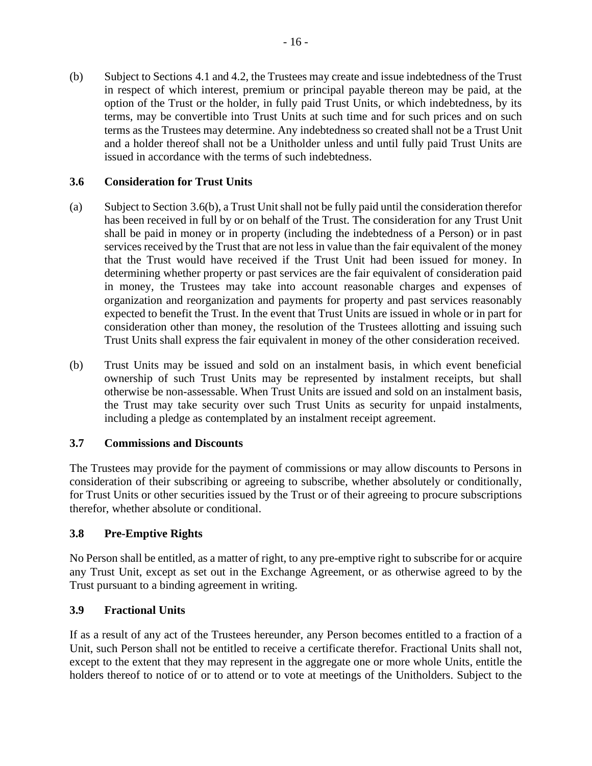(b) Subject to Sections [4.1](#page-36-2) and [4.2,](#page-38-0) the Trustees may create and issue indebtedness of the Trust in respect of which interest, premium or principal payable thereon may be paid, at the option of the Trust or the holder, in fully paid Trust Units, or which indebtedness, by its terms, may be convertible into Trust Units at such time and for such prices and on such terms as the Trustees may determine. Any indebtedness so created shall not be a Trust Unit and a holder thereof shall not be a Unitholder unless and until fully paid Trust Units are issued in accordance with the terms of such indebtedness.

## <span id="page-21-0"></span>**3.6 Consideration for Trust Units**

- (a) Subject to Section [3.6\(b\),](#page-21-4) a Trust Unitshall not be fully paid until the consideration therefor has been received in full by or on behalf of the Trust. The consideration for any Trust Unit shall be paid in money or in property (including the indebtedness of a Person) or in past services received by the Trust that are not less in value than the fair equivalent of the money that the Trust would have received if the Trust Unit had been issued for money. In determining whether property or past services are the fair equivalent of consideration paid in money, the Trustees may take into account reasonable charges and expenses of organization and reorganization and payments for property and past services reasonably expected to benefit the Trust. In the event that Trust Units are issued in whole or in part for consideration other than money, the resolution of the Trustees allotting and issuing such Trust Units shall express the fair equivalent in money of the other consideration received.
- <span id="page-21-4"></span>(b) Trust Units may be issued and sold on an instalment basis, in which event beneficial ownership of such Trust Units may be represented by instalment receipts, but shall otherwise be non-assessable. When Trust Units are issued and sold on an instalment basis, the Trust may take security over such Trust Units as security for unpaid instalments, including a pledge as contemplated by an instalment receipt agreement.

## <span id="page-21-1"></span>**3.7 Commissions and Discounts**

The Trustees may provide for the payment of commissions or may allow discounts to Persons in consideration of their subscribing or agreeing to subscribe, whether absolutely or conditionally, for Trust Units or other securities issued by the Trust or of their agreeing to procure subscriptions therefor, whether absolute or conditional.

## <span id="page-21-2"></span>**3.8 Pre-Emptive Rights**

No Person shall be entitled, as a matter of right, to any pre-emptive right to subscribe for or acquire any Trust Unit, except as set out in the Exchange Agreement, or as otherwise agreed to by the Trust pursuant to a binding agreement in writing.

## <span id="page-21-3"></span>**3.9 Fractional Units**

If as a result of any act of the Trustees hereunder, any Person becomes entitled to a fraction of a Unit, such Person shall not be entitled to receive a certificate therefor. Fractional Units shall not, except to the extent that they may represent in the aggregate one or more whole Units, entitle the holders thereof to notice of or to attend or to vote at meetings of the Unitholders. Subject to the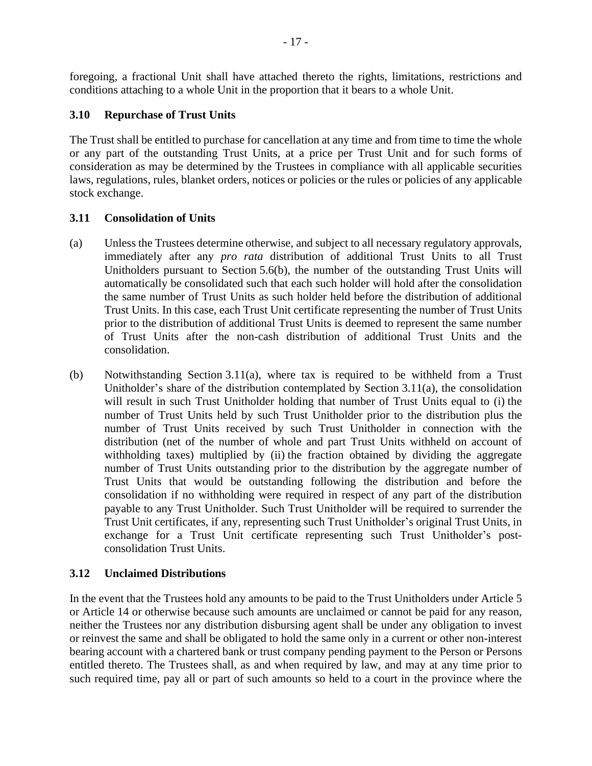foregoing, a fractional Unit shall have attached thereto the rights, limitations, restrictions and conditions attaching to a whole Unit in the proportion that it bears to a whole Unit.

## <span id="page-22-0"></span>**3.10 Repurchase of Trust Units**

The Trust shall be entitled to purchase for cancellation at any time and from time to time the whole or any part of the outstanding Trust Units, at a price per Trust Unit and for such forms of consideration as may be determined by the Trustees in compliance with all applicable securities laws, regulations, rules, blanket orders, notices or policies or the rules or policies of any applicable stock exchange.

## <span id="page-22-1"></span>**3.11 Consolidation of Units**

- <span id="page-22-3"></span>(a) Unless the Trustees determine otherwise, and subject to all necessary regulatory approvals, immediately after any *pro rata* distribution of additional Trust Units to all Trust Unitholders pursuant to Section [5.6\(b\),](#page-45-1) the number of the outstanding Trust Units will automatically be consolidated such that each such holder will hold after the consolidation the same number of Trust Units as such holder held before the distribution of additional Trust Units. In this case, each Trust Unit certificate representing the number of Trust Units prior to the distribution of additional Trust Units is deemed to represent the same number of Trust Units after the non-cash distribution of additional Trust Units and the consolidation.
- (b) Notwithstanding Section [3.11\(a\),](#page-22-3) where tax is required to be withheld from a Trust Unitholder's share of the distribution contemplated by Section [3.11\(a\),](#page-22-3) the consolidation will result in such Trust Unitholder holding that number of Trust Units equal to (i) the number of Trust Units held by such Trust Unitholder prior to the distribution plus the number of Trust Units received by such Trust Unitholder in connection with the distribution (net of the number of whole and part Trust Units withheld on account of withholding taxes) multiplied by (ii) the fraction obtained by dividing the aggregate number of Trust Units outstanding prior to the distribution by the aggregate number of Trust Units that would be outstanding following the distribution and before the consolidation if no withholding were required in respect of any part of the distribution payable to any Trust Unitholder. Such Trust Unitholder will be required to surrender the Trust Unit certificates, if any, representing such Trust Unitholder's original Trust Units, in exchange for a Trust Unit certificate representing such Trust Unitholder's postconsolidation Trust Units.

## <span id="page-22-2"></span>**3.12 Unclaimed Distributions**

In the event that the Trustees hold any amounts to be paid to the Trust Unitholders under [Article](#page-43-4) 5 or [Article](#page-81-6) 14 or otherwise because such amounts are unclaimed or cannot be paid for any reason, neither the Trustees nor any distribution disbursing agent shall be under any obligation to invest or reinvest the same and shall be obligated to hold the same only in a current or other non-interest bearing account with a chartered bank or trust company pending payment to the Person or Persons entitled thereto. The Trustees shall, as and when required by law, and may at any time prior to such required time, pay all or part of such amounts so held to a court in the province where the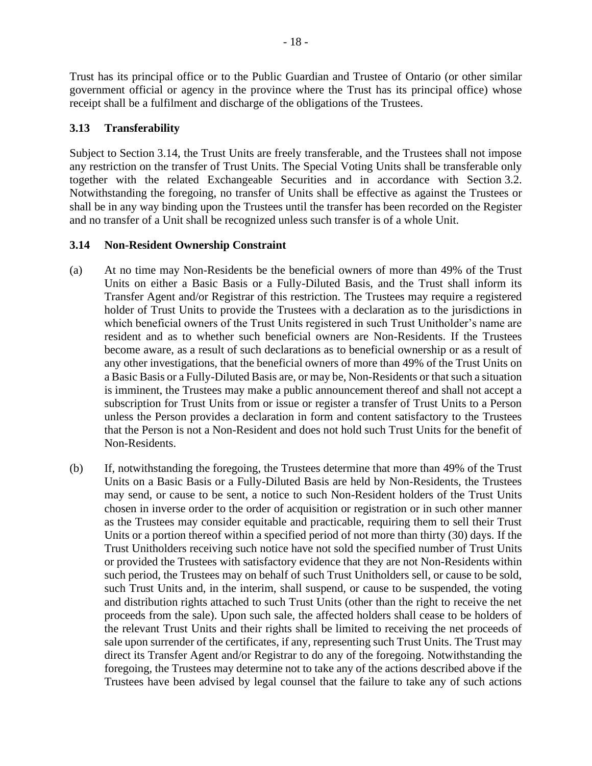Trust has its principal office or to the Public Guardian and Trustee of Ontario (or other similar government official or agency in the province where the Trust has its principal office) whose receipt shall be a fulfilment and discharge of the obligations of the Trustees.

## <span id="page-23-0"></span>**3.13 Transferability**

Subject to Section [3.14,](#page-23-1) the Trust Units are freely transferable, and the Trustees shall not impose any restriction on the transfer of Trust Units. The Special Voting Units shall be transferable only together with the related Exchangeable Securities and in accordance with Section [3.2.](#page-18-2) Notwithstanding the foregoing, no transfer of Units shall be effective as against the Trustees or shall be in any way binding upon the Trustees until the transfer has been recorded on the Register and no transfer of a Unit shall be recognized unless such transfer is of a whole Unit.

## <span id="page-23-1"></span>**3.14 Non-Resident Ownership Constraint**

- (a) At no time may Non-Residents be the beneficial owners of more than 49% of the Trust Units on either a Basic Basis or a Fully-Diluted Basis, and the Trust shall inform its Transfer Agent and/or Registrar of this restriction. The Trustees may require a registered holder of Trust Units to provide the Trustees with a declaration as to the jurisdictions in which beneficial owners of the Trust Units registered in such Trust Unitholder's name are resident and as to whether such beneficial owners are Non-Residents. If the Trustees become aware, as a result of such declarations as to beneficial ownership or as a result of any other investigations, that the beneficial owners of more than 49% of the Trust Units on a Basic Basis or a Fully-Diluted Basis are, or may be, Non-Residents or that such a situation is imminent, the Trustees may make a public announcement thereof and shall not accept a subscription for Trust Units from or issue or register a transfer of Trust Units to a Person unless the Person provides a declaration in form and content satisfactory to the Trustees that the Person is not a Non-Resident and does not hold such Trust Units for the benefit of Non-Residents.
- (b) If, notwithstanding the foregoing, the Trustees determine that more than 49% of the Trust Units on a Basic Basis or a Fully-Diluted Basis are held by Non-Residents, the Trustees may send, or cause to be sent, a notice to such Non-Resident holders of the Trust Units chosen in inverse order to the order of acquisition or registration or in such other manner as the Trustees may consider equitable and practicable, requiring them to sell their Trust Units or a portion thereof within a specified period of not more than thirty (30) days. If the Trust Unitholders receiving such notice have not sold the specified number of Trust Units or provided the Trustees with satisfactory evidence that they are not Non-Residents within such period, the Trustees may on behalf of such Trust Unitholders sell, or cause to be sold, such Trust Units and, in the interim, shall suspend, or cause to be suspended, the voting and distribution rights attached to such Trust Units (other than the right to receive the net proceeds from the sale). Upon such sale, the affected holders shall cease to be holders of the relevant Trust Units and their rights shall be limited to receiving the net proceeds of sale upon surrender of the certificates, if any, representing such Trust Units. The Trust may direct its Transfer Agent and/or Registrar to do any of the foregoing. Notwithstanding the foregoing, the Trustees may determine not to take any of the actions described above if the Trustees have been advised by legal counsel that the failure to take any of such actions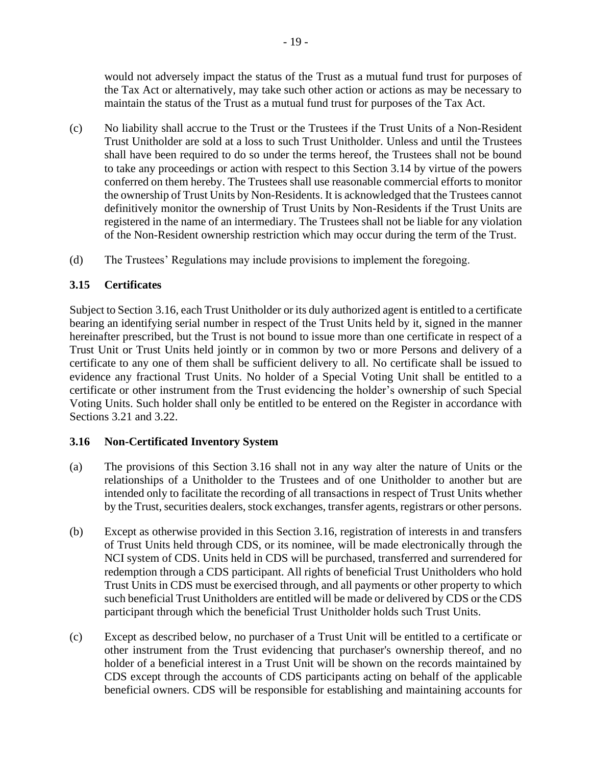would not adversely impact the status of the Trust as a mutual fund trust for purposes of the Tax Act or alternatively, may take such other action or actions as may be necessary to maintain the status of the Trust as a mutual fund trust for purposes of the Tax Act.

- (c) No liability shall accrue to the Trust or the Trustees if the Trust Units of a Non-Resident Trust Unitholder are sold at a loss to such Trust Unitholder. Unless and until the Trustees shall have been required to do so under the terms hereof, the Trustees shall not be bound to take any proceedings or action with respect to this Section [3.14](#page-23-1) by virtue of the powers conferred on them hereby. The Trustees shall use reasonable commercial efforts to monitor the ownership of Trust Units by Non-Residents. It is acknowledged that the Trustees cannot definitively monitor the ownership of Trust Units by Non-Residents if the Trust Units are registered in the name of an intermediary. The Trustees shall not be liable for any violation of the Non-Resident ownership restriction which may occur during the term of the Trust.
- (d) The Trustees' Regulations may include provisions to implement the foregoing.

## <span id="page-24-0"></span>**3.15 Certificates**

Subject to Section [3.16,](#page-24-1) each Trust Unitholder or its duly authorized agent is entitled to a certificate bearing an identifying serial number in respect of the Trust Units held by it, signed in the manner hereinafter prescribed, but the Trust is not bound to issue more than one certificate in respect of a Trust Unit or Trust Units held jointly or in common by two or more Persons and delivery of a certificate to any one of them shall be sufficient delivery to all. No certificate shall be issued to evidence any fractional Trust Units. No holder of a Special Voting Unit shall be entitled to a certificate or other instrument from the Trust evidencing the holder's ownership of such Special Voting Units. Such holder shall only be entitled to be entered on the Register in accordance with Sections [3.21](#page-31-0) and [3.22.](#page-31-1)

## <span id="page-24-1"></span>**3.16 Non-Certificated Inventory System**

- (a) The provisions of this Section [3.16](#page-24-1) shall not in any way alter the nature of Units or the relationships of a Unitholder to the Trustees and of one Unitholder to another but are intended only to facilitate the recording of all transactions in respect of Trust Units whether by the Trust, securities dealers, stock exchanges, transfer agents, registrars or other persons.
- (b) Except as otherwise provided in this Section [3.16,](#page-24-1) registration of interests in and transfers of Trust Units held through CDS, or its nominee, will be made electronically through the NCI system of CDS. Units held in CDS will be purchased, transferred and surrendered for redemption through a CDS participant. All rights of beneficial Trust Unitholders who hold Trust Units in CDS must be exercised through, and all payments or other property to which such beneficial Trust Unitholders are entitled will be made or delivered by CDS or the CDS participant through which the beneficial Trust Unitholder holds such Trust Units.
- (c) Except as described below, no purchaser of a Trust Unit will be entitled to a certificate or other instrument from the Trust evidencing that purchaser's ownership thereof, and no holder of a beneficial interest in a Trust Unit will be shown on the records maintained by CDS except through the accounts of CDS participants acting on behalf of the applicable beneficial owners. CDS will be responsible for establishing and maintaining accounts for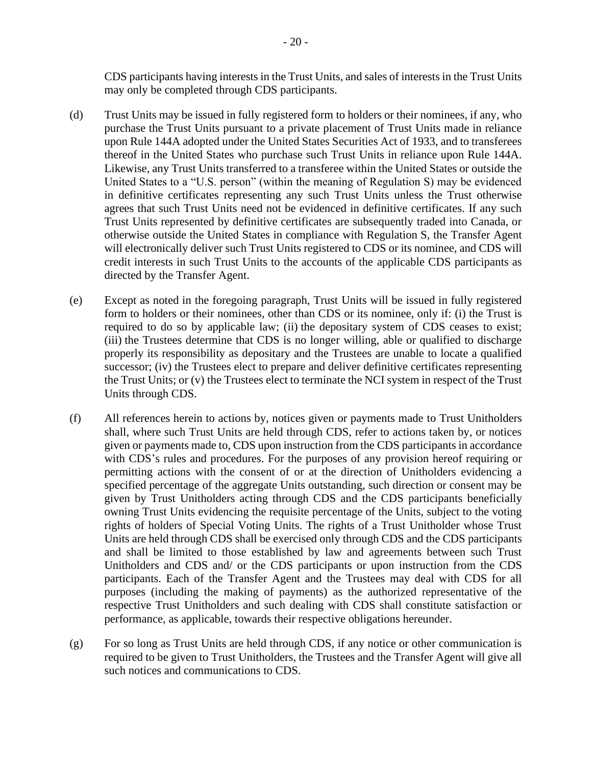CDS participants having interests in the Trust Units, and sales of interests in the Trust Units may only be completed through CDS participants.

- (d) Trust Units may be issued in fully registered form to holders or their nominees, if any, who purchase the Trust Units pursuant to a private placement of Trust Units made in reliance upon Rule 144A adopted under the United States Securities Act of 1933, and to transferees thereof in the United States who purchase such Trust Units in reliance upon Rule 144A. Likewise, any Trust Units transferred to a transferee within the United States or outside the United States to a "U.S. person" (within the meaning of Regulation S) may be evidenced in definitive certificates representing any such Trust Units unless the Trust otherwise agrees that such Trust Units need not be evidenced in definitive certificates. If any such Trust Units represented by definitive certificates are subsequently traded into Canada, or otherwise outside the United States in compliance with Regulation S, the Transfer Agent will electronically deliver such Trust Units registered to CDS or its nominee, and CDS will credit interests in such Trust Units to the accounts of the applicable CDS participants as directed by the Transfer Agent.
- (e) Except as noted in the foregoing paragraph, Trust Units will be issued in fully registered form to holders or their nominees, other than CDS or its nominee, only if: (i) the Trust is required to do so by applicable law; (ii) the depositary system of CDS ceases to exist; (iii) the Trustees determine that CDS is no longer willing, able or qualified to discharge properly its responsibility as depositary and the Trustees are unable to locate a qualified successor; (iv) the Trustees elect to prepare and deliver definitive certificates representing the Trust Units; or (v) the Trustees elect to terminate the NCI system in respect of the Trust Units through CDS.
- (f) All references herein to actions by, notices given or payments made to Trust Unitholders shall, where such Trust Units are held through CDS, refer to actions taken by, or notices given or payments made to, CDS upon instruction from the CDS participants in accordance with CDS's rules and procedures. For the purposes of any provision hereof requiring or permitting actions with the consent of or at the direction of Unitholders evidencing a specified percentage of the aggregate Units outstanding, such direction or consent may be given by Trust Unitholders acting through CDS and the CDS participants beneficially owning Trust Units evidencing the requisite percentage of the Units, subject to the voting rights of holders of Special Voting Units. The rights of a Trust Unitholder whose Trust Units are held through CDS shall be exercised only through CDS and the CDS participants and shall be limited to those established by law and agreements between such Trust Unitholders and CDS and/ or the CDS participants or upon instruction from the CDS participants. Each of the Transfer Agent and the Trustees may deal with CDS for all purposes (including the making of payments) as the authorized representative of the respective Trust Unitholders and such dealing with CDS shall constitute satisfaction or performance, as applicable, towards their respective obligations hereunder.
- (g) For so long as Trust Units are held through CDS, if any notice or other communication is required to be given to Trust Unitholders, the Trustees and the Transfer Agent will give all such notices and communications to CDS.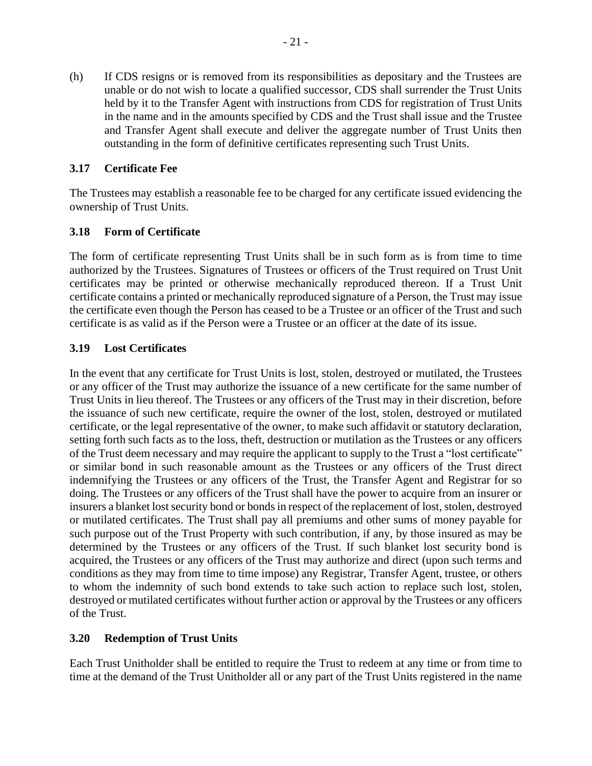(h) If CDS resigns or is removed from its responsibilities as depositary and the Trustees are unable or do not wish to locate a qualified successor, CDS shall surrender the Trust Units held by it to the Transfer Agent with instructions from CDS for registration of Trust Units in the name and in the amounts specified by CDS and the Trust shall issue and the Trustee and Transfer Agent shall execute and deliver the aggregate number of Trust Units then outstanding in the form of definitive certificates representing such Trust Units.

## <span id="page-26-0"></span>**3.17 Certificate Fee**

The Trustees may establish a reasonable fee to be charged for any certificate issued evidencing the ownership of Trust Units.

## <span id="page-26-1"></span>**3.18 Form of Certificate**

The form of certificate representing Trust Units shall be in such form as is from time to time authorized by the Trustees. Signatures of Trustees or officers of the Trust required on Trust Unit certificates may be printed or otherwise mechanically reproduced thereon. If a Trust Unit certificate contains a printed or mechanically reproduced signature of a Person, the Trust may issue the certificate even though the Person has ceased to be a Trustee or an officer of the Trust and such certificate is as valid as if the Person were a Trustee or an officer at the date of its issue.

## <span id="page-26-2"></span>**3.19 Lost Certificates**

In the event that any certificate for Trust Units is lost, stolen, destroyed or mutilated, the Trustees or any officer of the Trust may authorize the issuance of a new certificate for the same number of Trust Units in lieu thereof. The Trustees or any officers of the Trust may in their discretion, before the issuance of such new certificate, require the owner of the lost, stolen, destroyed or mutilated certificate, or the legal representative of the owner, to make such affidavit or statutory declaration, setting forth such facts as to the loss, theft, destruction or mutilation as the Trustees or any officers of the Trust deem necessary and may require the applicant to supply to the Trust a "lost certificate" or similar bond in such reasonable amount as the Trustees or any officers of the Trust direct indemnifying the Trustees or any officers of the Trust, the Transfer Agent and Registrar for so doing. The Trustees or any officers of the Trust shall have the power to acquire from an insurer or insurers a blanket lost security bond or bonds in respect of the replacement of lost, stolen, destroyed or mutilated certificates. The Trust shall pay all premiums and other sums of money payable for such purpose out of the Trust Property with such contribution, if any, by those insured as may be determined by the Trustees or any officers of the Trust. If such blanket lost security bond is acquired, the Trustees or any officers of the Trust may authorize and direct (upon such terms and conditions as they may from time to time impose) any Registrar, Transfer Agent, trustee, or others to whom the indemnity of such bond extends to take such action to replace such lost, stolen, destroyed or mutilated certificates without further action or approval by the Trustees or any officers of the Trust.

## <span id="page-26-3"></span>**3.20 Redemption of Trust Units**

Each Trust Unitholder shall be entitled to require the Trust to redeem at any time or from time to time at the demand of the Trust Unitholder all or any part of the Trust Units registered in the name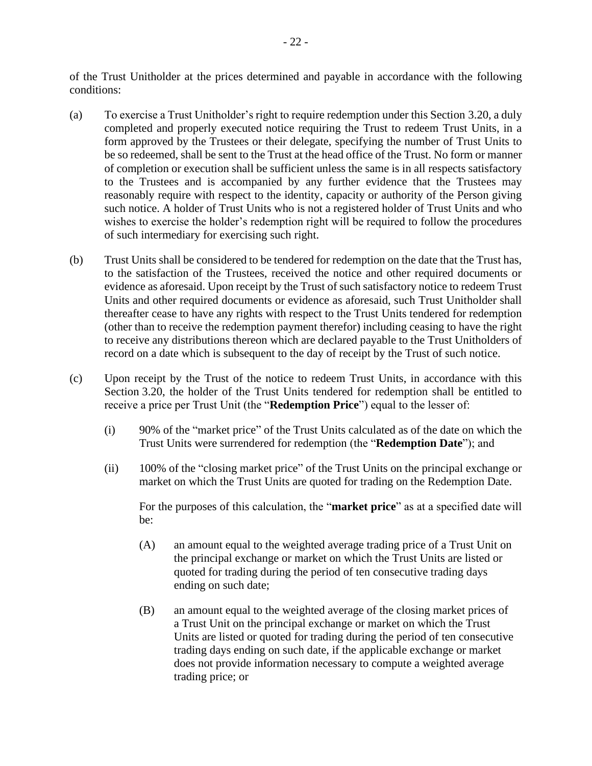of the Trust Unitholder at the prices determined and payable in accordance with the following conditions:

- (a) To exercise a Trust Unitholder's right to require redemption under this Section [3.20,](#page-26-3) a duly completed and properly executed notice requiring the Trust to redeem Trust Units, in a form approved by the Trustees or their delegate, specifying the number of Trust Units to be so redeemed, shall be sent to the Trust at the head office of the Trust. No form or manner of completion or execution shall be sufficient unless the same is in all respects satisfactory to the Trustees and is accompanied by any further evidence that the Trustees may reasonably require with respect to the identity, capacity or authority of the Person giving such notice. A holder of Trust Units who is not a registered holder of Trust Units and who wishes to exercise the holder's redemption right will be required to follow the procedures of such intermediary for exercising such right.
- (b) Trust Units shall be considered to be tendered for redemption on the date that the Trust has, to the satisfaction of the Trustees, received the notice and other required documents or evidence as aforesaid. Upon receipt by the Trust of such satisfactory notice to redeem Trust Units and other required documents or evidence as aforesaid, such Trust Unitholder shall thereafter cease to have any rights with respect to the Trust Units tendered for redemption (other than to receive the redemption payment therefor) including ceasing to have the right to receive any distributions thereon which are declared payable to the Trust Unitholders of record on a date which is subsequent to the day of receipt by the Trust of such notice.
- <span id="page-27-0"></span>(c) Upon receipt by the Trust of the notice to redeem Trust Units, in accordance with this Section [3.20,](#page-26-3) the holder of the Trust Units tendered for redemption shall be entitled to receive a price per Trust Unit (the "**Redemption Price**") equal to the lesser of:
	- (i) 90% of the "market price" of the Trust Units calculated as of the date on which the Trust Units were surrendered for redemption (the "**Redemption Date**"); and
	- (ii) 100% of the "closing market price" of the Trust Units on the principal exchange or market on which the Trust Units are quoted for trading on the Redemption Date.

For the purposes of this calculation, the "**market price**" as at a specified date will be:

- (A) an amount equal to the weighted average trading price of a Trust Unit on the principal exchange or market on which the Trust Units are listed or quoted for trading during the period of ten consecutive trading days ending on such date;
- (B) an amount equal to the weighted average of the closing market prices of a Trust Unit on the principal exchange or market on which the Trust Units are listed or quoted for trading during the period of ten consecutive trading days ending on such date, if the applicable exchange or market does not provide information necessary to compute a weighted average trading price; or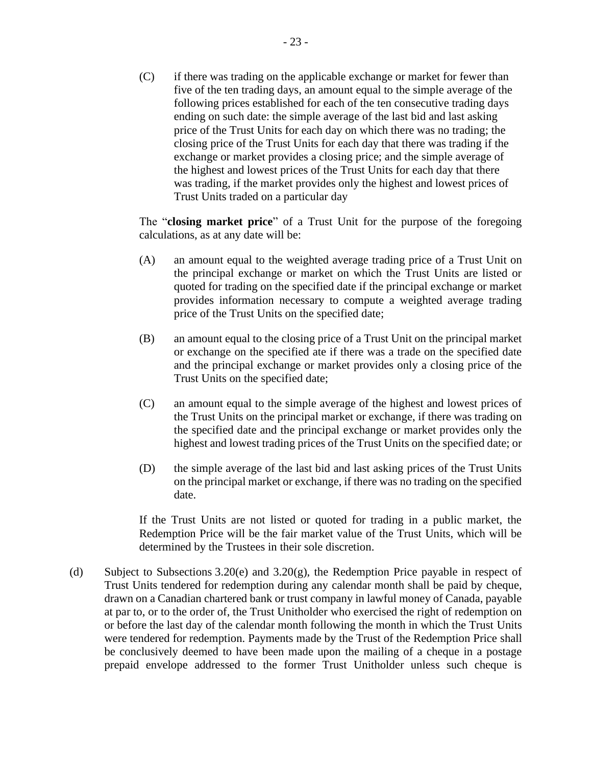(C) if there was trading on the applicable exchange or market for fewer than five of the ten trading days, an amount equal to the simple average of the following prices established for each of the ten consecutive trading days ending on such date: the simple average of the last bid and last asking price of the Trust Units for each day on which there was no trading; the closing price of the Trust Units for each day that there was trading if the exchange or market provides a closing price; and the simple average of the highest and lowest prices of the Trust Units for each day that there was trading, if the market provides only the highest and lowest prices of Trust Units traded on a particular day

The "**closing market price**" of a Trust Unit for the purpose of the foregoing calculations, as at any date will be:

- (A) an amount equal to the weighted average trading price of a Trust Unit on the principal exchange or market on which the Trust Units are listed or quoted for trading on the specified date if the principal exchange or market provides information necessary to compute a weighted average trading price of the Trust Units on the specified date;
- (B) an amount equal to the closing price of a Trust Unit on the principal market or exchange on the specified ate if there was a trade on the specified date and the principal exchange or market provides only a closing price of the Trust Units on the specified date;
- (C) an amount equal to the simple average of the highest and lowest prices of the Trust Units on the principal market or exchange, if there was trading on the specified date and the principal exchange or market provides only the highest and lowest trading prices of the Trust Units on the specified date; or
- (D) the simple average of the last bid and last asking prices of the Trust Units on the principal market or exchange, if there was no trading on the specified date.

If the Trust Units are not listed or quoted for trading in a public market, the Redemption Price will be the fair market value of the Trust Units, which will be determined by the Trustees in their sole discretion.

<span id="page-28-0"></span>(d) Subject to Subsections [3.20](#page-26-3)[\(e\)](#page-29-0) and [3.20](#page-26-3)[\(g\),](#page-29-1) the Redemption Price payable in respect of Trust Units tendered for redemption during any calendar month shall be paid by cheque, drawn on a Canadian chartered bank or trust company in lawful money of Canada, payable at par to, or to the order of, the Trust Unitholder who exercised the right of redemption on or before the last day of the calendar month following the month in which the Trust Units were tendered for redemption. Payments made by the Trust of the Redemption Price shall be conclusively deemed to have been made upon the mailing of a cheque in a postage prepaid envelope addressed to the former Trust Unitholder unless such cheque is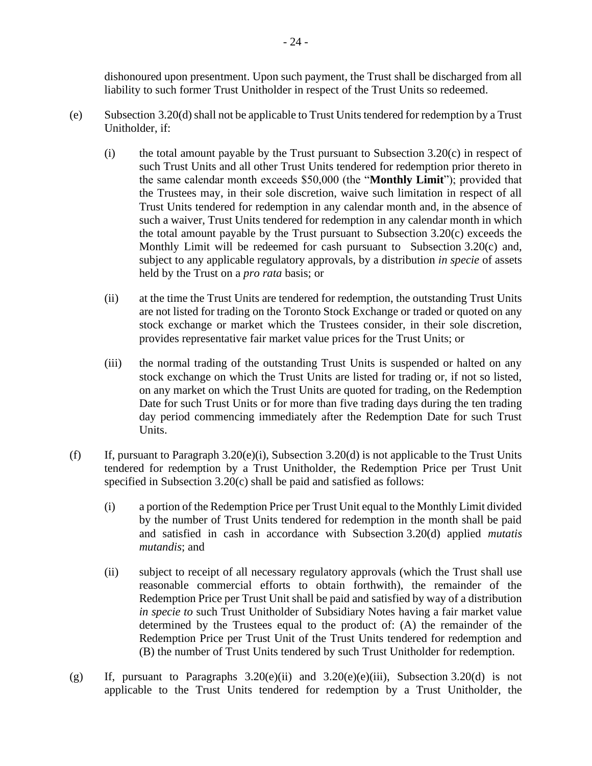dishonoured upon presentment. Upon such payment, the Trust shall be discharged from all liability to such former Trust Unitholder in respect of the Trust Units so redeemed.

- <span id="page-29-2"></span><span id="page-29-0"></span>(e) Subsection [3.20](#page-26-3)(d) shall not be applicable to Trust Units tendered for redemption by a Trust Unitholder, if:
	- (i) the total amount payable by the Trust pursuant to Subsection [3.20](#page-26-3)[\(c\)](#page-27-0) in respect of such Trust Units and all other Trust Units tendered for redemption prior thereto in the same calendar month exceeds \$50,000 (the "**Monthly Limit**"); provided that the Trustees may, in their sole discretion, waive such limitation in respect of all Trust Units tendered for redemption in any calendar month and, in the absence of such a waiver, Trust Units tendered for redemption in any calendar month in which the total amount payable by the Trust pursuant to Subsection [3.20](#page-26-3)[\(c\)](#page-27-0) exceeds the Monthly Limit will be redeemed for cash pursuant to Subsection [3.20](#page-26-3)[\(c\)](#page-27-0) and, subject to any applicable regulatory approvals, by a distribution *in specie* of assets held by the Trust on a *pro rata* basis; or
	- (ii) at the time the Trust Units are tendered for redemption, the outstanding Trust Units are not listed for trading on the Toronto Stock Exchange or traded or quoted on any stock exchange or market which the Trustees consider, in their sole discretion, provides representative fair market value prices for the Trust Units; or
	- (iii) the normal trading of the outstanding Trust Units is suspended or halted on any stock exchange on which the Trust Units are listed for trading or, if not so listed, on any market on which the Trust Units are quoted for trading, on the Redemption Date for such Trust Units or for more than five trading days during the ten trading day period commencing immediately after the Redemption Date for such Trust Units.
- <span id="page-29-4"></span><span id="page-29-3"></span>(f) If, pursuant to Paragraph  $3.20(e)(i)$  $3.20(e)(i)$ , Subsection  $3.20(d)$  $3.20(d)$  is not applicable to the Trust Units tendered for redemption by a Trust Unitholder, the Redemption Price per Trust Unit specified in Subsection [3.20](#page-26-3)[\(c\)](#page-27-0) shall be paid and satisfied as follows:
	- (i) a portion of the Redemption Price per Trust Unit equal to the Monthly Limit divided by the number of Trust Units tendered for redemption in the month shall be paid and satisfied in cash in accordance with Subsection [3.20](#page-26-3)[\(d\)](#page-28-0) applied *mutatis mutandis*; and
	- (ii) subject to receipt of all necessary regulatory approvals (which the Trust shall use reasonable commercial efforts to obtain forthwith), the remainder of the Redemption Price per Trust Unit shall be paid and satisfied by way of a distribution *in specie to* such Trust Unitholder of Subsidiary Notes having a fair market value determined by the Trustees equal to the product of: (A) the remainder of the Redemption Price per Trust Unit of the Trust Units tendered for redemption and (B) the number of Trust Units tendered by such Trust Unitholder for redemption.
- <span id="page-29-1"></span>(g) If, pursuant to Paragraphs  $3.20(e)(ii)$  $3.20(e)(ii)$  and  $3.20(e)(e)(iii)$  $3.20(e)(e)(iii)$  $3.20(e)(e)(iii)$ , Subsection  $3.20(d)$  $3.20(d)$  is not applicable to the Trust Units tendered for redemption by a Trust Unitholder, the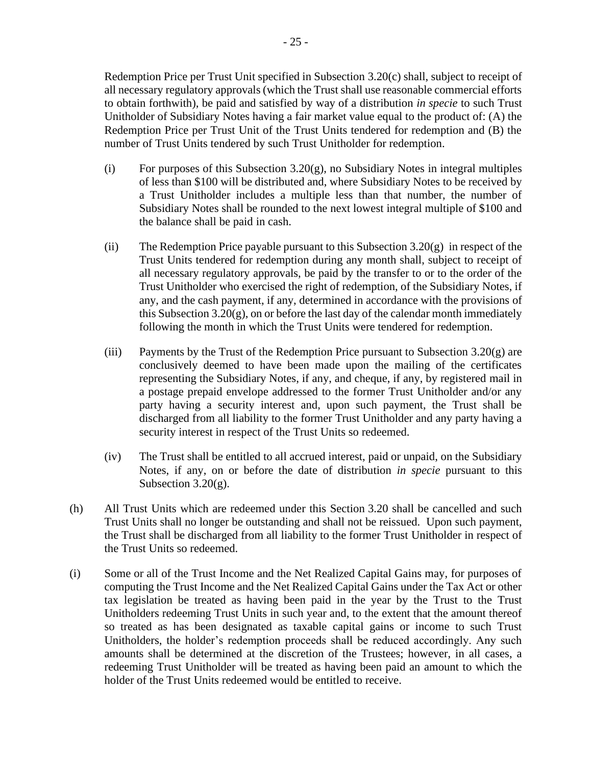Redemption Price per Trust Unit specified in Subsection [3.20](#page-26-3)[\(c\)](#page-27-0) shall, subject to receipt of all necessary regulatory approvals (which the Trust shall use reasonable commercial efforts to obtain forthwith), be paid and satisfied by way of a distribution *in specie* to such Trust Unitholder of Subsidiary Notes having a fair market value equal to the product of: (A) the Redemption Price per Trust Unit of the Trust Units tendered for redemption and (B) the number of Trust Units tendered by such Trust Unitholder for redemption.

- (i) For purposes of this Subsection  $3.20(g)$ , no Subsidiary Notes in integral multiples of less than \$100 will be distributed and, where Subsidiary Notes to be received by a Trust Unitholder includes a multiple less than that number, the number of Subsidiary Notes shall be rounded to the next lowest integral multiple of \$100 and the balance shall be paid in cash.
- (ii) The Redemption Price payable pursuant to this Subsection  $3.20(g)$  $3.20(g)$  in respect of the Trust Units tendered for redemption during any month shall, subject to receipt of all necessary regulatory approvals, be paid by the transfer to or to the order of the Trust Unitholder who exercised the right of redemption, of the Subsidiary Notes, if any, and the cash payment, if any, determined in accordance with the provisions of this Subsectio[n 3.20](#page-26-3)[\(g\),](#page-29-1) on or before the last day of the calendar month immediately following the month in which the Trust Units were tendered for redemption.
- (iii) Payments by the Trust of the Redemption Price pursuant to Subsection  $3.20(g)$  $3.20(g)$  are conclusively deemed to have been made upon the mailing of the certificates representing the Subsidiary Notes, if any, and cheque, if any, by registered mail in a postage prepaid envelope addressed to the former Trust Unitholder and/or any party having a security interest and, upon such payment, the Trust shall be discharged from all liability to the former Trust Unitholder and any party having a security interest in respect of the Trust Units so redeemed.
- (iv) The Trust shall be entitled to all accrued interest, paid or unpaid, on the Subsidiary Notes, if any, on or before the date of distribution *in specie* pursuant to this Subsection [3.20](#page-26-3)[\(g\).](#page-29-1)
- (h) All Trust Units which are redeemed under this Section [3.20](#page-26-3) shall be cancelled and such Trust Units shall no longer be outstanding and shall not be reissued. Upon such payment, the Trust shall be discharged from all liability to the former Trust Unitholder in respect of the Trust Units so redeemed.
- (i) Some or all of the Trust Income and the Net Realized Capital Gains may, for purposes of computing the Trust Income and the Net Realized Capital Gains under the Tax Act or other tax legislation be treated as having been paid in the year by the Trust to the Trust Unitholders redeeming Trust Units in such year and, to the extent that the amount thereof so treated as has been designated as taxable capital gains or income to such Trust Unitholders, the holder's redemption proceeds shall be reduced accordingly. Any such amounts shall be determined at the discretion of the Trustees; however, in all cases, a redeeming Trust Unitholder will be treated as having been paid an amount to which the holder of the Trust Units redeemed would be entitled to receive.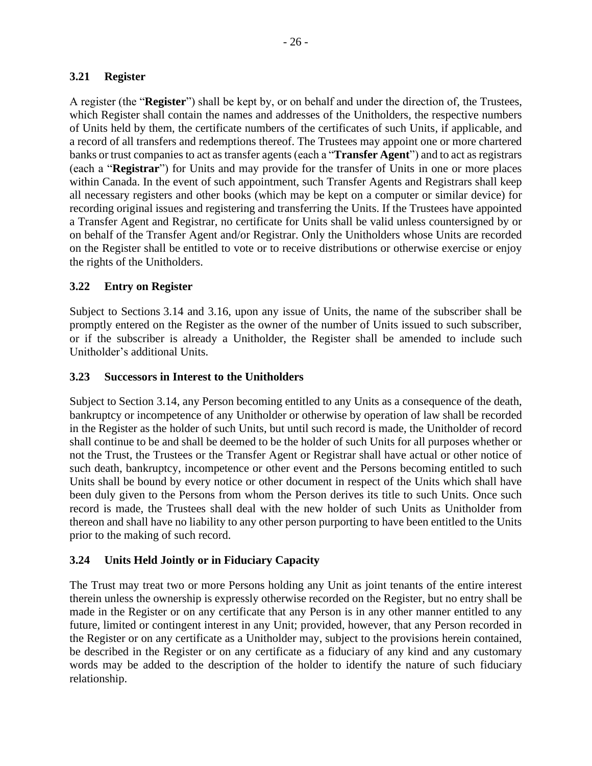## <span id="page-31-0"></span>**3.21 Register**

A register (the "**Register**") shall be kept by, or on behalf and under the direction of, the Trustees, which Register shall contain the names and addresses of the Unitholders, the respective numbers of Units held by them, the certificate numbers of the certificates of such Units, if applicable, and a record of all transfers and redemptions thereof. The Trustees may appoint one or more chartered banks or trust companies to act as transfer agents (each a "**Transfer Agent**") and to act as registrars (each a "**Registrar**") for Units and may provide for the transfer of Units in one or more places within Canada. In the event of such appointment, such Transfer Agents and Registrars shall keep all necessary registers and other books (which may be kept on a computer or similar device) for recording original issues and registering and transferring the Units. If the Trustees have appointed a Transfer Agent and Registrar, no certificate for Units shall be valid unless countersigned by or on behalf of the Transfer Agent and/or Registrar. Only the Unitholders whose Units are recorded on the Register shall be entitled to vote or to receive distributions or otherwise exercise or enjoy the rights of the Unitholders.

## <span id="page-31-1"></span>**3.22 Entry on Register**

Subject to Sections [3.14](#page-23-1) and [3.16,](#page-24-1) upon any issue of Units, the name of the subscriber shall be promptly entered on the Register as the owner of the number of Units issued to such subscriber, or if the subscriber is already a Unitholder, the Register shall be amended to include such Unitholder's additional Units.

## <span id="page-31-2"></span>**3.23 Successors in Interest to the Unitholders**

Subject to Section [3.14,](#page-23-1) any Person becoming entitled to any Units as a consequence of the death, bankruptcy or incompetence of any Unitholder or otherwise by operation of law shall be recorded in the Register as the holder of such Units, but until such record is made, the Unitholder of record shall continue to be and shall be deemed to be the holder of such Units for all purposes whether or not the Trust, the Trustees or the Transfer Agent or Registrar shall have actual or other notice of such death, bankruptcy, incompetence or other event and the Persons becoming entitled to such Units shall be bound by every notice or other document in respect of the Units which shall have been duly given to the Persons from whom the Person derives its title to such Units. Once such record is made, the Trustees shall deal with the new holder of such Units as Unitholder from thereon and shall have no liability to any other person purporting to have been entitled to the Units prior to the making of such record.

## <span id="page-31-3"></span>**3.24 Units Held Jointly or in Fiduciary Capacity**

The Trust may treat two or more Persons holding any Unit as joint tenants of the entire interest therein unless the ownership is expressly otherwise recorded on the Register, but no entry shall be made in the Register or on any certificate that any Person is in any other manner entitled to any future, limited or contingent interest in any Unit; provided, however, that any Person recorded in the Register or on any certificate as a Unitholder may, subject to the provisions herein contained, be described in the Register or on any certificate as a fiduciary of any kind and any customary words may be added to the description of the holder to identify the nature of such fiduciary relationship.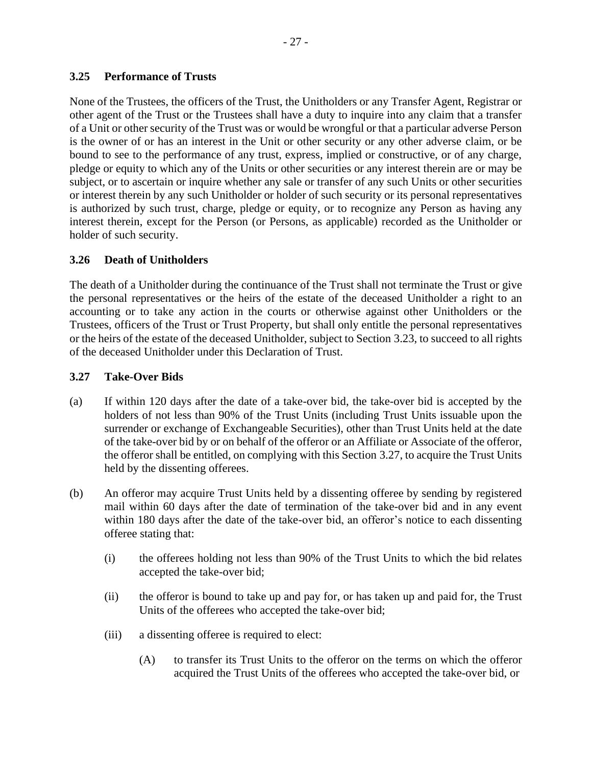## <span id="page-32-0"></span>**3.25 Performance of Trusts**

None of the Trustees, the officers of the Trust, the Unitholders or any Transfer Agent, Registrar or other agent of the Trust or the Trustees shall have a duty to inquire into any claim that a transfer of a Unit or other security of the Trust was or would be wrongful or that a particular adverse Person is the owner of or has an interest in the Unit or other security or any other adverse claim, or be bound to see to the performance of any trust, express, implied or constructive, or of any charge, pledge or equity to which any of the Units or other securities or any interest therein are or may be subject, or to ascertain or inquire whether any sale or transfer of any such Units or other securities or interest therein by any such Unitholder or holder of such security or its personal representatives is authorized by such trust, charge, pledge or equity, or to recognize any Person as having any interest therein, except for the Person (or Persons, as applicable) recorded as the Unitholder or holder of such security.

## <span id="page-32-1"></span>**3.26 Death of Unitholders**

The death of a Unitholder during the continuance of the Trust shall not terminate the Trust or give the personal representatives or the heirs of the estate of the deceased Unitholder a right to an accounting or to take any action in the courts or otherwise against other Unitholders or the Trustees, officers of the Trust or Trust Property, but shall only entitle the personal representatives or the heirs of the estate of the deceased Unitholder, subject to Section [3.23,](#page-31-2) to succeed to all rights of the deceased Unitholder under this Declaration of Trust.

## <span id="page-32-2"></span>**3.27 Take-Over Bids**

- (a) If within 120 days after the date of a take-over bid, the take-over bid is accepted by the holders of not less than 90% of the Trust Units (including Trust Units issuable upon the surrender or exchange of Exchangeable Securities), other than Trust Units held at the date of the take-over bid by or on behalf of the offeror or an Affiliate or Associate of the offeror, the offeror shall be entitled, on complying with this Section [3.27,](#page-32-2) to acquire the Trust Units held by the dissenting offerees.
- <span id="page-32-3"></span>(b) An offeror may acquire Trust Units held by a dissenting offeree by sending by registered mail within 60 days after the date of termination of the take-over bid and in any event within 180 days after the date of the take-over bid, an offeror's notice to each dissenting offeree stating that:
	- (i) the offerees holding not less than 90% of the Trust Units to which the bid relates accepted the take-over bid;
	- (ii) the offeror is bound to take up and pay for, or has taken up and paid for, the Trust Units of the offerees who accepted the take-over bid;
	- (iii) a dissenting offeree is required to elect:
		- (A) to transfer its Trust Units to the offeror on the terms on which the offeror acquired the Trust Units of the offerees who accepted the take-over bid, or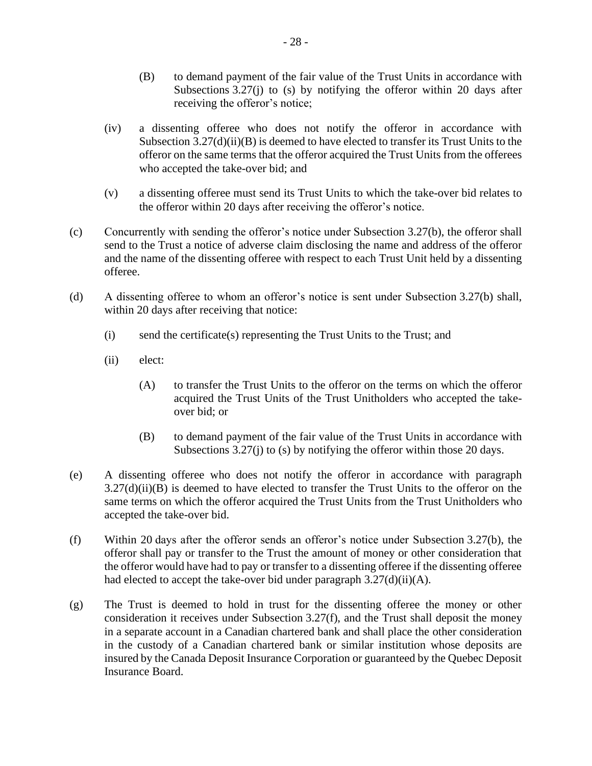- (B) to demand payment of the fair value of the Trust Units in accordance with Subsections  $3.27(i)$  to [\(s\)](#page-35-0) by notifying the offeror within 20 days after receiving the offeror's notice;
- (iv) a dissenting offeree who does not notify the offeror in accordance with Subsection  $3.27(d)(ii)(B)$  is deemed to have elected to transfer its Trust Units to the offeror on the same terms that the offeror acquired the Trust Units from the offerees who accepted the take-over bid; and
- (v) a dissenting offeree must send its Trust Units to which the take-over bid relates to the offeror within 20 days after receiving the offeror's notice.
- (c) Concurrently with sending the offeror's notice under Subsection [3.27\(b\),](#page-32-3) the offeror shall send to the Trust a notice of adverse claim disclosing the name and address of the offeror and the name of the dissenting offeree with respect to each Trust Unit held by a dissenting offeree.
- <span id="page-33-5"></span><span id="page-33-3"></span><span id="page-33-1"></span>(d) A dissenting offeree to whom an offeror's notice is sent under Subsection [3.27\(b\)](#page-32-3) shall, within 20 days after receiving that notice:
	- (i) send the certificate(s) representing the Trust Units to the Trust; and
	- (ii) elect:
		- (A) to transfer the Trust Units to the offeror on the terms on which the offeror acquired the Trust Units of the Trust Unitholders who accepted the takeover bid; or
		- (B) to demand payment of the fair value of the Trust Units in accordance with Subsections [3.27\(j\)](#page-34-0) to [\(s\)](#page-35-0) by notifying the offeror within those 20 days.
- <span id="page-33-0"></span>(e) A dissenting offeree who does not notify the offeror in accordance with paragraph  $3.27(d)(ii)(B)$  is deemed to have elected to transfer the Trust Units to the offeror on the same terms on which the offeror acquired the Trust Units from the Trust Unitholders who accepted the take-over bid.
- <span id="page-33-2"></span>(f) Within 20 days after the offeror sends an offeror's notice under Subsection [3.27\(b\),](#page-32-3) the offeror shall pay or transfer to the Trust the amount of money or other consideration that the offeror would have had to pay or transfer to a dissenting offeree if the dissenting offeree had elected to accept the take-over bid under paragraph  $3.27(d)(ii)(A)$ .
- <span id="page-33-4"></span>(g) The Trust is deemed to hold in trust for the dissenting offeree the money or other consideration it receives under Subsection [3.27\(f\),](#page-33-2) and the Trust shall deposit the money in a separate account in a Canadian chartered bank and shall place the other consideration in the custody of a Canadian chartered bank or similar institution whose deposits are insured by the Canada Deposit Insurance Corporation or guaranteed by the Quebec Deposit Insurance Board.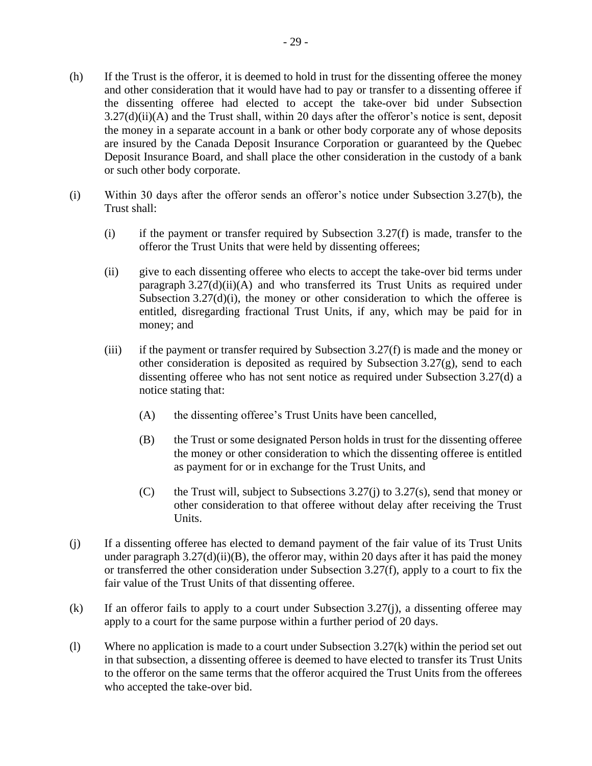- <span id="page-34-2"></span>(h) If the Trust is the offeror, it is deemed to hold in trust for the dissenting offeree the money and other consideration that it would have had to pay or transfer to a dissenting offeree if the dissenting offeree had elected to accept the take-over bid under Subsection  $3.27(d)(ii)(A)$  and the Trust shall, within 20 days after the offeror's notice is sent, deposit the money in a separate account in a bank or other body corporate any of whose deposits are insured by the Canada Deposit Insurance Corporation or guaranteed by the Quebec Deposit Insurance Board, and shall place the other consideration in the custody of a bank or such other body corporate.
- (i) Within 30 days after the offeror sends an offeror's notice under Subsection [3.27\(b\),](#page-32-3) the Trust shall:
	- (i) if the payment or transfer required by Subsection  $3.27(f)$  is made, transfer to the offeror the Trust Units that were held by dissenting offerees;
	- (ii) give to each dissenting offeree who elects to accept the take-over bid terms under paragraph  $3.27(d)(ii)(A)$  and who transferred its Trust Units as required under Subsection  $3.27(d)(i)$ , the money or other consideration to which the offeree is entitled, disregarding fractional Trust Units, if any, which may be paid for in money; and
	- (iii) if the payment or transfer required by Subsection [3.27\(f\)](#page-33-2) is made and the money or other consideration is deposited as required by Subsection [3.27\(g\),](#page-33-4) send to each dissenting offeree who has not sent notice as required under Subsection [3.27\(d\)](#page-33-5) a notice stating that:
		- (A) the dissenting offeree's Trust Units have been cancelled,
		- (B) the Trust or some designated Person holds in trust for the dissenting offeree the money or other consideration to which the dissenting offeree is entitled as payment for or in exchange for the Trust Units, and
		- (C) the Trust will, subject to Subsections  $3.27(i)$  to  $3.27(s)$ , send that money or other consideration to that offeree without delay after receiving the Trust Units.
- <span id="page-34-0"></span>(j) If a dissenting offeree has elected to demand payment of the fair value of its Trust Units under paragraph  $3.27(d)(ii)(B)$ , the offeror may, within 20 days after it has paid the money or transferred the other consideration under Subsection [3.27\(f\),](#page-33-2) apply to a court to fix the fair value of the Trust Units of that dissenting offeree.
- <span id="page-34-1"></span>(k) If an offeror fails to apply to a court under Subsection  $3.27(i)$ , a dissenting offeree may apply to a court for the same purpose within a further period of 20 days.
- (l) Where no application is made to a court under Subsection [3.27\(k\)](#page-34-1) within the period set out in that subsection, a dissenting offeree is deemed to have elected to transfer its Trust Units to the offeror on the same terms that the offeror acquired the Trust Units from the offerees who accepted the take-over bid.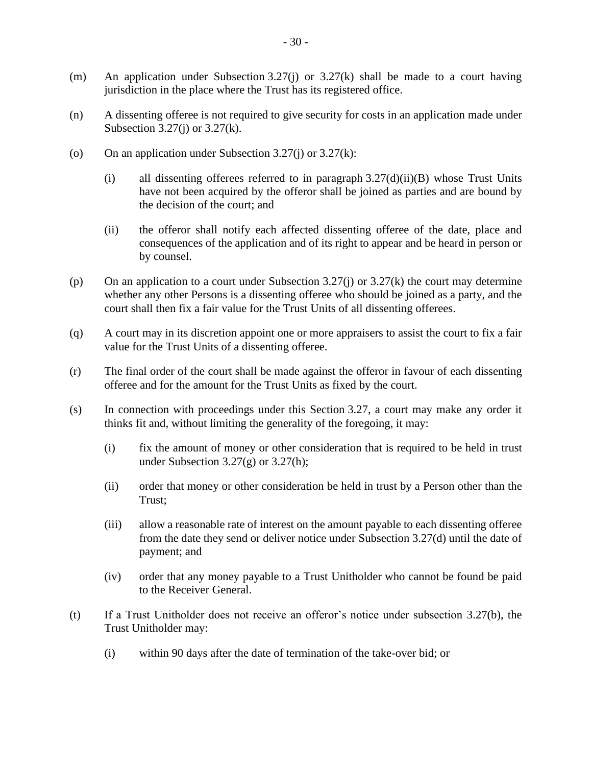- (m) An application under Subsection [3.27\(j\)](#page-34-0) or  $3.27(k)$  shall be made to a court having jurisdiction in the place where the Trust has its registered office.
- (n) A dissenting offeree is not required to give security for costs in an application made under Subsection  $3.27(i)$  or  $3.27(k)$ .
- (o) On an application under Subsection [3.27\(j\)](#page-34-0) or  $3.27(k)$ :
	- (i) all dissenting offerees referred to in paragraph  $3.27(d)(ii)(B)$  whose Trust Units have not been acquired by the offeror shall be joined as parties and are bound by the decision of the court; and
	- (ii) the offeror shall notify each affected dissenting offeree of the date, place and consequences of the application and of its right to appear and be heard in person or by counsel.
- (p) On an application to a court under Subsection  $3.27(i)$  or  $3.27(k)$  the court may determine whether any other Persons is a dissenting offeree who should be joined as a party, and the court shall then fix a fair value for the Trust Units of all dissenting offerees.
- (q) A court may in its discretion appoint one or more appraisers to assist the court to fix a fair value for the Trust Units of a dissenting offeree.
- (r) The final order of the court shall be made against the offeror in favour of each dissenting offeree and for the amount for the Trust Units as fixed by the court.
- <span id="page-35-0"></span>(s) In connection with proceedings under this Section [3.27,](#page-32-2) a court may make any order it thinks fit and, without limiting the generality of the foregoing, it may:
	- (i) fix the amount of money or other consideration that is required to be held in trust under Subsection  $3.27(g)$  or  $3.27(h)$ ;
	- (ii) order that money or other consideration be held in trust by a Person other than the Trust;
	- (iii) allow a reasonable rate of interest on the amount payable to each dissenting offeree from the date they send or deliver notice under Subsection [3.27\(d\)](#page-33-5) until the date of payment; and
	- (iv) order that any money payable to a Trust Unitholder who cannot be found be paid to the Receiver General.
- (t) If a Trust Unitholder does not receive an offeror's notice under subsection [3.27\(b\),](#page-32-3) the Trust Unitholder may:
	- (i) within 90 days after the date of termination of the take-over bid; or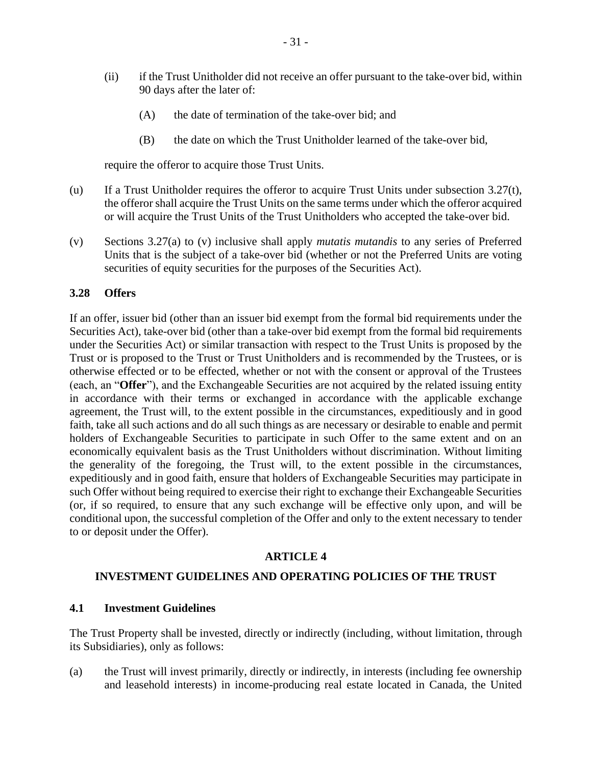- (ii) if the Trust Unitholder did not receive an offer pursuant to the take-over bid, within 90 days after the later of:
	- (A) the date of termination of the take-over bid; and
	- (B) the date on which the Trust Unitholder learned of the take-over bid,

require the offeror to acquire those Trust Units.

- (u) If a Trust Unitholder requires the offeror to acquire Trust Units under subsection [3.27\(t\),](#page-35-0) the offeror shall acquire the Trust Units on the same terms under which the offeror acquired or will acquire the Trust Units of the Trust Unitholders who accepted the take-over bid.
- <span id="page-36-0"></span>(v) Sections [3.27\(a\)](#page-32-0) to [\(v\)](#page-36-0) inclusive shall apply *mutatis mutandis* to any series of Preferred Units that is the subject of a take-over bid (whether or not the Preferred Units are voting securities of equity securities for the purposes of the Securities Act).

#### **3.28 Offers**

If an offer, issuer bid (other than an issuer bid exempt from the formal bid requirements under the Securities Act), take-over bid (other than a take-over bid exempt from the formal bid requirements under the Securities Act) or similar transaction with respect to the Trust Units is proposed by the Trust or is proposed to the Trust or Trust Unitholders and is recommended by the Trustees, or is otherwise effected or to be effected, whether or not with the consent or approval of the Trustees (each, an "**Offer**"), and the Exchangeable Securities are not acquired by the related issuing entity in accordance with their terms or exchanged in accordance with the applicable exchange agreement, the Trust will, to the extent possible in the circumstances, expeditiously and in good faith, take all such actions and do all such things as are necessary or desirable to enable and permit holders of Exchangeable Securities to participate in such Offer to the same extent and on an economically equivalent basis as the Trust Unitholders without discrimination. Without limiting the generality of the foregoing, the Trust will, to the extent possible in the circumstances, expeditiously and in good faith, ensure that holders of Exchangeable Securities may participate in such Offer without being required to exercise their right to exchange their Exchangeable Securities (or, if so required, to ensure that any such exchange will be effective only upon, and will be conditional upon, the successful completion of the Offer and only to the extent necessary to tender to or deposit under the Offer).

#### **ARTICLE 4**

#### <span id="page-36-2"></span>**INVESTMENT GUIDELINES AND OPERATING POLICIES OF THE TRUST**

#### <span id="page-36-3"></span>**4.1 Investment Guidelines**

The Trust Property shall be invested, directly or indirectly (including, without limitation, through its Subsidiaries), only as follows:

<span id="page-36-1"></span>(a) the Trust will invest primarily, directly or indirectly, in interests (including fee ownership and leasehold interests) in income-producing real estate located in Canada, the United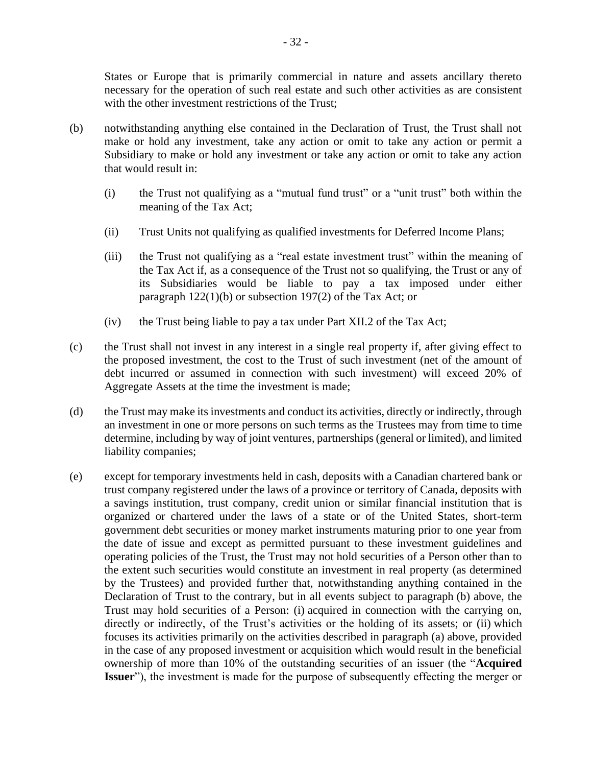States or Europe that is primarily commercial in nature and assets ancillary thereto necessary for the operation of such real estate and such other activities as are consistent with the other investment restrictions of the Trust;

- <span id="page-37-0"></span>(b) notwithstanding anything else contained in the Declaration of Trust, the Trust shall not make or hold any investment, take any action or omit to take any action or permit a Subsidiary to make or hold any investment or take any action or omit to take any action that would result in:
	- (i) the Trust not qualifying as a "mutual fund trust" or a "unit trust" both within the meaning of the Tax Act;
	- (ii) Trust Units not qualifying as qualified investments for Deferred Income Plans;
	- (iii) the Trust not qualifying as a "real estate investment trust" within the meaning of the Tax Act if, as a consequence of the Trust not so qualifying, the Trust or any of its Subsidiaries would be liable to pay a tax imposed under either paragraph 122(1)(b) or subsection 197(2) of the Tax Act; or
	- (iv) the Trust being liable to pay a tax under Part XII.2 of the Tax Act;
- (c) the Trust shall not invest in any interest in a single real property if, after giving effect to the proposed investment, the cost to the Trust of such investment (net of the amount of debt incurred or assumed in connection with such investment) will exceed 20% of Aggregate Assets at the time the investment is made;
- <span id="page-37-1"></span>(d) the Trust may make its investments and conduct its activities, directly or indirectly, through an investment in one or more persons on such terms as the Trustees may from time to time determine, including by way of joint ventures, partnerships (general or limited), and limited liability companies;
- <span id="page-37-2"></span>(e) except for temporary investments held in cash, deposits with a Canadian chartered bank or trust company registered under the laws of a province or territory of Canada, deposits with a savings institution, trust company, credit union or similar financial institution that is organized or chartered under the laws of a state or of the United States, short-term government debt securities or money market instruments maturing prior to one year from the date of issue and except as permitted pursuant to these investment guidelines and operating policies of the Trust, the Trust may not hold securities of a Person other than to the extent such securities would constitute an investment in real property (as determined by the Trustees) and provided further that, notwithstanding anything contained in the Declaration of Trust to the contrary, but in all events subject to paragraph [\(b\)](#page-37-0) above, the Trust may hold securities of a Person: (i) acquired in connection with the carrying on, directly or indirectly, of the Trust's activities or the holding of its assets; or (ii) which focuses its activities primarily on the activities described in paragraph [\(a\)](#page-36-1) above, provided in the case of any proposed investment or acquisition which would result in the beneficial ownership of more than 10% of the outstanding securities of an issuer (the "**Acquired Issuer**"), the investment is made for the purpose of subsequently effecting the merger or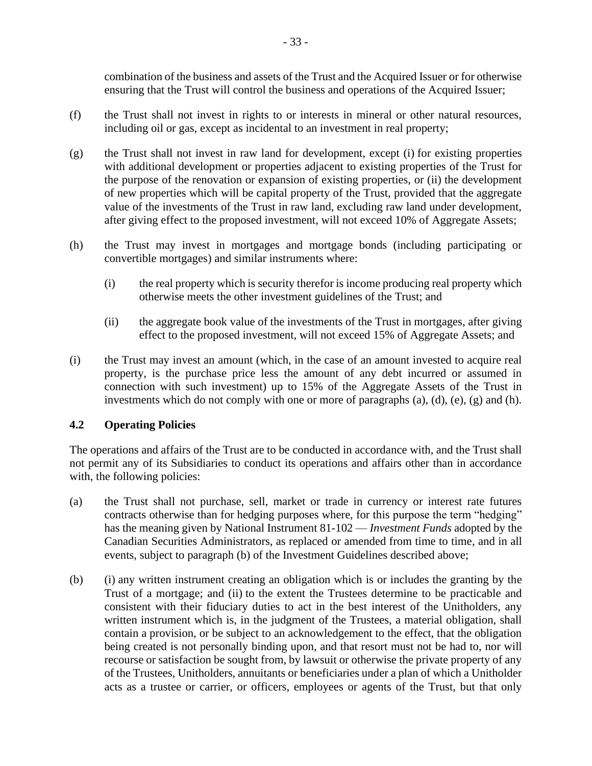combination of the business and assets of the Trust and the Acquired Issuer or for otherwise ensuring that the Trust will control the business and operations of the Acquired Issuer;

- (f) the Trust shall not invest in rights to or interests in mineral or other natural resources, including oil or gas, except as incidental to an investment in real property;
- <span id="page-38-0"></span>(g) the Trust shall not invest in raw land for development, except (i) for existing properties with additional development or properties adjacent to existing properties of the Trust for the purpose of the renovation or expansion of existing properties, or (ii) the development of new properties which will be capital property of the Trust, provided that the aggregate value of the investments of the Trust in raw land, excluding raw land under development, after giving effect to the proposed investment, will not exceed 10% of Aggregate Assets;
- <span id="page-38-1"></span>(h) the Trust may invest in mortgages and mortgage bonds (including participating or convertible mortgages) and similar instruments where:
	- (i) the real property which is security therefor is income producing real property which otherwise meets the other investment guidelines of the Trust; and
	- (ii) the aggregate book value of the investments of the Trust in mortgages, after giving effect to the proposed investment, will not exceed 15% of Aggregate Assets; and
- (i) the Trust may invest an amount (which, in the case of an amount invested to acquire real property, is the purchase price less the amount of any debt incurred or assumed in connection with such investment) up to 15% of the Aggregate Assets of the Trust in investments which do not comply with one or more of paragraphs  $(a)$ ,  $(d)$ ,  $(e)$ ,  $(g)$  and  $(h)$ .

#### <span id="page-38-2"></span>**4.2 Operating Policies**

The operations and affairs of the Trust are to be conducted in accordance with, and the Trust shall not permit any of its Subsidiaries to conduct its operations and affairs other than in accordance with, the following policies:

- (a) the Trust shall not purchase, sell, market or trade in currency or interest rate futures contracts otherwise than for hedging purposes where, for this purpose the term "hedging" has the meaning given by National Instrument 81-102 — *Investment Funds* adopted by the Canadian Securities Administrators, as replaced or amended from time to time, and in all events, subject to paragraph [\(b\)](#page-37-0) of the Investment Guidelines described above;
- (b) (i) any written instrument creating an obligation which is or includes the granting by the Trust of a mortgage; and (ii) to the extent the Trustees determine to be practicable and consistent with their fiduciary duties to act in the best interest of the Unitholders, any written instrument which is, in the judgment of the Trustees, a material obligation, shall contain a provision, or be subject to an acknowledgement to the effect, that the obligation being created is not personally binding upon, and that resort must not be had to, nor will recourse or satisfaction be sought from, by lawsuit or otherwise the private property of any of the Trustees, Unitholders, annuitants or beneficiaries under a plan of which a Unitholder acts as a trustee or carrier, or officers, employees or agents of the Trust, but that only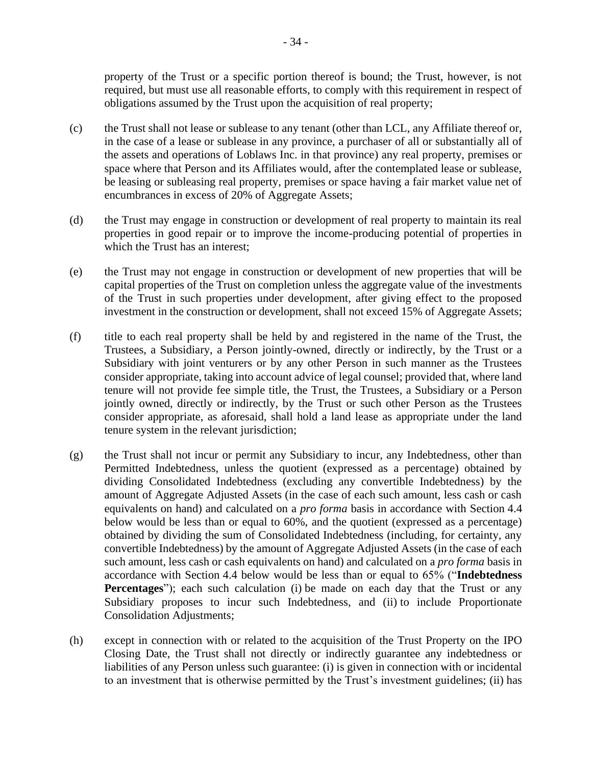property of the Trust or a specific portion thereof is bound; the Trust, however, is not required, but must use all reasonable efforts, to comply with this requirement in respect of obligations assumed by the Trust upon the acquisition of real property;

- (c) the Trust shall not lease or sublease to any tenant (other than LCL, any Affiliate thereof or, in the case of a lease or sublease in any province, a purchaser of all or substantially all of the assets and operations of Loblaws Inc. in that province) any real property, premises or space where that Person and its Affiliates would, after the contemplated lease or sublease, be leasing or subleasing real property, premises or space having a fair market value net of encumbrances in excess of 20% of Aggregate Assets;
- (d) the Trust may engage in construction or development of real property to maintain its real properties in good repair or to improve the income-producing potential of properties in which the Trust has an interest;
- (e) the Trust may not engage in construction or development of new properties that will be capital properties of the Trust on completion unless the aggregate value of the investments of the Trust in such properties under development, after giving effect to the proposed investment in the construction or development, shall not exceed 15% of Aggregate Assets;
- (f) title to each real property shall be held by and registered in the name of the Trust, the Trustees, a Subsidiary, a Person jointly-owned, directly or indirectly, by the Trust or a Subsidiary with joint venturers or by any other Person in such manner as the Trustees consider appropriate, taking into account advice of legal counsel; provided that, where land tenure will not provide fee simple title, the Trust, the Trustees, a Subsidiary or a Person jointly owned, directly or indirectly, by the Trust or such other Person as the Trustees consider appropriate, as aforesaid, shall hold a land lease as appropriate under the land tenure system in the relevant jurisdiction;
- <span id="page-39-0"></span>(g) the Trust shall not incur or permit any Subsidiary to incur, any Indebtedness, other than Permitted Indebtedness, unless the quotient (expressed as a percentage) obtained by dividing Consolidated Indebtedness (excluding any convertible Indebtedness) by the amount of Aggregate Adjusted Assets (in the case of each such amount, less cash or cash equivalents on hand) and calculated on a *pro forma* basis in accordance with Section [4.4](#page-42-0) below would be less than or equal to 60%, and the quotient (expressed as a percentage) obtained by dividing the sum of Consolidated Indebtedness (including, for certainty, any convertible Indebtedness) by the amount of Aggregate Adjusted Assets (in the case of each such amount, less cash or cash equivalents on hand) and calculated on a *pro forma* basis in accordance with Section [4.4](#page-42-0) below would be less than or equal to 65% ("**Indebtedness Percentages**"); each such calculation (i) be made on each day that the Trust or any Subsidiary proposes to incur such Indebtedness, and (ii) to include Proportionate Consolidation Adjustments;
- (h) except in connection with or related to the acquisition of the Trust Property on the IPO Closing Date, the Trust shall not directly or indirectly guarantee any indebtedness or liabilities of any Person unless such guarantee: (i) is given in connection with or incidental to an investment that is otherwise permitted by the Trust's investment guidelines; (ii) has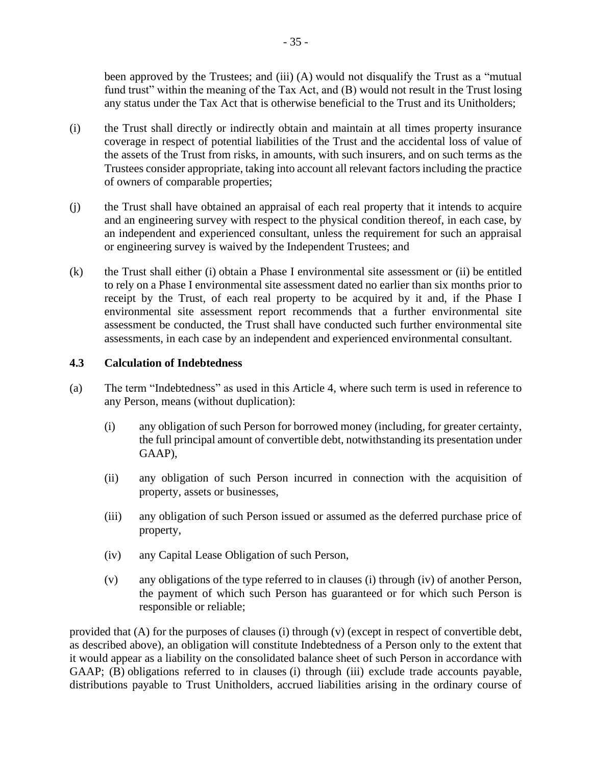been approved by the Trustees; and (iii) (A) would not disqualify the Trust as a "mutual fund trust" within the meaning of the Tax Act, and (B) would not result in the Trust losing any status under the Tax Act that is otherwise beneficial to the Trust and its Unitholders;

- (i) the Trust shall directly or indirectly obtain and maintain at all times property insurance coverage in respect of potential liabilities of the Trust and the accidental loss of value of the assets of the Trust from risks, in amounts, with such insurers, and on such terms as the Trustees consider appropriate, taking into account all relevant factors including the practice of owners of comparable properties;
- (j) the Trust shall have obtained an appraisal of each real property that it intends to acquire and an engineering survey with respect to the physical condition thereof, in each case, by an independent and experienced consultant, unless the requirement for such an appraisal or engineering survey is waived by the Independent Trustees; and
- (k) the Trust shall either (i) obtain a Phase I environmental site assessment or (ii) be entitled to rely on a Phase I environmental site assessment dated no earlier than six months prior to receipt by the Trust, of each real property to be acquired by it and, if the Phase I environmental site assessment report recommends that a further environmental site assessment be conducted, the Trust shall have conducted such further environmental site assessments, in each case by an independent and experienced environmental consultant.

#### **4.3 Calculation of Indebtedness**

- <span id="page-40-0"></span>(a) The term "Indebtedness" as used in this [Article](#page-36-2) 4, where such term is used in reference to any Person, means (without duplication):
	- (i) any obligation of such Person for borrowed money (including, for greater certainty, the full principal amount of convertible debt, notwithstanding its presentation under GAAP),
	- (ii) any obligation of such Person incurred in connection with the acquisition of property, assets or businesses,
	- (iii) any obligation of such Person issued or assumed as the deferred purchase price of property,
	- (iv) any Capital Lease Obligation of such Person,
	- (v) any obligations of the type referred to in clauses [\(i\)](#page-40-0) through [\(iv\)](#page-40-1) of another Person, the payment of which such Person has guaranteed or for which such Person is responsible or reliable;

<span id="page-40-3"></span><span id="page-40-2"></span><span id="page-40-1"></span>provided that (A) for the purposes of clauses [\(i\)](#page-40-0) through [\(v\)](#page-40-2) (except in respect of convertible debt, as described above), an obligation will constitute Indebtedness of a Person only to the extent that it would appear as a liability on the consolidated balance sheet of such Person in accordance with GAAP; (B) obligations referred to in clauses [\(i\)](#page-40-0) through [\(iii\)](#page-40-3) exclude trade accounts payable, distributions payable to Trust Unitholders, accrued liabilities arising in the ordinary course of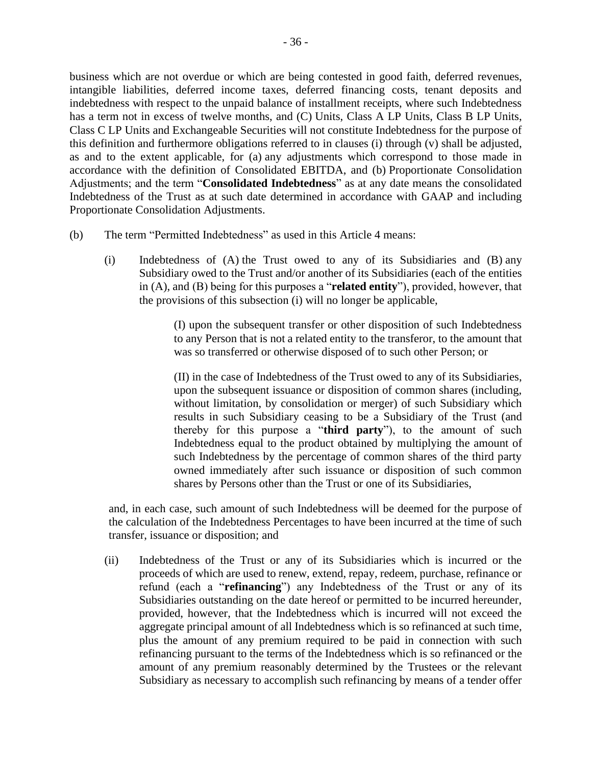business which are not overdue or which are being contested in good faith, deferred revenues, intangible liabilities, deferred income taxes, deferred financing costs, tenant deposits and indebtedness with respect to the unpaid balance of installment receipts, where such Indebtedness has a term not in excess of twelve months, and (C) Units, Class A LP Units, Class B LP Units, Class C LP Units and Exchangeable Securities will not constitute Indebtedness for the purpose of this definition and furthermore obligations referred to in clauses [\(i\)](#page-40-0) through [\(v\)](#page-40-2) shall be adjusted, as and to the extent applicable, for (a) any adjustments which correspond to those made in accordance with the definition of Consolidated EBITDA, and (b) Proportionate Consolidation Adjustments; and the term "**Consolidated Indebtedness**" as at any date means the consolidated Indebtedness of the Trust as at such date determined in accordance with GAAP and including Proportionate Consolidation Adjustments.

- <span id="page-41-0"></span>(b) The term "Permitted Indebtedness" as used in this [Article](#page-36-2) 4 means:
	- (i) Indebtedness of (A) the Trust owed to any of its Subsidiaries and (B) any Subsidiary owed to the Trust and/or another of its Subsidiaries (each of the entities in (A), and (B) being for this purposes a "**related entity**"), provided, however, that the provisions of this subsection [\(i\)](#page-41-0) will no longer be applicable,

(I) upon the subsequent transfer or other disposition of such Indebtedness to any Person that is not a related entity to the transferor, to the amount that was so transferred or otherwise disposed of to such other Person; or

(II) in the case of Indebtedness of the Trust owed to any of its Subsidiaries, upon the subsequent issuance or disposition of common shares (including, without limitation, by consolidation or merger) of such Subsidiary which results in such Subsidiary ceasing to be a Subsidiary of the Trust (and thereby for this purpose a "**third party**"), to the amount of such Indebtedness equal to the product obtained by multiplying the amount of such Indebtedness by the percentage of common shares of the third party owned immediately after such issuance or disposition of such common shares by Persons other than the Trust or one of its Subsidiaries,

and, in each case, such amount of such Indebtedness will be deemed for the purpose of the calculation of the Indebtedness Percentages to have been incurred at the time of such transfer, issuance or disposition; and

(ii) Indebtedness of the Trust or any of its Subsidiaries which is incurred or the proceeds of which are used to renew, extend, repay, redeem, purchase, refinance or refund (each a "**refinancing**") any Indebtedness of the Trust or any of its Subsidiaries outstanding on the date hereof or permitted to be incurred hereunder, provided, however, that the Indebtedness which is incurred will not exceed the aggregate principal amount of all Indebtedness which is so refinanced at such time, plus the amount of any premium required to be paid in connection with such refinancing pursuant to the terms of the Indebtedness which is so refinanced or the amount of any premium reasonably determined by the Trustees or the relevant Subsidiary as necessary to accomplish such refinancing by means of a tender offer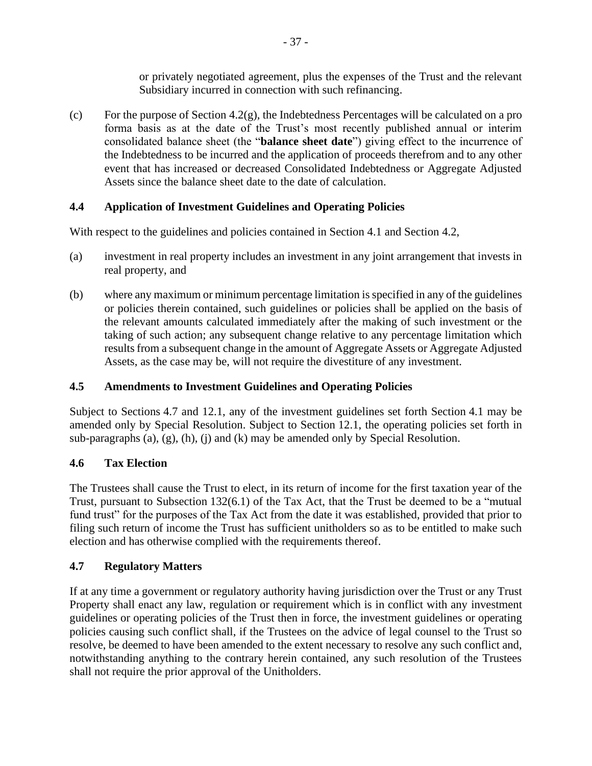or privately negotiated agreement, plus the expenses of the Trust and the relevant Subsidiary incurred in connection with such refinancing.

(c) For the purpose of Section [4.2\(g\),](#page-39-0) the Indebtedness Percentages will be calculated on a pro forma basis as at the date of the Trust's most recently published annual or interim consolidated balance sheet (the "**balance sheet date**") giving effect to the incurrence of the Indebtedness to be incurred and the application of proceeds therefrom and to any other event that has increased or decreased Consolidated Indebtedness or Aggregate Adjusted Assets since the balance sheet date to the date of calculation.

## <span id="page-42-0"></span>**4.4 Application of Investment Guidelines and Operating Policies**

With respect to the guidelines and policies contained in Section [4.1](#page-36-3) and Section [4.2,](#page-38-2)

- (a) investment in real property includes an investment in any joint arrangement that invests in real property, and
- (b) where any maximum or minimum percentage limitation is specified in any of the guidelines or policies therein contained, such guidelines or policies shall be applied on the basis of the relevant amounts calculated immediately after the making of such investment or the taking of such action; any subsequent change relative to any percentage limitation which results from a subsequent change in the amount of Aggregate Assets or Aggregate Adjusted Assets, as the case may be, will not require the divestiture of any investment.

## **4.5 Amendments to Investment Guidelines and Operating Policies**

Subject to Sections [4.7](#page-42-1) and [12.1,](#page-70-0) any of the investment guidelines set forth Section [4.1](#page-36-3) may be amended only by Special Resolution. Subject to Section [12.1,](#page-70-0) the operating policies set forth in sub-paragraphs (a), (g), (h), (j) and (k) may be amended only by Special Resolution.

## **4.6 Tax Election**

The Trustees shall cause the Trust to elect, in its return of income for the first taxation year of the Trust, pursuant to Subsection 132(6.1) of the Tax Act, that the Trust be deemed to be a "mutual fund trust" for the purposes of the Tax Act from the date it was established, provided that prior to filing such return of income the Trust has sufficient unitholders so as to be entitled to make such election and has otherwise complied with the requirements thereof.

## <span id="page-42-1"></span>**4.7 Regulatory Matters**

If at any time a government or regulatory authority having jurisdiction over the Trust or any Trust Property shall enact any law, regulation or requirement which is in conflict with any investment guidelines or operating policies of the Trust then in force, the investment guidelines or operating policies causing such conflict shall, if the Trustees on the advice of legal counsel to the Trust so resolve, be deemed to have been amended to the extent necessary to resolve any such conflict and, notwithstanding anything to the contrary herein contained, any such resolution of the Trustees shall not require the prior approval of the Unitholders.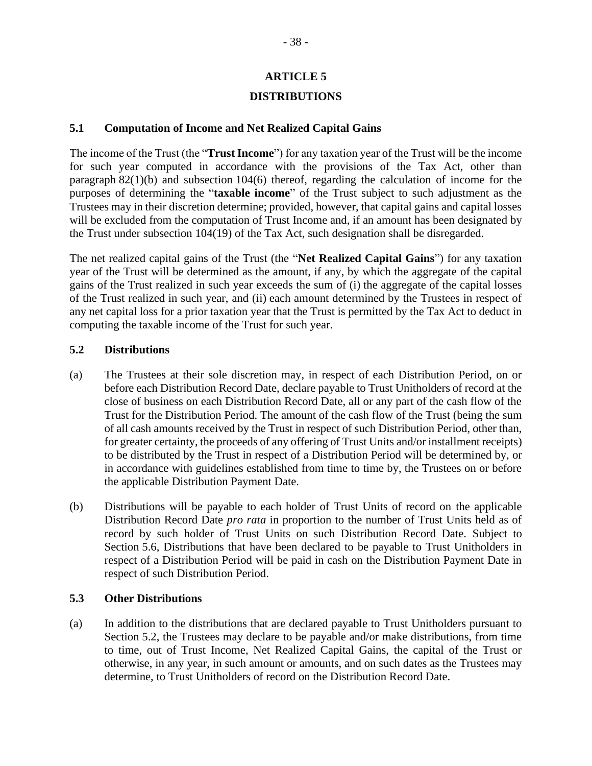## **ARTICLE 5**

## **DISTRIBUTIONS**

### <span id="page-43-3"></span>**5.1 Computation of Income and Net Realized Capital Gains**

The income of the Trust (the "**Trust Income**") for any taxation year of the Trust will be the income for such year computed in accordance with the provisions of the Tax Act, other than paragraph 82(1)(b) and subsection 104(6) thereof, regarding the calculation of income for the purposes of determining the "**taxable income**" of the Trust subject to such adjustment as the Trustees may in their discretion determine; provided, however, that capital gains and capital losses will be excluded from the computation of Trust Income and, if an amount has been designated by the Trust under subsection 104(19) of the Tax Act, such designation shall be disregarded.

The net realized capital gains of the Trust (the "**Net Realized Capital Gains**") for any taxation year of the Trust will be determined as the amount, if any, by which the aggregate of the capital gains of the Trust realized in such year exceeds the sum of (i) the aggregate of the capital losses of the Trust realized in such year, and (ii) each amount determined by the Trustees in respect of any net capital loss for a prior taxation year that the Trust is permitted by the Tax Act to deduct in computing the taxable income of the Trust for such year.

### <span id="page-43-0"></span>**5.2 Distributions**

- (a) The Trustees at their sole discretion may, in respect of each Distribution Period, on or before each Distribution Record Date, declare payable to Trust Unitholders of record at the close of business on each Distribution Record Date, all or any part of the cash flow of the Trust for the Distribution Period. The amount of the cash flow of the Trust (being the sum of all cash amounts received by the Trust in respect of such Distribution Period, other than, for greater certainty, the proceeds of any offering of Trust Units and/or installment receipts) to be distributed by the Trust in respect of a Distribution Period will be determined by, or in accordance with guidelines established from time to time by, the Trustees on or before the applicable Distribution Payment Date.
- (b) Distributions will be payable to each holder of Trust Units of record on the applicable Distribution Record Date *pro rata* in proportion to the number of Trust Units held as of record by such holder of Trust Units on such Distribution Record Date. Subject to Section [5.6,](#page-45-0) Distributions that have been declared to be payable to Trust Unitholders in respect of a Distribution Period will be paid in cash on the Distribution Payment Date in respect of such Distribution Period.

## <span id="page-43-1"></span>**5.3 Other Distributions**

<span id="page-43-2"></span>(a) In addition to the distributions that are declared payable to Trust Unitholders pursuant to Section [5.2,](#page-43-0) the Trustees may declare to be payable and/or make distributions, from time to time, out of Trust Income, Net Realized Capital Gains, the capital of the Trust or otherwise, in any year, in such amount or amounts, and on such dates as the Trustees may determine, to Trust Unitholders of record on the Distribution Record Date.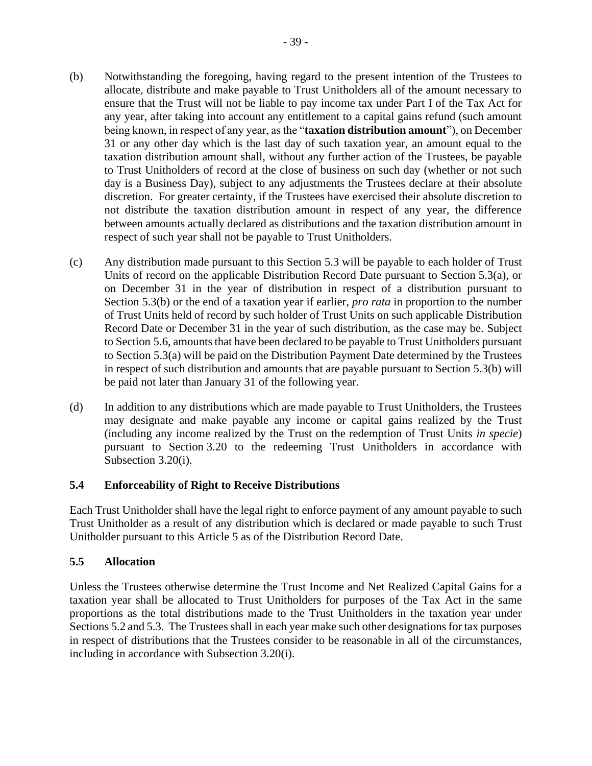- <span id="page-44-0"></span>(b) Notwithstanding the foregoing, having regard to the present intention of the Trustees to allocate, distribute and make payable to Trust Unitholders all of the amount necessary to ensure that the Trust will not be liable to pay income tax under Part I of the Tax Act for any year, after taking into account any entitlement to a capital gains refund (such amount being known, in respect of any year, as the "**taxation distribution amount**"), on December 31 or any other day which is the last day of such taxation year, an amount equal to the taxation distribution amount shall, without any further action of the Trustees, be payable to Trust Unitholders of record at the close of business on such day (whether or not such day is a Business Day), subject to any adjustments the Trustees declare at their absolute discretion. For greater certainty, if the Trustees have exercised their absolute discretion to not distribute the taxation distribution amount in respect of any year, the difference between amounts actually declared as distributions and the taxation distribution amount in respect of such year shall not be payable to Trust Unitholders.
- (c) Any distribution made pursuant to this Section [5.3](#page-43-1) will be payable to each holder of Trust Units of record on the applicable Distribution Record Date pursuant to Section [5.3\(a\),](#page-43-2) or on December 31 in the year of distribution in respect of a distribution pursuant to Section [5.3\(b\)](#page-44-0) or the end of a taxation year if earlier, *pro rata* in proportion to the number of Trust Units held of record by such holder of Trust Units on such applicable Distribution Record Date or December 31 in the year of such distribution, as the case may be. Subject to Section [5.6,](#page-45-0) amounts that have been declared to be payable to Trust Unitholders pursuant to Section [5.3\(a\)](#page-43-2) will be paid on the Distribution Payment Date determined by the Trustees in respect of such distribution and amounts that are payable pursuant to Section [5.3](#page-43-1)[\(b\)](#page-44-0) will be paid not later than January 31 of the following year.
- (d) In addition to any distributions which are made payable to Trust Unitholders, the Trustees may designate and make payable any income or capital gains realized by the Trust (including any income realized by the Trust on the redemption of Trust Units *in specie*) pursuant to Section [3.20](#page-26-0) to the redeeming Trust Unitholders in accordance with Subsection [3.20\(i\).](#page-30-0)

## **5.4 Enforceability of Right to Receive Distributions**

Each Trust Unitholder shall have the legal right to enforce payment of any amount payable to such Trust Unitholder as a result of any distribution which is declared or made payable to such Trust Unitholder pursuant to this [Article](#page-43-3) 5 as of the Distribution Record Date.

#### **5.5 Allocation**

Unless the Trustees otherwise determine the Trust Income and Net Realized Capital Gains for a taxation year shall be allocated to Trust Unitholders for purposes of the Tax Act in the same proportions as the total distributions made to the Trust Unitholders in the taxation year under Sections [5.2](#page-43-0) and [5.3.](#page-43-1) The Trustees shall in each year make such other designations for tax purposes in respect of distributions that the Trustees consider to be reasonable in all of the circumstances, including in accordance with Subsection [3.20\(i\).](#page-30-0)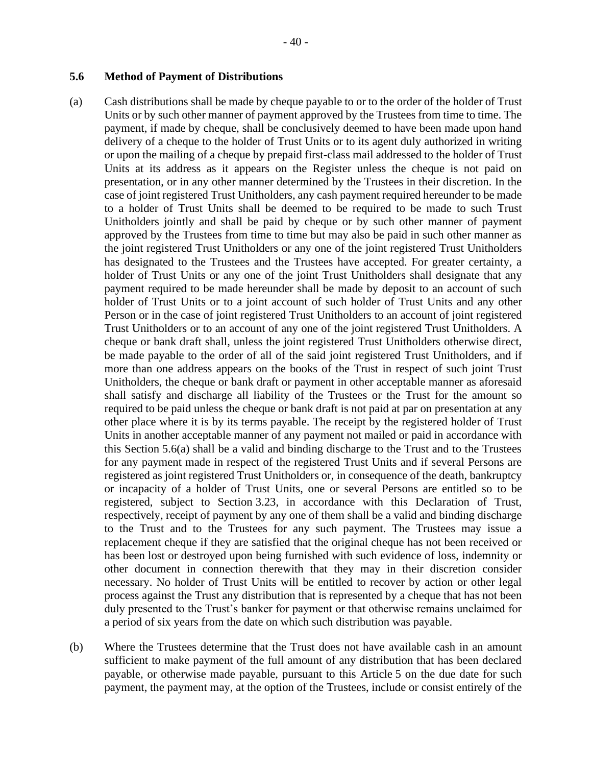#### <span id="page-45-0"></span>**5.6 Method of Payment of Distributions**

- <span id="page-45-1"></span>(a) Cash distributions shall be made by cheque payable to or to the order of the holder of Trust Units or by such other manner of payment approved by the Trustees from time to time. The payment, if made by cheque, shall be conclusively deemed to have been made upon hand delivery of a cheque to the holder of Trust Units or to its agent duly authorized in writing or upon the mailing of a cheque by prepaid first-class mail addressed to the holder of Trust Units at its address as it appears on the Register unless the cheque is not paid on presentation, or in any other manner determined by the Trustees in their discretion. In the case of joint registered Trust Unitholders, any cash payment required hereunder to be made to a holder of Trust Units shall be deemed to be required to be made to such Trust Unitholders jointly and shall be paid by cheque or by such other manner of payment approved by the Trustees from time to time but may also be paid in such other manner as the joint registered Trust Unitholders or any one of the joint registered Trust Unitholders has designated to the Trustees and the Trustees have accepted. For greater certainty, a holder of Trust Units or any one of the joint Trust Unitholders shall designate that any payment required to be made hereunder shall be made by deposit to an account of such holder of Trust Units or to a joint account of such holder of Trust Units and any other Person or in the case of joint registered Trust Unitholders to an account of joint registered Trust Unitholders or to an account of any one of the joint registered Trust Unitholders. A cheque or bank draft shall, unless the joint registered Trust Unitholders otherwise direct, be made payable to the order of all of the said joint registered Trust Unitholders, and if more than one address appears on the books of the Trust in respect of such joint Trust Unitholders, the cheque or bank draft or payment in other acceptable manner as aforesaid shall satisfy and discharge all liability of the Trustees or the Trust for the amount so required to be paid unless the cheque or bank draft is not paid at par on presentation at any other place where it is by its terms payable. The receipt by the registered holder of Trust Units in another acceptable manner of any payment not mailed or paid in accordance with this Section [5.6\(a\)](#page-45-1) shall be a valid and binding discharge to the Trust and to the Trustees for any payment made in respect of the registered Trust Units and if several Persons are registered as joint registered Trust Unitholders or, in consequence of the death, bankruptcy or incapacity of a holder of Trust Units, one or several Persons are entitled so to be registered, subject to Section [3.23,](#page-31-0) in accordance with this Declaration of Trust, respectively, receipt of payment by any one of them shall be a valid and binding discharge to the Trust and to the Trustees for any such payment. The Trustees may issue a replacement cheque if they are satisfied that the original cheque has not been received or has been lost or destroyed upon being furnished with such evidence of loss, indemnity or other document in connection therewith that they may in their discretion consider necessary. No holder of Trust Units will be entitled to recover by action or other legal process against the Trust any distribution that is represented by a cheque that has not been duly presented to the Trust's banker for payment or that otherwise remains unclaimed for a period of six years from the date on which such distribution was payable.
- (b) Where the Trustees determine that the Trust does not have available cash in an amount sufficient to make payment of the full amount of any distribution that has been declared payable, or otherwise made payable, pursuant to this [Article](#page-43-3) 5 on the due date for such payment, the payment may, at the option of the Trustees, include or consist entirely of the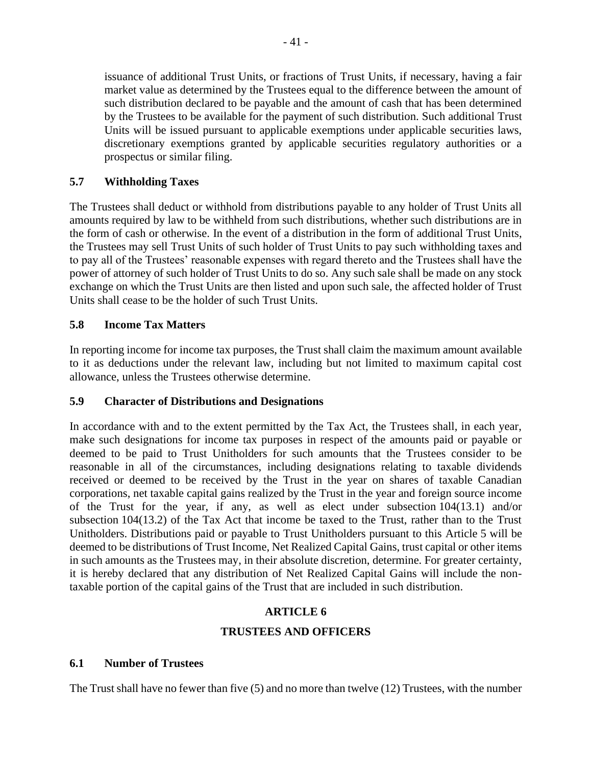issuance of additional Trust Units, or fractions of Trust Units, if necessary, having a fair market value as determined by the Trustees equal to the difference between the amount of such distribution declared to be payable and the amount of cash that has been determined by the Trustees to be available for the payment of such distribution. Such additional Trust Units will be issued pursuant to applicable exemptions under applicable securities laws, discretionary exemptions granted by applicable securities regulatory authorities or a prospectus or similar filing.

### **5.7 Withholding Taxes**

The Trustees shall deduct or withhold from distributions payable to any holder of Trust Units all amounts required by law to be withheld from such distributions, whether such distributions are in the form of cash or otherwise. In the event of a distribution in the form of additional Trust Units, the Trustees may sell Trust Units of such holder of Trust Units to pay such withholding taxes and to pay all of the Trustees' reasonable expenses with regard thereto and the Trustees shall have the power of attorney of such holder of Trust Units to do so. Any such sale shall be made on any stock exchange on which the Trust Units are then listed and upon such sale, the affected holder of Trust Units shall cease to be the holder of such Trust Units.

### **5.8 Income Tax Matters**

In reporting income for income tax purposes, the Trust shall claim the maximum amount available to it as deductions under the relevant law, including but not limited to maximum capital cost allowance, unless the Trustees otherwise determine.

#### **5.9 Character of Distributions and Designations**

In accordance with and to the extent permitted by the Tax Act, the Trustees shall, in each year, make such designations for income tax purposes in respect of the amounts paid or payable or deemed to be paid to Trust Unitholders for such amounts that the Trustees consider to be reasonable in all of the circumstances, including designations relating to taxable dividends received or deemed to be received by the Trust in the year on shares of taxable Canadian corporations, net taxable capital gains realized by the Trust in the year and foreign source income of the Trust for the year, if any, as well as elect under subsection 104(13.1) and/or subsection 104(13.2) of the Tax Act that income be taxed to the Trust, rather than to the Trust Unitholders. Distributions paid or payable to Trust Unitholders pursuant to this [Article](#page-43-3) 5 will be deemed to be distributions of Trust Income, Net Realized Capital Gains, trust capital or other items in such amounts as the Trustees may, in their absolute discretion, determine. For greater certainty, it is hereby declared that any distribution of Net Realized Capital Gains will include the nontaxable portion of the capital gains of the Trust that are included in such distribution.

## **ARTICLE 6**

#### **TRUSTEES AND OFFICERS**

#### <span id="page-46-1"></span><span id="page-46-0"></span>**6.1 Number of Trustees**

The Trust shall have no fewer than five (5) and no more than twelve (12) Trustees, with the number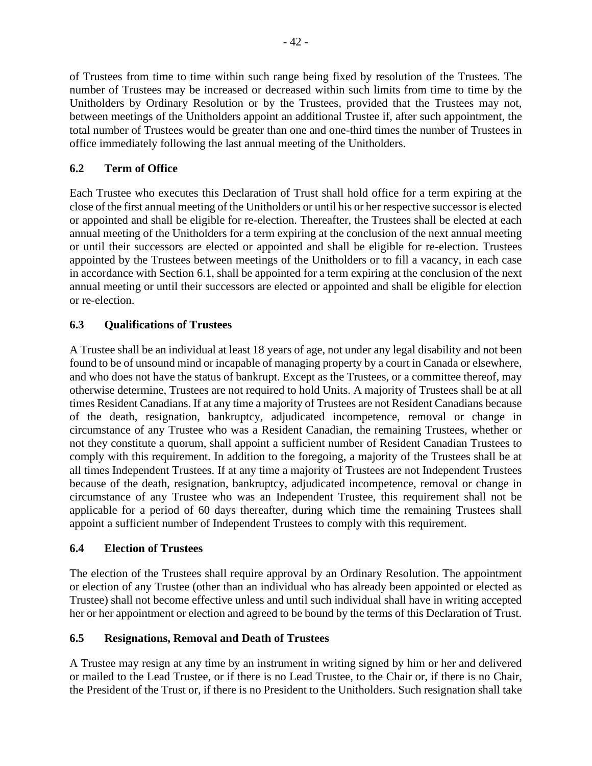of Trustees from time to time within such range being fixed by resolution of the Trustees. The number of Trustees may be increased or decreased within such limits from time to time by the Unitholders by Ordinary Resolution or by the Trustees, provided that the Trustees may not, between meetings of the Unitholders appoint an additional Trustee if, after such appointment, the total number of Trustees would be greater than one and one-third times the number of Trustees in office immediately following the last annual meeting of the Unitholders.

## **6.2 Term of Office**

Each Trustee who executes this Declaration of Trust shall hold office for a term expiring at the close of the first annual meeting of the Unitholders or until his or her respective successor is elected or appointed and shall be eligible for re-election. Thereafter, the Trustees shall be elected at each annual meeting of the Unitholders for a term expiring at the conclusion of the next annual meeting or until their successors are elected or appointed and shall be eligible for re-election. Trustees appointed by the Trustees between meetings of the Unitholders or to fill a vacancy, in each case in accordance with Section [6.1,](#page-46-0) shall be appointed for a term expiring at the conclusion of the next annual meeting or until their successors are elected or appointed and shall be eligible for election or re-election.

## **6.3 Qualifications of Trustees**

A Trustee shall be an individual at least 18 years of age, not under any legal disability and not been found to be of unsound mind or incapable of managing property by a court in Canada or elsewhere, and who does not have the status of bankrupt. Except as the Trustees, or a committee thereof, may otherwise determine, Trustees are not required to hold Units. A majority of Trustees shall be at all times Resident Canadians. If at any time a majority of Trustees are not Resident Canadians because of the death, resignation, bankruptcy, adjudicated incompetence, removal or change in circumstance of any Trustee who was a Resident Canadian, the remaining Trustees, whether or not they constitute a quorum, shall appoint a sufficient number of Resident Canadian Trustees to comply with this requirement. In addition to the foregoing, a majority of the Trustees shall be at all times Independent Trustees. If at any time a majority of Trustees are not Independent Trustees because of the death, resignation, bankruptcy, adjudicated incompetence, removal or change in circumstance of any Trustee who was an Independent Trustee, this requirement shall not be applicable for a period of 60 days thereafter, during which time the remaining Trustees shall appoint a sufficient number of Independent Trustees to comply with this requirement.

## **6.4 Election of Trustees**

The election of the Trustees shall require approval by an Ordinary Resolution. The appointment or election of any Trustee (other than an individual who has already been appointed or elected as Trustee) shall not become effective unless and until such individual shall have in writing accepted her or her appointment or election and agreed to be bound by the terms of this Declaration of Trust.

## <span id="page-47-0"></span>**6.5 Resignations, Removal and Death of Trustees**

A Trustee may resign at any time by an instrument in writing signed by him or her and delivered or mailed to the Lead Trustee, or if there is no Lead Trustee, to the Chair or, if there is no Chair, the President of the Trust or, if there is no President to the Unitholders. Such resignation shall take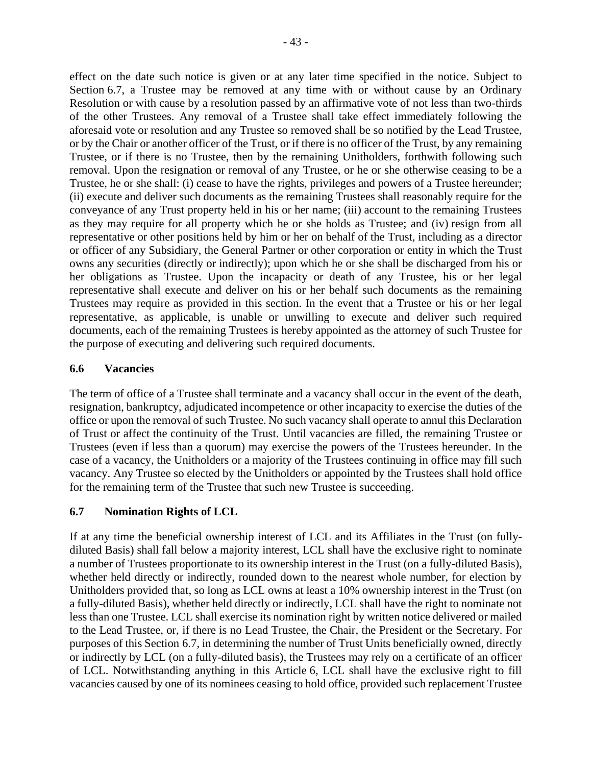effect on the date such notice is given or at any later time specified in the notice. Subject to Section [6.7,](#page-48-0) a Trustee may be removed at any time with or without cause by an Ordinary Resolution or with cause by a resolution passed by an affirmative vote of not less than two-thirds of the other Trustees. Any removal of a Trustee shall take effect immediately following the aforesaid vote or resolution and any Trustee so removed shall be so notified by the Lead Trustee, or by the Chair or another officer of the Trust, or if there is no officer of the Trust, by any remaining Trustee, or if there is no Trustee, then by the remaining Unitholders, forthwith following such removal. Upon the resignation or removal of any Trustee, or he or she otherwise ceasing to be a Trustee, he or she shall: (i) cease to have the rights, privileges and powers of a Trustee hereunder; (ii) execute and deliver such documents as the remaining Trustees shall reasonably require for the conveyance of any Trust property held in his or her name; (iii) account to the remaining Trustees as they may require for all property which he or she holds as Trustee; and (iv) resign from all representative or other positions held by him or her on behalf of the Trust, including as a director or officer of any Subsidiary, the General Partner or other corporation or entity in which the Trust owns any securities (directly or indirectly); upon which he or she shall be discharged from his or her obligations as Trustee. Upon the incapacity or death of any Trustee, his or her legal representative shall execute and deliver on his or her behalf such documents as the remaining Trustees may require as provided in this section. In the event that a Trustee or his or her legal representative, as applicable, is unable or unwilling to execute and deliver such required documents, each of the remaining Trustees is hereby appointed as the attorney of such Trustee for the purpose of executing and delivering such required documents.

#### <span id="page-48-1"></span>**6.6 Vacancies**

The term of office of a Trustee shall terminate and a vacancy shall occur in the event of the death, resignation, bankruptcy, adjudicated incompetence or other incapacity to exercise the duties of the office or upon the removal of such Trustee. No such vacancy shall operate to annul this Declaration of Trust or affect the continuity of the Trust. Until vacancies are filled, the remaining Trustee or Trustees (even if less than a quorum) may exercise the powers of the Trustees hereunder. In the case of a vacancy, the Unitholders or a majority of the Trustees continuing in office may fill such vacancy. Any Trustee so elected by the Unitholders or appointed by the Trustees shall hold office for the remaining term of the Trustee that such new Trustee is succeeding.

## <span id="page-48-0"></span>**6.7 Nomination Rights of LCL**

If at any time the beneficial ownership interest of LCL and its Affiliates in the Trust (on fullydiluted Basis) shall fall below a majority interest, LCL shall have the exclusive right to nominate a number of Trustees proportionate to its ownership interest in the Trust (on a fully-diluted Basis), whether held directly or indirectly, rounded down to the nearest whole number, for election by Unitholders provided that, so long as LCL owns at least a 10% ownership interest in the Trust (on a fully-diluted Basis), whether held directly or indirectly, LCL shall have the right to nominate not less than one Trustee. LCL shall exercise its nomination right by written notice delivered or mailed to the Lead Trustee, or, if there is no Lead Trustee, the Chair, the President or the Secretary. For purposes of this Section [6.7,](#page-48-0) in determining the number of Trust Units beneficially owned, directly or indirectly by LCL (on a fully-diluted basis), the Trustees may rely on a certificate of an officer of LCL. Notwithstanding anything in this [Article](#page-46-1) 6, LCL shall have the exclusive right to fill vacancies caused by one of its nominees ceasing to hold office, provided such replacement Trustee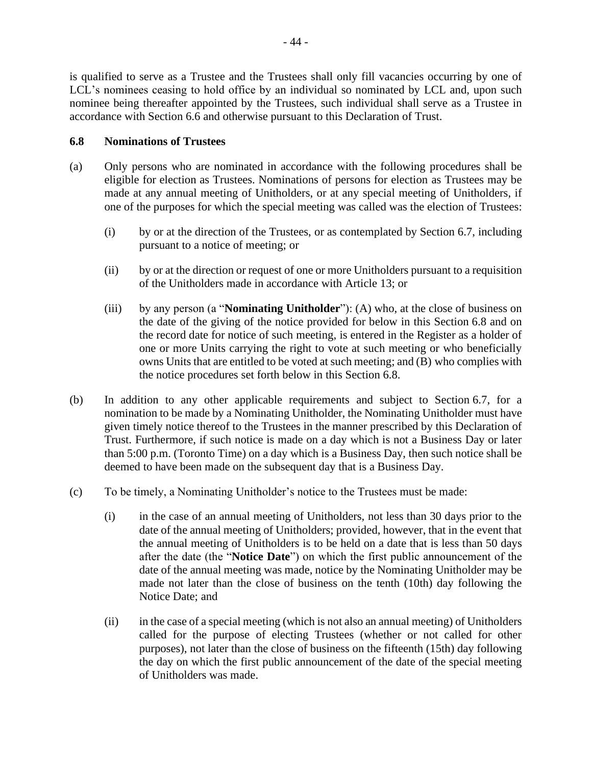is qualified to serve as a Trustee and the Trustees shall only fill vacancies occurring by one of LCL's nominees ceasing to hold office by an individual so nominated by LCL and, upon such nominee being thereafter appointed by the Trustees, such individual shall serve as a Trustee in accordance with Section [6.6](#page-48-1) and otherwise pursuant to this Declaration of Trust.

### <span id="page-49-0"></span>**6.8 Nominations of Trustees**

- (a) Only persons who are nominated in accordance with the following procedures shall be eligible for election as Trustees. Nominations of persons for election as Trustees may be made at any annual meeting of Unitholders, or at any special meeting of Unitholders, if one of the purposes for which the special meeting was called was the election of Trustees:
	- (i) by or at the direction of the Trustees, or as contemplated by Section [6.7,](#page-48-0) including pursuant to a notice of meeting; or
	- (ii) by or at the direction or request of one or more Unitholders pursuant to a requisition of the Unitholders made in accordance with [Article](#page-72-0) 13; or
	- (iii) by any person (a "**Nominating Unitholder**"): (A) who, at the close of business on the date of the giving of the notice provided for below in this Section [6.8](#page-49-0) and on the record date for notice of such meeting, is entered in the Register as a holder of one or more Units carrying the right to vote at such meeting or who beneficially owns Units that are entitled to be voted at such meeting; and (B) who complies with the notice procedures set forth below in this Section [6.8.](#page-49-0)
- (b) In addition to any other applicable requirements and subject to Section [6.7,](#page-48-0) for a nomination to be made by a Nominating Unitholder, the Nominating Unitholder must have given timely notice thereof to the Trustees in the manner prescribed by this Declaration of Trust. Furthermore, if such notice is made on a day which is not a Business Day or later than 5:00 p.m. (Toronto Time) on a day which is a Business Day, then such notice shall be deemed to have been made on the subsequent day that is a Business Day.
- (c) To be timely, a Nominating Unitholder's notice to the Trustees must be made:
	- (i) in the case of an annual meeting of Unitholders, not less than 30 days prior to the date of the annual meeting of Unitholders; provided, however, that in the event that the annual meeting of Unitholders is to be held on a date that is less than 50 days after the date (the "**Notice Date**") on which the first public announcement of the date of the annual meeting was made, notice by the Nominating Unitholder may be made not later than the close of business on the tenth (10th) day following the Notice Date; and
	- (ii) in the case of a special meeting (which is not also an annual meeting) of Unitholders called for the purpose of electing Trustees (whether or not called for other purposes), not later than the close of business on the fifteenth (15th) day following the day on which the first public announcement of the date of the special meeting of Unitholders was made.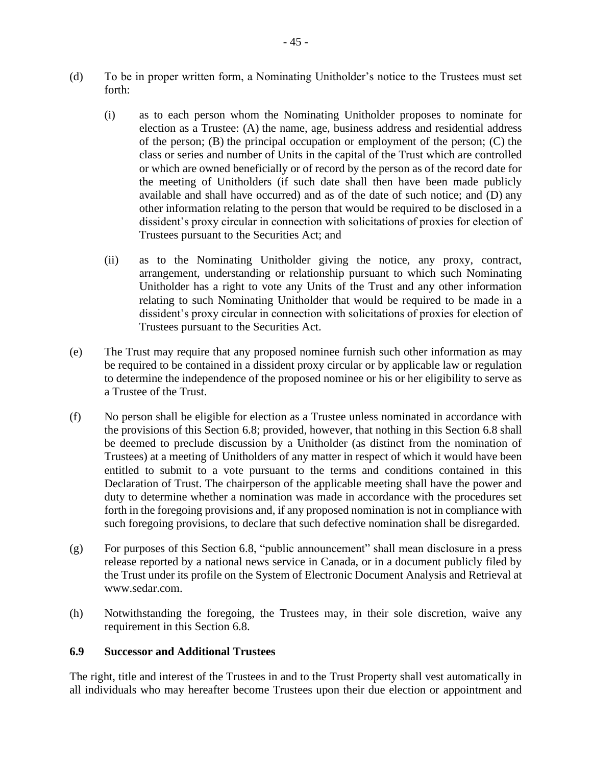- (d) To be in proper written form, a Nominating Unitholder's notice to the Trustees must set forth:
	- (i) as to each person whom the Nominating Unitholder proposes to nominate for election as a Trustee: (A) the name, age, business address and residential address of the person; (B) the principal occupation or employment of the person; (C) the class or series and number of Units in the capital of the Trust which are controlled or which are owned beneficially or of record by the person as of the record date for the meeting of Unitholders (if such date shall then have been made publicly available and shall have occurred) and as of the date of such notice; and (D) any other information relating to the person that would be required to be disclosed in a dissident's proxy circular in connection with solicitations of proxies for election of Trustees pursuant to the Securities Act; and
	- (ii) as to the Nominating Unitholder giving the notice, any proxy, contract, arrangement, understanding or relationship pursuant to which such Nominating Unitholder has a right to vote any Units of the Trust and any other information relating to such Nominating Unitholder that would be required to be made in a dissident's proxy circular in connection with solicitations of proxies for election of Trustees pursuant to the Securities Act.
- (e) The Trust may require that any proposed nominee furnish such other information as may be required to be contained in a dissident proxy circular or by applicable law or regulation to determine the independence of the proposed nominee or his or her eligibility to serve as a Trustee of the Trust.
- (f) No person shall be eligible for election as a Trustee unless nominated in accordance with the provisions of this Section [6.8;](#page-49-0) provided, however, that nothing in this Section [6.8](#page-49-0) shall be deemed to preclude discussion by a Unitholder (as distinct from the nomination of Trustees) at a meeting of Unitholders of any matter in respect of which it would have been entitled to submit to a vote pursuant to the terms and conditions contained in this Declaration of Trust. The chairperson of the applicable meeting shall have the power and duty to determine whether a nomination was made in accordance with the procedures set forth in the foregoing provisions and, if any proposed nomination is not in compliance with such foregoing provisions, to declare that such defective nomination shall be disregarded.
- (g) For purposes of this Section [6.8,](#page-49-0) "public announcement" shall mean disclosure in a press release reported by a national news service in Canada, or in a document publicly filed by the Trust under its profile on the System of Electronic Document Analysis and Retrieval at www.sedar.com.
- (h) Notwithstanding the foregoing, the Trustees may, in their sole discretion, waive any requirement in this Section [6.8.](#page-49-0)

#### **6.9 Successor and Additional Trustees**

The right, title and interest of the Trustees in and to the Trust Property shall vest automatically in all individuals who may hereafter become Trustees upon their due election or appointment and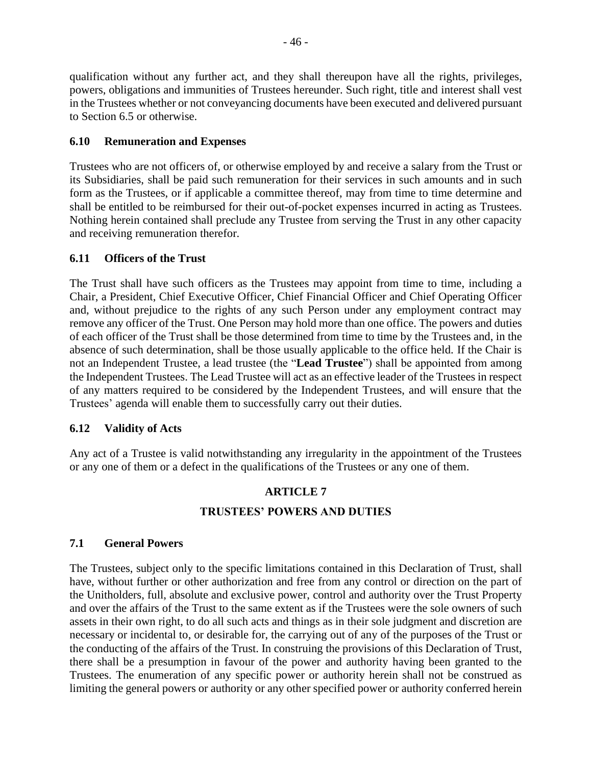qualification without any further act, and they shall thereupon have all the rights, privileges, powers, obligations and immunities of Trustees hereunder. Such right, title and interest shall vest in the Trustees whether or not conveyancing documents have been executed and delivered pursuant to Section [6.5](#page-47-0) or otherwise.

### **6.10 Remuneration and Expenses**

Trustees who are not officers of, or otherwise employed by and receive a salary from the Trust or its Subsidiaries, shall be paid such remuneration for their services in such amounts and in such form as the Trustees, or if applicable a committee thereof, may from time to time determine and shall be entitled to be reimbursed for their out-of-pocket expenses incurred in acting as Trustees. Nothing herein contained shall preclude any Trustee from serving the Trust in any other capacity and receiving remuneration therefor.

### **6.11 Officers of the Trust**

The Trust shall have such officers as the Trustees may appoint from time to time, including a Chair, a President, Chief Executive Officer, Chief Financial Officer and Chief Operating Officer and, without prejudice to the rights of any such Person under any employment contract may remove any officer of the Trust. One Person may hold more than one office. The powers and duties of each officer of the Trust shall be those determined from time to time by the Trustees and, in the absence of such determination, shall be those usually applicable to the office held. If the Chair is not an Independent Trustee, a lead trustee (the "**Lead Trustee**") shall be appointed from among the Independent Trustees. The Lead Trustee will act as an effective leader of the Trustees in respect of any matters required to be considered by the Independent Trustees, and will ensure that the Trustees' agenda will enable them to successfully carry out their duties.

## **6.12 Validity of Acts**

Any act of a Trustee is valid notwithstanding any irregularity in the appointment of the Trustees or any one of them or a defect in the qualifications of the Trustees or any one of them.

# **ARTICLE 7 TRUSTEES' POWERS AND DUTIES**

#### <span id="page-51-0"></span>**7.1 General Powers**

The Trustees, subject only to the specific limitations contained in this Declaration of Trust, shall have, without further or other authorization and free from any control or direction on the part of the Unitholders, full, absolute and exclusive power, control and authority over the Trust Property and over the affairs of the Trust to the same extent as if the Trustees were the sole owners of such assets in their own right, to do all such acts and things as in their sole judgment and discretion are necessary or incidental to, or desirable for, the carrying out of any of the purposes of the Trust or the conducting of the affairs of the Trust. In construing the provisions of this Declaration of Trust, there shall be a presumption in favour of the power and authority having been granted to the Trustees. The enumeration of any specific power or authority herein shall not be construed as limiting the general powers or authority or any other specified power or authority conferred herein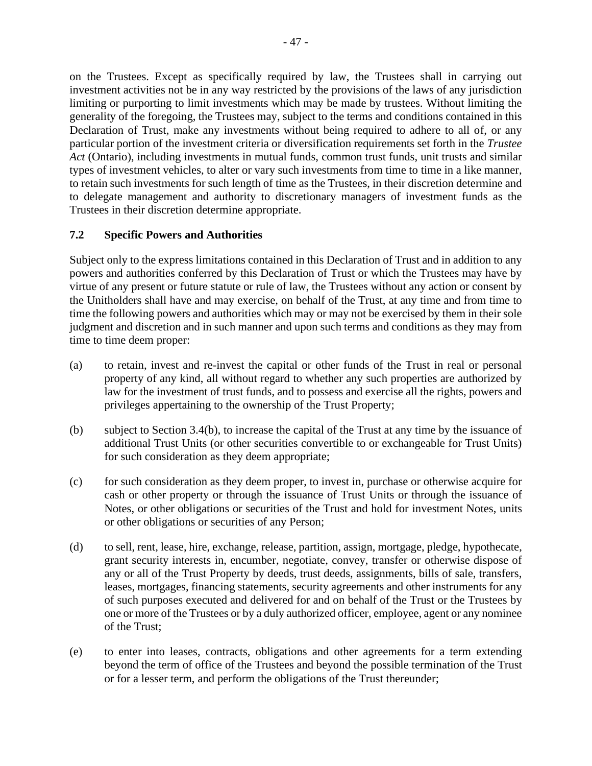on the Trustees. Except as specifically required by law, the Trustees shall in carrying out investment activities not be in any way restricted by the provisions of the laws of any jurisdiction limiting or purporting to limit investments which may be made by trustees. Without limiting the generality of the foregoing, the Trustees may, subject to the terms and conditions contained in this Declaration of Trust, make any investments without being required to adhere to all of, or any particular portion of the investment criteria or diversification requirements set forth in the *Trustee Act* (Ontario), including investments in mutual funds, common trust funds, unit trusts and similar types of investment vehicles, to alter or vary such investments from time to time in a like manner, to retain such investments for such length of time as the Trustees, in their discretion determine and to delegate management and authority to discretionary managers of investment funds as the Trustees in their discretion determine appropriate.

## **7.2 Specific Powers and Authorities**

Subject only to the express limitations contained in this Declaration of Trust and in addition to any powers and authorities conferred by this Declaration of Trust or which the Trustees may have by virtue of any present or future statute or rule of law, the Trustees without any action or consent by the Unitholders shall have and may exercise, on behalf of the Trust, at any time and from time to time the following powers and authorities which may or may not be exercised by them in their sole judgment and discretion and in such manner and upon such terms and conditions as they may from time to time deem proper:

- (a) to retain, invest and re-invest the capital or other funds of the Trust in real or personal property of any kind, all without regard to whether any such properties are authorized by law for the investment of trust funds, and to possess and exercise all the rights, powers and privileges appertaining to the ownership of the Trust Property;
- (b) subject to Section [3.4\(b\),](#page-20-0) to increase the capital of the Trust at any time by the issuance of additional Trust Units (or other securities convertible to or exchangeable for Trust Units) for such consideration as they deem appropriate;
- (c) for such consideration as they deem proper, to invest in, purchase or otherwise acquire for cash or other property or through the issuance of Trust Units or through the issuance of Notes, or other obligations or securities of the Trust and hold for investment Notes, units or other obligations or securities of any Person;
- (d) to sell, rent, lease, hire, exchange, release, partition, assign, mortgage, pledge, hypothecate, grant security interests in, encumber, negotiate, convey, transfer or otherwise dispose of any or all of the Trust Property by deeds, trust deeds, assignments, bills of sale, transfers, leases, mortgages, financing statements, security agreements and other instruments for any of such purposes executed and delivered for and on behalf of the Trust or the Trustees by one or more of the Trustees or by a duly authorized officer, employee, agent or any nominee of the Trust;
- (e) to enter into leases, contracts, obligations and other agreements for a term extending beyond the term of office of the Trustees and beyond the possible termination of the Trust or for a lesser term, and perform the obligations of the Trust thereunder;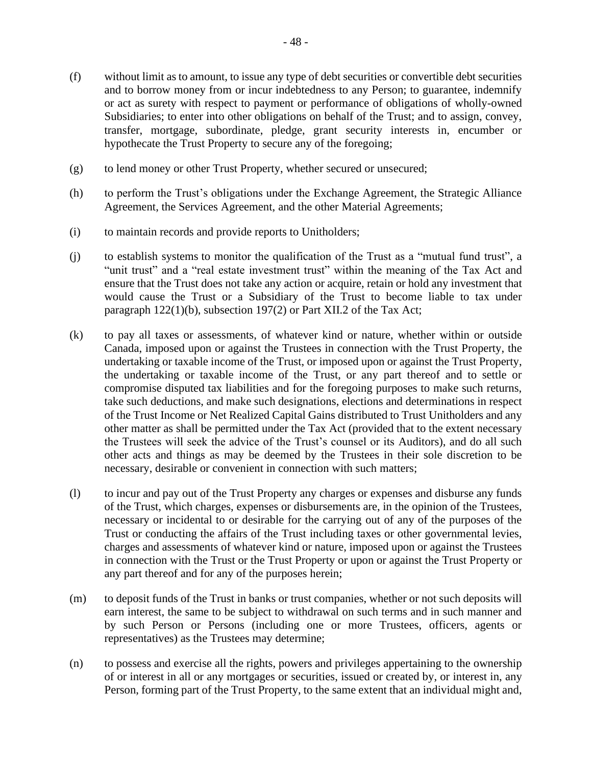- (f) without limit as to amount, to issue any type of debt securities or convertible debt securities and to borrow money from or incur indebtedness to any Person; to guarantee, indemnify or act as surety with respect to payment or performance of obligations of wholly-owned Subsidiaries; to enter into other obligations on behalf of the Trust; and to assign, convey, transfer, mortgage, subordinate, pledge, grant security interests in, encumber or hypothecate the Trust Property to secure any of the foregoing;
- (g) to lend money or other Trust Property, whether secured or unsecured;
- (h) to perform the Trust's obligations under the Exchange Agreement, the Strategic Alliance Agreement, the Services Agreement, and the other Material Agreements;
- (i) to maintain records and provide reports to Unitholders;
- (j) to establish systems to monitor the qualification of the Trust as a "mutual fund trust", a "unit trust" and a "real estate investment trust" within the meaning of the Tax Act and ensure that the Trust does not take any action or acquire, retain or hold any investment that would cause the Trust or a Subsidiary of the Trust to become liable to tax under paragraph 122(1)(b), subsection 197(2) or Part XII.2 of the Tax Act;
- (k) to pay all taxes or assessments, of whatever kind or nature, whether within or outside Canada, imposed upon or against the Trustees in connection with the Trust Property, the undertaking or taxable income of the Trust, or imposed upon or against the Trust Property, the undertaking or taxable income of the Trust, or any part thereof and to settle or compromise disputed tax liabilities and for the foregoing purposes to make such returns, take such deductions, and make such designations, elections and determinations in respect of the Trust Income or Net Realized Capital Gains distributed to Trust Unitholders and any other matter as shall be permitted under the Tax Act (provided that to the extent necessary the Trustees will seek the advice of the Trust's counsel or its Auditors), and do all such other acts and things as may be deemed by the Trustees in their sole discretion to be necessary, desirable or convenient in connection with such matters;
- (l) to incur and pay out of the Trust Property any charges or expenses and disburse any funds of the Trust, which charges, expenses or disbursements are, in the opinion of the Trustees, necessary or incidental to or desirable for the carrying out of any of the purposes of the Trust or conducting the affairs of the Trust including taxes or other governmental levies, charges and assessments of whatever kind or nature, imposed upon or against the Trustees in connection with the Trust or the Trust Property or upon or against the Trust Property or any part thereof and for any of the purposes herein;
- (m) to deposit funds of the Trust in banks or trust companies, whether or not such deposits will earn interest, the same to be subject to withdrawal on such terms and in such manner and by such Person or Persons (including one or more Trustees, officers, agents or representatives) as the Trustees may determine;
- (n) to possess and exercise all the rights, powers and privileges appertaining to the ownership of or interest in all or any mortgages or securities, issued or created by, or interest in, any Person, forming part of the Trust Property, to the same extent that an individual might and,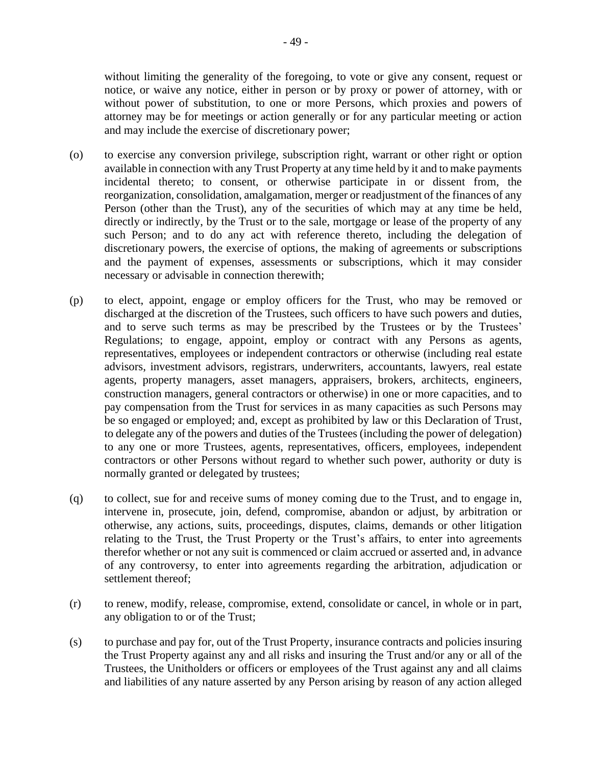without limiting the generality of the foregoing, to vote or give any consent, request or notice, or waive any notice, either in person or by proxy or power of attorney, with or without power of substitution, to one or more Persons, which proxies and powers of attorney may be for meetings or action generally or for any particular meeting or action and may include the exercise of discretionary power;

- (o) to exercise any conversion privilege, subscription right, warrant or other right or option available in connection with any Trust Property at any time held by it and to make payments incidental thereto; to consent, or otherwise participate in or dissent from, the reorganization, consolidation, amalgamation, merger or readjustment of the finances of any Person (other than the Trust), any of the securities of which may at any time be held, directly or indirectly, by the Trust or to the sale, mortgage or lease of the property of any such Person; and to do any act with reference thereto, including the delegation of discretionary powers, the exercise of options, the making of agreements or subscriptions and the payment of expenses, assessments or subscriptions, which it may consider necessary or advisable in connection therewith;
- (p) to elect, appoint, engage or employ officers for the Trust, who may be removed or discharged at the discretion of the Trustees, such officers to have such powers and duties, and to serve such terms as may be prescribed by the Trustees or by the Trustees' Regulations; to engage, appoint, employ or contract with any Persons as agents, representatives, employees or independent contractors or otherwise (including real estate advisors, investment advisors, registrars, underwriters, accountants, lawyers, real estate agents, property managers, asset managers, appraisers, brokers, architects, engineers, construction managers, general contractors or otherwise) in one or more capacities, and to pay compensation from the Trust for services in as many capacities as such Persons may be so engaged or employed; and, except as prohibited by law or this Declaration of Trust, to delegate any of the powers and duties of the Trustees (including the power of delegation) to any one or more Trustees, agents, representatives, officers, employees, independent contractors or other Persons without regard to whether such power, authority or duty is normally granted or delegated by trustees;
- (q) to collect, sue for and receive sums of money coming due to the Trust, and to engage in, intervene in, prosecute, join, defend, compromise, abandon or adjust, by arbitration or otherwise, any actions, suits, proceedings, disputes, claims, demands or other litigation relating to the Trust, the Trust Property or the Trust's affairs, to enter into agreements therefor whether or not any suit is commenced or claim accrued or asserted and, in advance of any controversy, to enter into agreements regarding the arbitration, adjudication or settlement thereof;
- (r) to renew, modify, release, compromise, extend, consolidate or cancel, in whole or in part, any obligation to or of the Trust;
- (s) to purchase and pay for, out of the Trust Property, insurance contracts and policies insuring the Trust Property against any and all risks and insuring the Trust and/or any or all of the Trustees, the Unitholders or officers or employees of the Trust against any and all claims and liabilities of any nature asserted by any Person arising by reason of any action alleged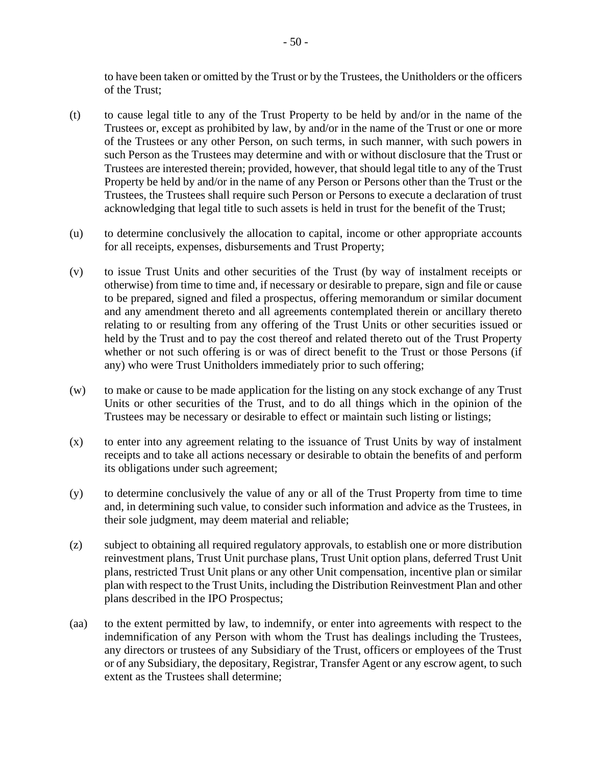to have been taken or omitted by the Trust or by the Trustees, the Unitholders or the officers of the Trust;

- (t) to cause legal title to any of the Trust Property to be held by and/or in the name of the Trustees or, except as prohibited by law, by and/or in the name of the Trust or one or more of the Trustees or any other Person, on such terms, in such manner, with such powers in such Person as the Trustees may determine and with or without disclosure that the Trust or Trustees are interested therein; provided, however, that should legal title to any of the Trust Property be held by and/or in the name of any Person or Persons other than the Trust or the Trustees, the Trustees shall require such Person or Persons to execute a declaration of trust acknowledging that legal title to such assets is held in trust for the benefit of the Trust;
- (u) to determine conclusively the allocation to capital, income or other appropriate accounts for all receipts, expenses, disbursements and Trust Property;
- (v) to issue Trust Units and other securities of the Trust (by way of instalment receipts or otherwise) from time to time and, if necessary or desirable to prepare, sign and file or cause to be prepared, signed and filed a prospectus, offering memorandum or similar document and any amendment thereto and all agreements contemplated therein or ancillary thereto relating to or resulting from any offering of the Trust Units or other securities issued or held by the Trust and to pay the cost thereof and related thereto out of the Trust Property whether or not such offering is or was of direct benefit to the Trust or those Persons (if any) who were Trust Unitholders immediately prior to such offering;
- (w) to make or cause to be made application for the listing on any stock exchange of any Trust Units or other securities of the Trust, and to do all things which in the opinion of the Trustees may be necessary or desirable to effect or maintain such listing or listings;
- (x) to enter into any agreement relating to the issuance of Trust Units by way of instalment receipts and to take all actions necessary or desirable to obtain the benefits of and perform its obligations under such agreement;
- (y) to determine conclusively the value of any or all of the Trust Property from time to time and, in determining such value, to consider such information and advice as the Trustees, in their sole judgment, may deem material and reliable;
- (z) subject to obtaining all required regulatory approvals, to establish one or more distribution reinvestment plans, Trust Unit purchase plans, Trust Unit option plans, deferred Trust Unit plans, restricted Trust Unit plans or any other Unit compensation, incentive plan or similar plan with respect to the Trust Units, including the Distribution Reinvestment Plan and other plans described in the IPO Prospectus;
- (aa) to the extent permitted by law, to indemnify, or enter into agreements with respect to the indemnification of any Person with whom the Trust has dealings including the Trustees, any directors or trustees of any Subsidiary of the Trust, officers or employees of the Trust or of any Subsidiary, the depositary, Registrar, Transfer Agent or any escrow agent, to such extent as the Trustees shall determine;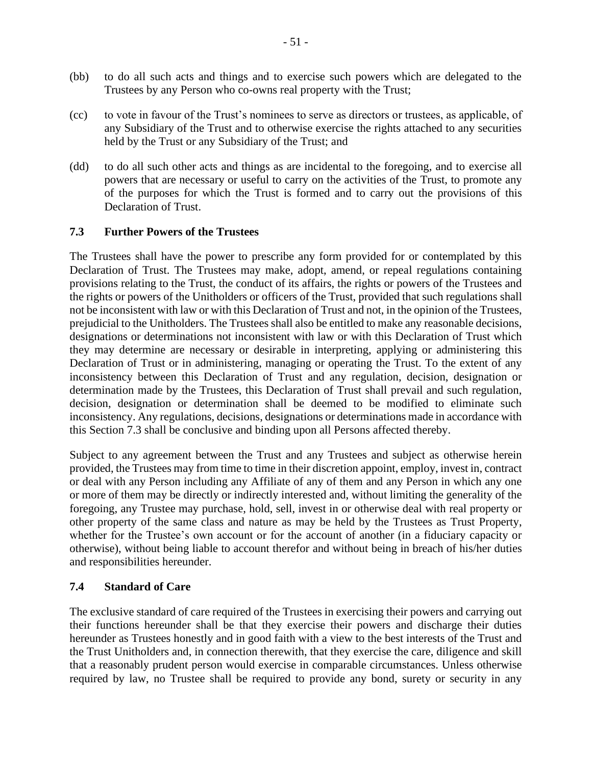- (bb) to do all such acts and things and to exercise such powers which are delegated to the Trustees by any Person who co-owns real property with the Trust;
- (cc) to vote in favour of the Trust's nominees to serve as directors or trustees, as applicable, of any Subsidiary of the Trust and to otherwise exercise the rights attached to any securities held by the Trust or any Subsidiary of the Trust; and
- (dd) to do all such other acts and things as are incidental to the foregoing, and to exercise all powers that are necessary or useful to carry on the activities of the Trust, to promote any of the purposes for which the Trust is formed and to carry out the provisions of this Declaration of Trust.

### <span id="page-56-0"></span>**7.3 Further Powers of the Trustees**

The Trustees shall have the power to prescribe any form provided for or contemplated by this Declaration of Trust. The Trustees may make, adopt, amend, or repeal regulations containing provisions relating to the Trust, the conduct of its affairs, the rights or powers of the Trustees and the rights or powers of the Unitholders or officers of the Trust, provided that such regulations shall not be inconsistent with law or with this Declaration of Trust and not, in the opinion of the Trustees, prejudicial to the Unitholders. The Trustees shall also be entitled to make any reasonable decisions, designations or determinations not inconsistent with law or with this Declaration of Trust which they may determine are necessary or desirable in interpreting, applying or administering this Declaration of Trust or in administering, managing or operating the Trust. To the extent of any inconsistency between this Declaration of Trust and any regulation, decision, designation or determination made by the Trustees, this Declaration of Trust shall prevail and such regulation, decision, designation or determination shall be deemed to be modified to eliminate such inconsistency. Any regulations, decisions, designations or determinations made in accordance with this Section [7.3](#page-56-0) shall be conclusive and binding upon all Persons affected thereby.

Subject to any agreement between the Trust and any Trustees and subject as otherwise herein provided, the Trustees may from time to time in their discretion appoint, employ, invest in, contract or deal with any Person including any Affiliate of any of them and any Person in which any one or more of them may be directly or indirectly interested and, without limiting the generality of the foregoing, any Trustee may purchase, hold, sell, invest in or otherwise deal with real property or other property of the same class and nature as may be held by the Trustees as Trust Property, whether for the Trustee's own account or for the account of another (in a fiduciary capacity or otherwise), without being liable to account therefor and without being in breach of his/her duties and responsibilities hereunder.

#### **7.4 Standard of Care**

The exclusive standard of care required of the Trustees in exercising their powers and carrying out their functions hereunder shall be that they exercise their powers and discharge their duties hereunder as Trustees honestly and in good faith with a view to the best interests of the Trust and the Trust Unitholders and, in connection therewith, that they exercise the care, diligence and skill that a reasonably prudent person would exercise in comparable circumstances. Unless otherwise required by law, no Trustee shall be required to provide any bond, surety or security in any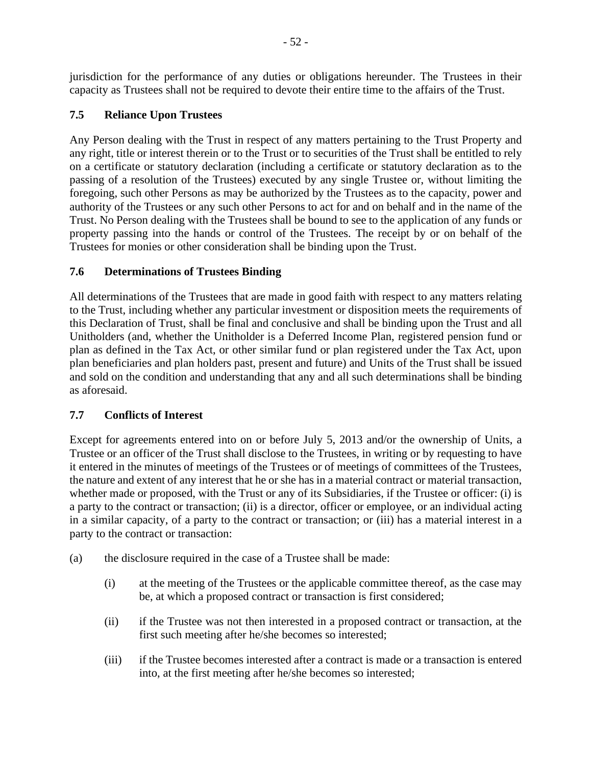jurisdiction for the performance of any duties or obligations hereunder. The Trustees in their capacity as Trustees shall not be required to devote their entire time to the affairs of the Trust.

## **7.5 Reliance Upon Trustees**

Any Person dealing with the Trust in respect of any matters pertaining to the Trust Property and any right, title or interest therein or to the Trust or to securities of the Trust shall be entitled to rely on a certificate or statutory declaration (including a certificate or statutory declaration as to the passing of a resolution of the Trustees) executed by any single Trustee or, without limiting the foregoing, such other Persons as may be authorized by the Trustees as to the capacity, power and authority of the Trustees or any such other Persons to act for and on behalf and in the name of the Trust. No Person dealing with the Trustees shall be bound to see to the application of any funds or property passing into the hands or control of the Trustees. The receipt by or on behalf of the Trustees for monies or other consideration shall be binding upon the Trust.

## **7.6 Determinations of Trustees Binding**

All determinations of the Trustees that are made in good faith with respect to any matters relating to the Trust, including whether any particular investment or disposition meets the requirements of this Declaration of Trust, shall be final and conclusive and shall be binding upon the Trust and all Unitholders (and, whether the Unitholder is a Deferred Income Plan, registered pension fund or plan as defined in the Tax Act, or other similar fund or plan registered under the Tax Act, upon plan beneficiaries and plan holders past, present and future) and Units of the Trust shall be issued and sold on the condition and understanding that any and all such determinations shall be binding as aforesaid.

## <span id="page-57-1"></span>**7.7 Conflicts of Interest**

Except for agreements entered into on or before July 5, 2013 and/or the ownership of Units, a Trustee or an officer of the Trust shall disclose to the Trustees, in writing or by requesting to have it entered in the minutes of meetings of the Trustees or of meetings of committees of the Trustees, the nature and extent of any interest that he or she has in a material contract or material transaction, whether made or proposed, with the Trust or any of its Subsidiaries, if the Trustee or officer: (i) is a party to the contract or transaction; (ii) is a director, officer or employee, or an individual acting in a similar capacity, of a party to the contract or transaction; or (iii) has a material interest in a party to the contract or transaction:

- <span id="page-57-0"></span>(a) the disclosure required in the case of a Trustee shall be made:
	- (i) at the meeting of the Trustees or the applicable committee thereof, as the case may be, at which a proposed contract or transaction is first considered;
	- (ii) if the Trustee was not then interested in a proposed contract or transaction, at the first such meeting after he/she becomes so interested;
	- (iii) if the Trustee becomes interested after a contract is made or a transaction is entered into, at the first meeting after he/she becomes so interested;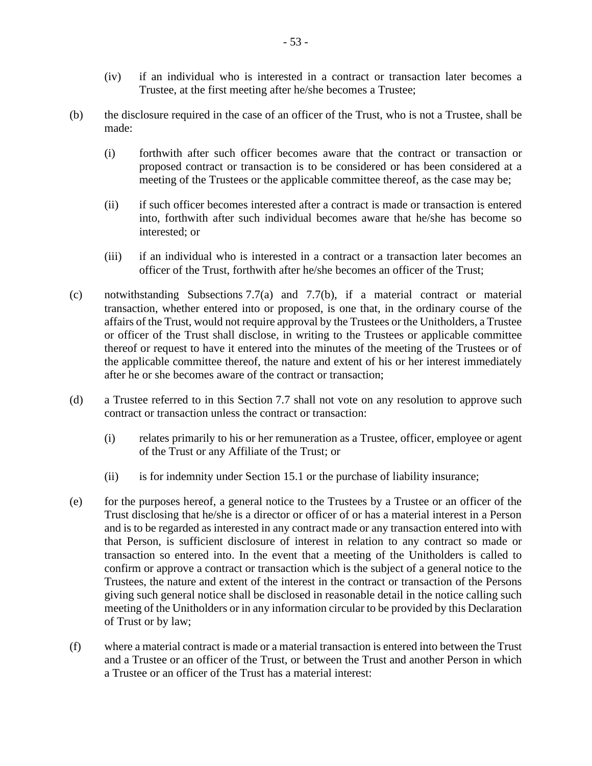- (iv) if an individual who is interested in a contract or transaction later becomes a Trustee, at the first meeting after he/she becomes a Trustee;
- <span id="page-58-0"></span>(b) the disclosure required in the case of an officer of the Trust, who is not a Trustee, shall be made:
	- (i) forthwith after such officer becomes aware that the contract or transaction or proposed contract or transaction is to be considered or has been considered at a meeting of the Trustees or the applicable committee thereof, as the case may be;
	- (ii) if such officer becomes interested after a contract is made or transaction is entered into, forthwith after such individual becomes aware that he/she has become so interested; or
	- (iii) if an individual who is interested in a contract or a transaction later becomes an officer of the Trust, forthwith after he/she becomes an officer of the Trust;
- (c) notwithstanding Subsections [7.7\(a\)](#page-57-0) and [7.7\(b\),](#page-58-0) if a material contract or material transaction, whether entered into or proposed, is one that, in the ordinary course of the affairs of the Trust, would not require approval by the Trustees or the Unitholders, a Trustee or officer of the Trust shall disclose, in writing to the Trustees or applicable committee thereof or request to have it entered into the minutes of the meeting of the Trustees or of the applicable committee thereof, the nature and extent of his or her interest immediately after he or she becomes aware of the contract or transaction;
- (d) a Trustee referred to in this Section [7.7](#page-57-1) shall not vote on any resolution to approve such contract or transaction unless the contract or transaction:
	- (i) relates primarily to his or her remuneration as a Trustee, officer, employee or agent of the Trust or any Affiliate of the Trust; or
	- (ii) is for indemnity under Section [15.1](#page-82-0) or the purchase of liability insurance;
- (e) for the purposes hereof, a general notice to the Trustees by a Trustee or an officer of the Trust disclosing that he/she is a director or officer of or has a material interest in a Person and is to be regarded as interested in any contract made or any transaction entered into with that Person, is sufficient disclosure of interest in relation to any contract so made or transaction so entered into. In the event that a meeting of the Unitholders is called to confirm or approve a contract or transaction which is the subject of a general notice to the Trustees, the nature and extent of the interest in the contract or transaction of the Persons giving such general notice shall be disclosed in reasonable detail in the notice calling such meeting of the Unitholders or in any information circular to be provided by this Declaration of Trust or by law;
- <span id="page-58-1"></span>(f) where a material contract is made or a material transaction is entered into between the Trust and a Trustee or an officer of the Trust, or between the Trust and another Person in which a Trustee or an officer of the Trust has a material interest: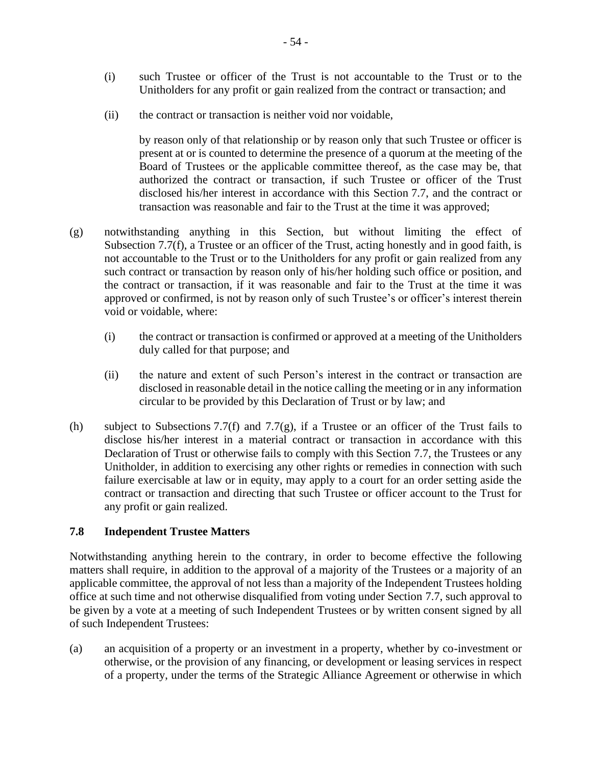- (i) such Trustee or officer of the Trust is not accountable to the Trust or to the Unitholders for any profit or gain realized from the contract or transaction; and
- (ii) the contract or transaction is neither void nor voidable,

by reason only of that relationship or by reason only that such Trustee or officer is present at or is counted to determine the presence of a quorum at the meeting of the Board of Trustees or the applicable committee thereof, as the case may be, that authorized the contract or transaction, if such Trustee or officer of the Trust disclosed his/her interest in accordance with this Section [7.7,](#page-57-1) and the contract or transaction was reasonable and fair to the Trust at the time it was approved;

- <span id="page-59-0"></span>(g) notwithstanding anything in this Section, but without limiting the effect of Subsection [7.7\(f\),](#page-58-1) a Trustee or an officer of the Trust, acting honestly and in good faith, is not accountable to the Trust or to the Unitholders for any profit or gain realized from any such contract or transaction by reason only of his/her holding such office or position, and the contract or transaction, if it was reasonable and fair to the Trust at the time it was approved or confirmed, is not by reason only of such Trustee's or officer's interest therein void or voidable, where:
	- (i) the contract or transaction is confirmed or approved at a meeting of the Unitholders duly called for that purpose; and
	- (ii) the nature and extent of such Person's interest in the contract or transaction are disclosed in reasonable detail in the notice calling the meeting or in any information circular to be provided by this Declaration of Trust or by law; and
- (h) subject to Subsections [7.7\(f\)](#page-58-1) and [7.7\(g\),](#page-59-0) if a Trustee or an officer of the Trust fails to disclose his/her interest in a material contract or transaction in accordance with this Declaration of Trust or otherwise fails to comply with this Section [7.7,](#page-57-1) the Trustees or any Unitholder, in addition to exercising any other rights or remedies in connection with such failure exercisable at law or in equity, may apply to a court for an order setting aside the contract or transaction and directing that such Trustee or officer account to the Trust for any profit or gain realized.

## <span id="page-59-1"></span>**7.8 Independent Trustee Matters**

Notwithstanding anything herein to the contrary, in order to become effective the following matters shall require, in addition to the approval of a majority of the Trustees or a majority of an applicable committee, the approval of not less than a majority of the Independent Trustees holding office at such time and not otherwise disqualified from voting under Section [7.7,](#page-57-1) such approval to be given by a vote at a meeting of such Independent Trustees or by written consent signed by all of such Independent Trustees:

(a) an acquisition of a property or an investment in a property, whether by co-investment or otherwise, or the provision of any financing, or development or leasing services in respect of a property, under the terms of the Strategic Alliance Agreement or otherwise in which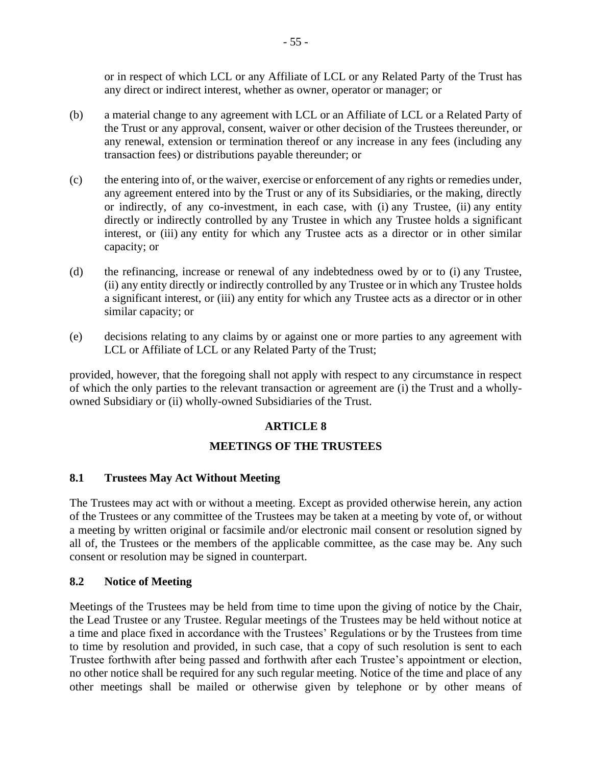or in respect of which LCL or any Affiliate of LCL or any Related Party of the Trust has any direct or indirect interest, whether as owner, operator or manager; or

- (b) a material change to any agreement with LCL or an Affiliate of LCL or a Related Party of the Trust or any approval, consent, waiver or other decision of the Trustees thereunder, or any renewal, extension or termination thereof or any increase in any fees (including any transaction fees) or distributions payable thereunder; or
- (c) the entering into of, or the waiver, exercise or enforcement of any rights or remedies under, any agreement entered into by the Trust or any of its Subsidiaries, or the making, directly or indirectly, of any co-investment, in each case, with (i) any Trustee, (ii) any entity directly or indirectly controlled by any Trustee in which any Trustee holds a significant interest, or (iii) any entity for which any Trustee acts as a director or in other similar capacity; or
- (d) the refinancing, increase or renewal of any indebtedness owed by or to (i) any Trustee, (ii) any entity directly or indirectly controlled by any Trustee or in which any Trustee holds a significant interest, or (iii) any entity for which any Trustee acts as a director or in other similar capacity; or
- (e) decisions relating to any claims by or against one or more parties to any agreement with LCL or Affiliate of LCL or any Related Party of the Trust;

provided, however, that the foregoing shall not apply with respect to any circumstance in respect of which the only parties to the relevant transaction or agreement are (i) the Trust and a whollyowned Subsidiary or (ii) wholly-owned Subsidiaries of the Trust.

## **ARTICLE 8**

## **MEETINGS OF THE TRUSTEES**

#### <span id="page-60-0"></span>**8.1 Trustees May Act Without Meeting**

The Trustees may act with or without a meeting. Except as provided otherwise herein, any action of the Trustees or any committee of the Trustees may be taken at a meeting by vote of, or without a meeting by written original or facsimile and/or electronic mail consent or resolution signed by all of, the Trustees or the members of the applicable committee, as the case may be. Any such consent or resolution may be signed in counterpart.

#### <span id="page-60-1"></span>**8.2 Notice of Meeting**

Meetings of the Trustees may be held from time to time upon the giving of notice by the Chair, the Lead Trustee or any Trustee. Regular meetings of the Trustees may be held without notice at a time and place fixed in accordance with the Trustees' Regulations or by the Trustees from time to time by resolution and provided, in such case, that a copy of such resolution is sent to each Trustee forthwith after being passed and forthwith after each Trustee's appointment or election, no other notice shall be required for any such regular meeting. Notice of the time and place of any other meetings shall be mailed or otherwise given by telephone or by other means of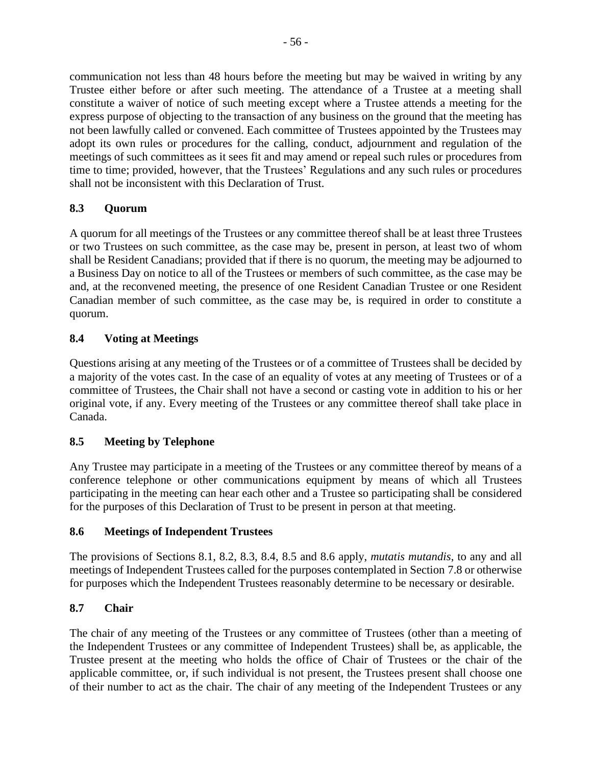communication not less than 48 hours before the meeting but may be waived in writing by any Trustee either before or after such meeting. The attendance of a Trustee at a meeting shall constitute a waiver of notice of such meeting except where a Trustee attends a meeting for the express purpose of objecting to the transaction of any business on the ground that the meeting has not been lawfully called or convened. Each committee of Trustees appointed by the Trustees may adopt its own rules or procedures for the calling, conduct, adjournment and regulation of the meetings of such committees as it sees fit and may amend or repeal such rules or procedures from time to time; provided, however, that the Trustees' Regulations and any such rules or procedures shall not be inconsistent with this Declaration of Trust.

## <span id="page-61-0"></span>**8.3 Quorum**

A quorum for all meetings of the Trustees or any committee thereof shall be at least three Trustees or two Trustees on such committee, as the case may be, present in person, at least two of whom shall be Resident Canadians; provided that if there is no quorum, the meeting may be adjourned to a Business Day on notice to all of the Trustees or members of such committee, as the case may be and, at the reconvened meeting, the presence of one Resident Canadian Trustee or one Resident Canadian member of such committee, as the case may be, is required in order to constitute a quorum.

## <span id="page-61-1"></span>**8.4 Voting at Meetings**

Questions arising at any meeting of the Trustees or of a committee of Trustees shall be decided by a majority of the votes cast. In the case of an equality of votes at any meeting of Trustees or of a committee of Trustees, the Chair shall not have a second or casting vote in addition to his or her original vote, if any. Every meeting of the Trustees or any committee thereof shall take place in Canada.

## <span id="page-61-2"></span>**8.5 Meeting by Telephone**

Any Trustee may participate in a meeting of the Trustees or any committee thereof by means of a conference telephone or other communications equipment by means of which all Trustees participating in the meeting can hear each other and a Trustee so participating shall be considered for the purposes of this Declaration of Trust to be present in person at that meeting.

## <span id="page-61-3"></span>**8.6 Meetings of Independent Trustees**

The provisions of Sections [8.1,](#page-60-0) [8.2,](#page-60-1) [8.3,](#page-61-0) [8.4,](#page-61-1) [8.5](#page-61-2) and [8.6](#page-61-3) apply, *mutatis mutandis*, to any and all meetings of Independent Trustees called for the purposes contemplated in Section [7.8](#page-59-1) or otherwise for purposes which the Independent Trustees reasonably determine to be necessary or desirable.

## **8.7 Chair**

The chair of any meeting of the Trustees or any committee of Trustees (other than a meeting of the Independent Trustees or any committee of Independent Trustees) shall be, as applicable, the Trustee present at the meeting who holds the office of Chair of Trustees or the chair of the applicable committee, or, if such individual is not present, the Trustees present shall choose one of their number to act as the chair. The chair of any meeting of the Independent Trustees or any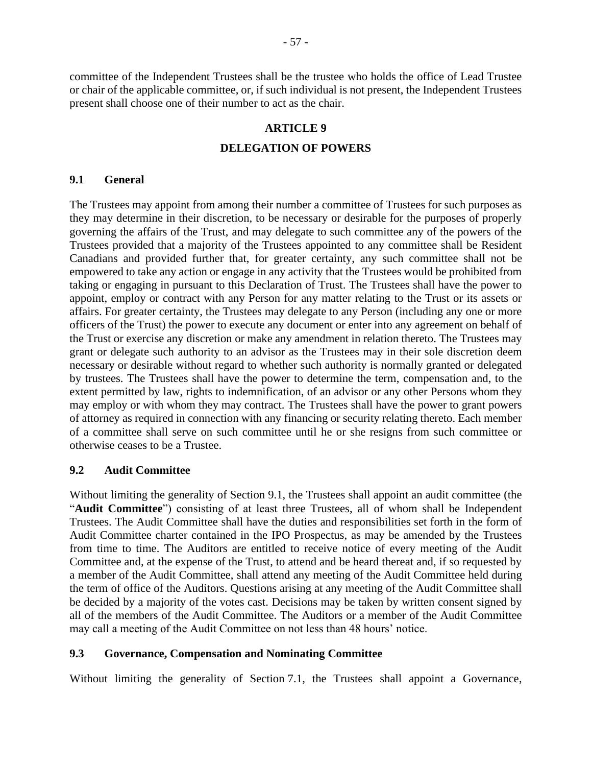committee of the Independent Trustees shall be the trustee who holds the office of Lead Trustee or chair of the applicable committee, or, if such individual is not present, the Independent Trustees present shall choose one of their number to act as the chair.

#### **ARTICLE 9**

#### **DELEGATION OF POWERS**

#### <span id="page-62-0"></span>**9.1 General**

The Trustees may appoint from among their number a committee of Trustees for such purposes as they may determine in their discretion, to be necessary or desirable for the purposes of properly governing the affairs of the Trust, and may delegate to such committee any of the powers of the Trustees provided that a majority of the Trustees appointed to any committee shall be Resident Canadians and provided further that, for greater certainty, any such committee shall not be empowered to take any action or engage in any activity that the Trustees would be prohibited from taking or engaging in pursuant to this Declaration of Trust. The Trustees shall have the power to appoint, employ or contract with any Person for any matter relating to the Trust or its assets or affairs. For greater certainty, the Trustees may delegate to any Person (including any one or more officers of the Trust) the power to execute any document or enter into any agreement on behalf of the Trust or exercise any discretion or make any amendment in relation thereto. The Trustees may grant or delegate such authority to an advisor as the Trustees may in their sole discretion deem necessary or desirable without regard to whether such authority is normally granted or delegated by trustees. The Trustees shall have the power to determine the term, compensation and, to the extent permitted by law, rights to indemnification, of an advisor or any other Persons whom they may employ or with whom they may contract. The Trustees shall have the power to grant powers of attorney as required in connection with any financing or security relating thereto. Each member of a committee shall serve on such committee until he or she resigns from such committee or otherwise ceases to be a Trustee.

#### **9.2 Audit Committee**

Without limiting the generality of Section [9.1,](#page-62-0) the Trustees shall appoint an audit committee (the "Audit Committee") consisting of at least three Trustees, all of whom shall be Independent Trustees. The Audit Committee shall have the duties and responsibilities set forth in the form of Audit Committee charter contained in the IPO Prospectus, as may be amended by the Trustees from time to time. The Auditors are entitled to receive notice of every meeting of the Audit Committee and, at the expense of the Trust, to attend and be heard thereat and, if so requested by a member of the Audit Committee, shall attend any meeting of the Audit Committee held during the term of office of the Auditors. Questions arising at any meeting of the Audit Committee shall be decided by a majority of the votes cast. Decisions may be taken by written consent signed by all of the members of the Audit Committee. The Auditors or a member of the Audit Committee may call a meeting of the Audit Committee on not less than 48 hours' notice.

#### **9.3 Governance, Compensation and Nominating Committee**

Without limiting the generality of Section [7.1,](#page-51-0) the Trustees shall appoint a Governance,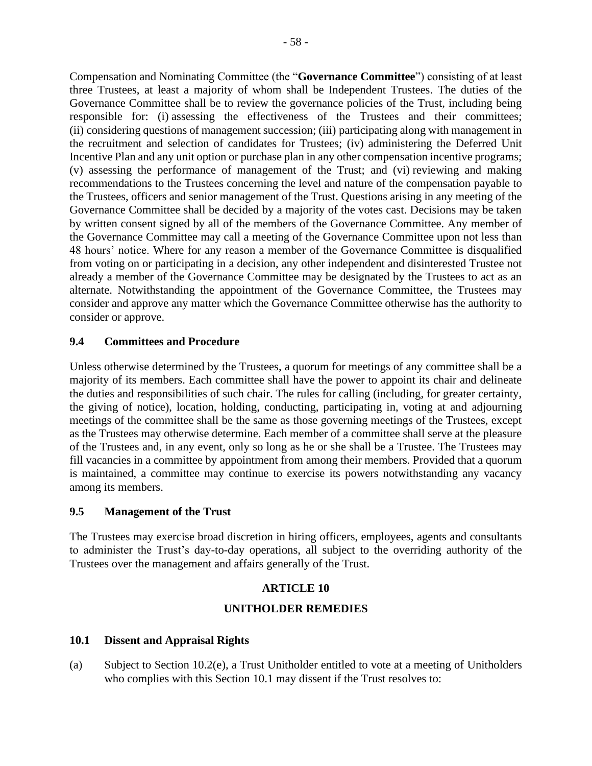Compensation and Nominating Committee (the "**Governance Committee**") consisting of at least three Trustees, at least a majority of whom shall be Independent Trustees. The duties of the Governance Committee shall be to review the governance policies of the Trust, including being responsible for: (i) assessing the effectiveness of the Trustees and their committees; (ii) considering questions of management succession; (iii) participating along with management in the recruitment and selection of candidates for Trustees; (iv) administering the Deferred Unit Incentive Plan and any unit option or purchase plan in any other compensation incentive programs; (v) assessing the performance of management of the Trust; and (vi) reviewing and making recommendations to the Trustees concerning the level and nature of the compensation payable to the Trustees, officers and senior management of the Trust. Questions arising in any meeting of the Governance Committee shall be decided by a majority of the votes cast. Decisions may be taken by written consent signed by all of the members of the Governance Committee. Any member of the Governance Committee may call a meeting of the Governance Committee upon not less than 48 hours' notice. Where for any reason a member of the Governance Committee is disqualified from voting on or participating in a decision, any other independent and disinterested Trustee not already a member of the Governance Committee may be designated by the Trustees to act as an alternate. Notwithstanding the appointment of the Governance Committee, the Trustees may consider and approve any matter which the Governance Committee otherwise has the authority to consider or approve.

## **9.4 Committees and Procedure**

Unless otherwise determined by the Trustees, a quorum for meetings of any committee shall be a majority of its members. Each committee shall have the power to appoint its chair and delineate the duties and responsibilities of such chair. The rules for calling (including, for greater certainty, the giving of notice), location, holding, conducting, participating in, voting at and adjourning meetings of the committee shall be the same as those governing meetings of the Trustees, except as the Trustees may otherwise determine. Each member of a committee shall serve at the pleasure of the Trustees and, in any event, only so long as he or she shall be a Trustee. The Trustees may fill vacancies in a committee by appointment from among their members. Provided that a quorum is maintained, a committee may continue to exercise its powers notwithstanding any vacancy among its members.

## **9.5 Management of the Trust**

The Trustees may exercise broad discretion in hiring officers, employees, agents and consultants to administer the Trust's day-to-day operations, all subject to the overriding authority of the Trustees over the management and affairs generally of the Trust.

#### **ARTICLE 10**

## **UNITHOLDER REMEDIES**

## <span id="page-63-0"></span>**10.1 Dissent and Appraisal Rights**

<span id="page-63-1"></span>(a) Subject to Section [10.2\(e\),](#page-68-0) a Trust Unitholder entitled to vote at a meeting of Unitholders who complies with this Section [10.1](#page-63-0) may dissent if the Trust resolves to: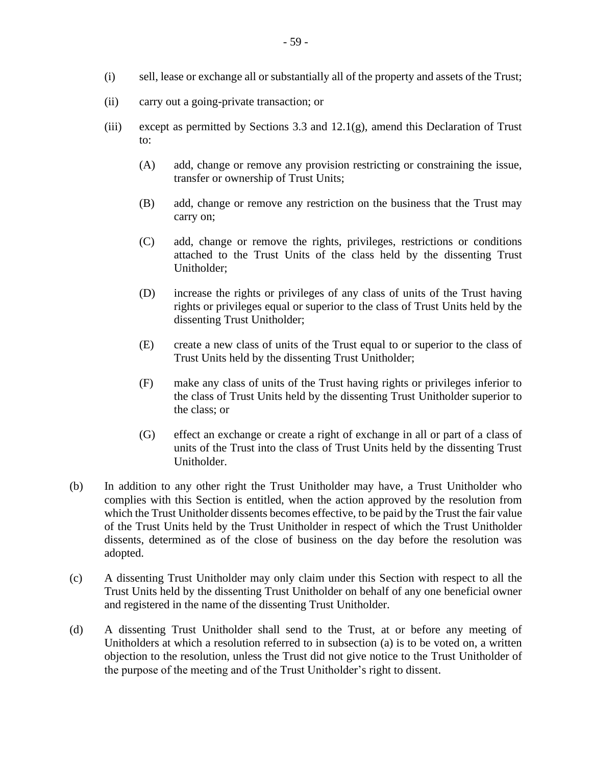- (ii) carry out a going-private transaction; or
- (iii) except as permitted by Sections [3.3](#page-19-0) and [12.1\(g\),](#page-70-1) amend this Declaration of Trust to:
	- (A) add, change or remove any provision restricting or constraining the issue, transfer or ownership of Trust Units;
	- (B) add, change or remove any restriction on the business that the Trust may carry on;
	- (C) add, change or remove the rights, privileges, restrictions or conditions attached to the Trust Units of the class held by the dissenting Trust Unitholder;
	- (D) increase the rights or privileges of any class of units of the Trust having rights or privileges equal or superior to the class of Trust Units held by the dissenting Trust Unitholder;
	- (E) create a new class of units of the Trust equal to or superior to the class of Trust Units held by the dissenting Trust Unitholder;
	- (F) make any class of units of the Trust having rights or privileges inferior to the class of Trust Units held by the dissenting Trust Unitholder superior to the class; or
	- (G) effect an exchange or create a right of exchange in all or part of a class of units of the Trust into the class of Trust Units held by the dissenting Trust Unitholder.
- (b) In addition to any other right the Trust Unitholder may have, a Trust Unitholder who complies with this Section is entitled, when the action approved by the resolution from which the Trust Unitholder dissents becomes effective, to be paid by the Trust the fair value of the Trust Units held by the Trust Unitholder in respect of which the Trust Unitholder dissents, determined as of the close of business on the day before the resolution was adopted.
- (c) A dissenting Trust Unitholder may only claim under this Section with respect to all the Trust Units held by the dissenting Trust Unitholder on behalf of any one beneficial owner and registered in the name of the dissenting Trust Unitholder.
- <span id="page-64-0"></span>(d) A dissenting Trust Unitholder shall send to the Trust, at or before any meeting of Unitholders at which a resolution referred to in subsection [\(a\)](#page-63-1) is to be voted on, a written objection to the resolution, unless the Trust did not give notice to the Trust Unitholder of the purpose of the meeting and of the Trust Unitholder's right to dissent.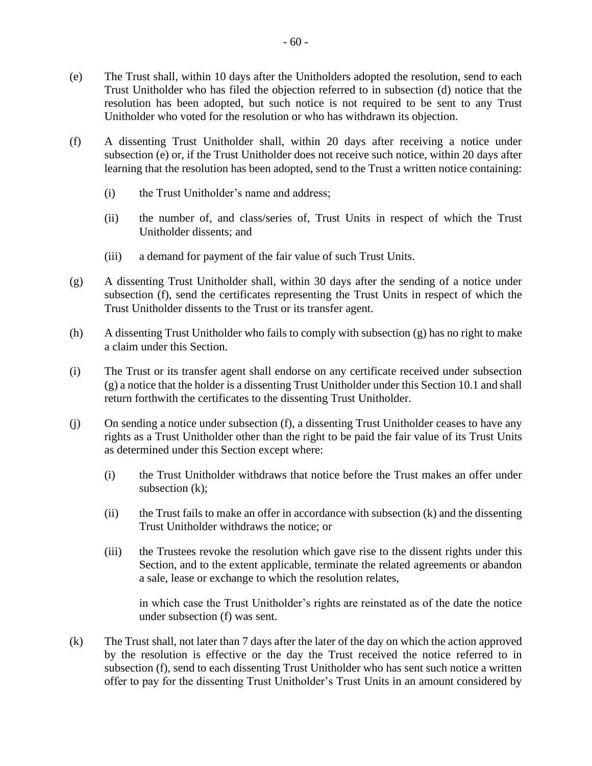- <span id="page-65-0"></span>(e) The Trust shall, within 10 days after the Unitholders adopted the resolution, send to each Trust Unitholder who has filed the objection referred to in subsection [\(d\)](#page-64-0) notice that the resolution has been adopted, but such notice is not required to be sent to any Trust Unitholder who voted for the resolution or who has withdrawn its objection.
- <span id="page-65-1"></span>(f) A dissenting Trust Unitholder shall, within 20 days after receiving a notice under subsection [\(e\)](#page-65-0) or, if the Trust Unitholder does not receive such notice, within 20 days after learning that the resolution has been adopted, send to the Trust a written notice containing:
	- (i) the Trust Unitholder's name and address;
	- (ii) the number of, and class/series of, Trust Units in respect of which the Trust Unitholder dissents; and
	- (iii) a demand for payment of the fair value of such Trust Units.
- <span id="page-65-2"></span>(g) A dissenting Trust Unitholder shall, within 30 days after the sending of a notice under subsection [\(f\),](#page-65-1) send the certificates representing the Trust Units in respect of which the Trust Unitholder dissents to the Trust or its transfer agent.
- (h) A dissenting Trust Unitholder who fails to comply with subsection [\(g\)](#page-65-2) has no right to make a claim under this Section.
- (i) The Trust or its transfer agent shall endorse on any certificate received under subsection [\(g\)](#page-65-2) a notice that the holder is a dissenting Trust Unitholder under this Section [10.1](#page-63-0) and shall return forthwith the certificates to the dissenting Trust Unitholder.
- (j) On sending a notice under subsection [\(f\),](#page-65-1) a dissenting Trust Unitholder ceases to have any rights as a Trust Unitholder other than the right to be paid the fair value of its Trust Units as determined under this Section except where:
	- (i) the Trust Unitholder withdraws that notice before the Trust makes an offer under subsection [\(k\);](#page-65-3)
	- (ii) the Trust fails to make an offer in accordance with subsection [\(k\)](#page-65-3) and the dissenting Trust Unitholder withdraws the notice; or
	- (iii) the Trustees revoke the resolution which gave rise to the dissent rights under this Section, and to the extent applicable, terminate the related agreements or abandon a sale, lease or exchange to which the resolution relates,

in which case the Trust Unitholder's rights are reinstated as of the date the notice under subsection [\(f\)](#page-65-1) was sent.

<span id="page-65-3"></span>(k) The Trust shall, not later than 7 days after the later of the day on which the action approved by the resolution is effective or the day the Trust received the notice referred to in subsection [\(f\),](#page-65-1) send to each dissenting Trust Unitholder who has sent such notice a written offer to pay for the dissenting Trust Unitholder's Trust Units in an amount considered by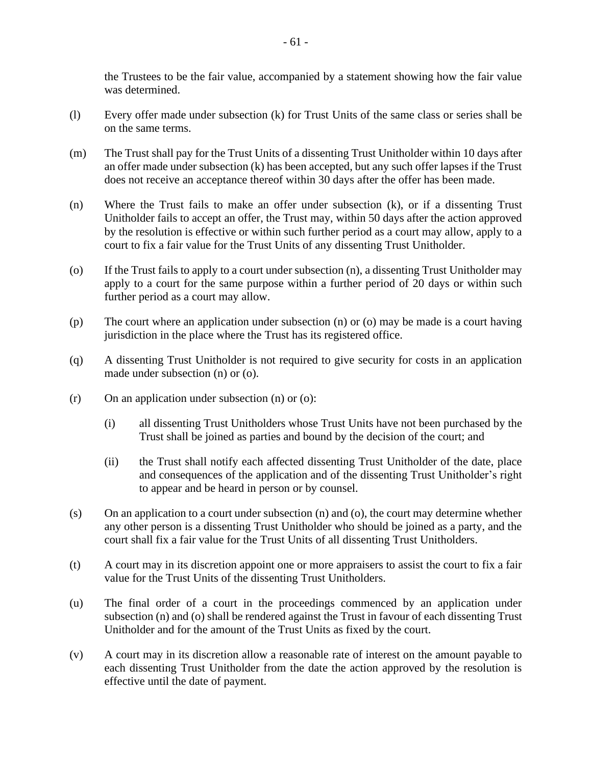the Trustees to be the fair value, accompanied by a statement showing how the fair value was determined.

- (l) Every offer made under subsection [\(k\)](#page-65-3) for Trust Units of the same class or series shall be on the same terms.
- (m) The Trust shall pay for the Trust Units of a dissenting Trust Unitholder within 10 days after an offer made under subsection [\(k\)](#page-65-3) has been accepted, but any such offer lapses if the Trust does not receive an acceptance thereof within 30 days after the offer has been made.
- <span id="page-66-0"></span>(n) Where the Trust fails to make an offer under subsection [\(k\),](#page-65-3) or if a dissenting Trust Unitholder fails to accept an offer, the Trust may, within 50 days after the action approved by the resolution is effective or within such further period as a court may allow, apply to a court to fix a fair value for the Trust Units of any dissenting Trust Unitholder.
- <span id="page-66-1"></span>(o) If the Trust fails to apply to a court under subsection [\(n\),](#page-66-0) a dissenting Trust Unitholder may apply to a court for the same purpose within a further period of 20 days or within such further period as a court may allow.
- (p) The court where an application under subsection [\(n\)](#page-66-0) or [\(o\)](#page-66-1) may be made is a court having jurisdiction in the place where the Trust has its registered office.
- (q) A dissenting Trust Unitholder is not required to give security for costs in an application made under subsection [\(n\)](#page-66-0) or [\(o\).](#page-66-1)
- (r) On an application under subsection [\(n\)](#page-66-0) or [\(o\):](#page-66-1)
	- (i) all dissenting Trust Unitholders whose Trust Units have not been purchased by the Trust shall be joined as parties and bound by the decision of the court; and
	- (ii) the Trust shall notify each affected dissenting Trust Unitholder of the date, place and consequences of the application and of the dissenting Trust Unitholder's right to appear and be heard in person or by counsel.
- (s) On an application to a court under subsection [\(n\)](#page-66-0) and [\(o\),](#page-66-1) the court may determine whether any other person is a dissenting Trust Unitholder who should be joined as a party, and the court shall fix a fair value for the Trust Units of all dissenting Trust Unitholders.
- (t) A court may in its discretion appoint one or more appraisers to assist the court to fix a fair value for the Trust Units of the dissenting Trust Unitholders.
- <span id="page-66-2"></span>(u) The final order of a court in the proceedings commenced by an application under subsection [\(n\)](#page-66-0) and [\(o\)](#page-66-1) shall be rendered against the Trust in favour of each dissenting Trust Unitholder and for the amount of the Trust Units as fixed by the court.
- (v) A court may in its discretion allow a reasonable rate of interest on the amount payable to each dissenting Trust Unitholder from the date the action approved by the resolution is effective until the date of payment.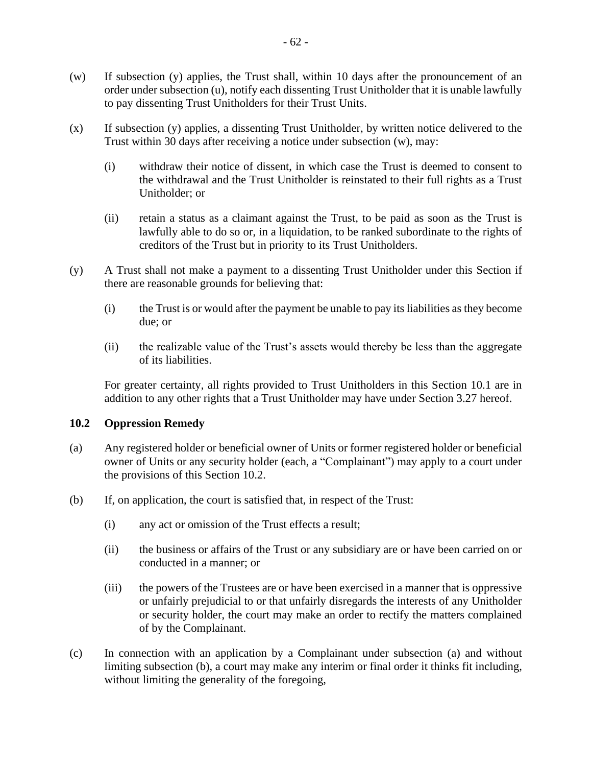- <span id="page-67-1"></span>(w) If subsection [\(y\)](#page-67-0) applies, the Trust shall, within 10 days after the pronouncement of an order under subsection [\(u\),](#page-66-2) notify each dissenting Trust Unitholder that it is unable lawfully to pay dissenting Trust Unitholders for their Trust Units.
- (x) If subsection [\(y\)](#page-67-0) applies, a dissenting Trust Unitholder, by written notice delivered to the Trust within 30 days after receiving a notice under subsection [\(w\),](#page-67-1) may:
	- (i) withdraw their notice of dissent, in which case the Trust is deemed to consent to the withdrawal and the Trust Unitholder is reinstated to their full rights as a Trust Unitholder; or
	- (ii) retain a status as a claimant against the Trust, to be paid as soon as the Trust is lawfully able to do so or, in a liquidation, to be ranked subordinate to the rights of creditors of the Trust but in priority to its Trust Unitholders.
- <span id="page-67-0"></span>(y) A Trust shall not make a payment to a dissenting Trust Unitholder under this Section if there are reasonable grounds for believing that:
	- (i) the Trust is or would after the payment be unable to pay its liabilities as they become due; or
	- (ii) the realizable value of the Trust's assets would thereby be less than the aggregate of its liabilities.

For greater certainty, all rights provided to Trust Unitholders in this Section [10.1](#page-63-0) are in addition to any other rights that a Trust Unitholder may have under Section [3.27](#page-32-1) hereof.

#### <span id="page-67-2"></span>**10.2 Oppression Remedy**

- <span id="page-67-3"></span>(a) Any registered holder or beneficial owner of Units or former registered holder or beneficial owner of Units or any security holder (each, a "Complainant") may apply to a court under the provisions of this Section [10.2.](#page-67-2)
- <span id="page-67-4"></span>(b) If, on application, the court is satisfied that, in respect of the Trust:
	- (i) any act or omission of the Trust effects a result;
	- (ii) the business or affairs of the Trust or any subsidiary are or have been carried on or conducted in a manner; or
	- (iii) the powers of the Trustees are or have been exercised in a manner that is oppressive or unfairly prejudicial to or that unfairly disregards the interests of any Unitholder or security holder, the court may make an order to rectify the matters complained of by the Complainant.
- (c) In connection with an application by a Complainant under subsection [\(a\)](#page-67-3) and without limiting subsection [\(b\),](#page-67-4) a court may make any interim or final order it thinks fit including, without limiting the generality of the foregoing,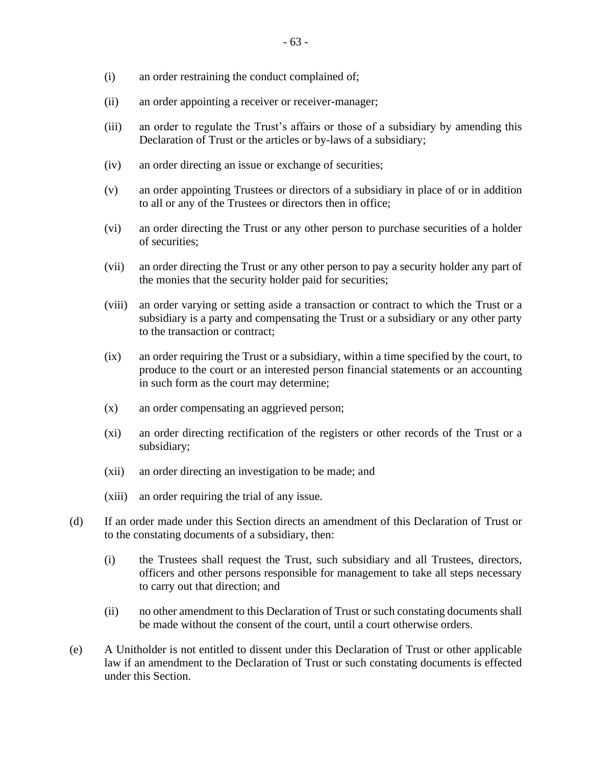- (i) an order restraining the conduct complained of;
- (ii) an order appointing a receiver or receiver-manager;
- (iii) an order to regulate the Trust's affairs or those of a subsidiary by amending this Declaration of Trust or the articles or by-laws of a subsidiary;
- (iv) an order directing an issue or exchange of securities;
- (v) an order appointing Trustees or directors of a subsidiary in place of or in addition to all or any of the Trustees or directors then in office;
- (vi) an order directing the Trust or any other person to purchase securities of a holder of securities;
- (vii) an order directing the Trust or any other person to pay a security holder any part of the monies that the security holder paid for securities;
- (viii) an order varying or setting aside a transaction or contract to which the Trust or a subsidiary is a party and compensating the Trust or a subsidiary or any other party to the transaction or contract;
- (ix) an order requiring the Trust or a subsidiary, within a time specified by the court, to produce to the court or an interested person financial statements or an accounting in such form as the court may determine;
- (x) an order compensating an aggrieved person;
- (xi) an order directing rectification of the registers or other records of the Trust or a subsidiary;
- (xii) an order directing an investigation to be made; and
- (xiii) an order requiring the trial of any issue.
- (d) If an order made under this Section directs an amendment of this Declaration of Trust or to the constating documents of a subsidiary, then:
	- (i) the Trustees shall request the Trust, such subsidiary and all Trustees, directors, officers and other persons responsible for management to take all steps necessary to carry out that direction; and
	- (ii) no other amendment to this Declaration of Trust or such constating documents shall be made without the consent of the court, until a court otherwise orders.
- <span id="page-68-0"></span>(e) A Unitholder is not entitled to dissent under this Declaration of Trust or other applicable law if an amendment to the Declaration of Trust or such constating documents is effected under this Section.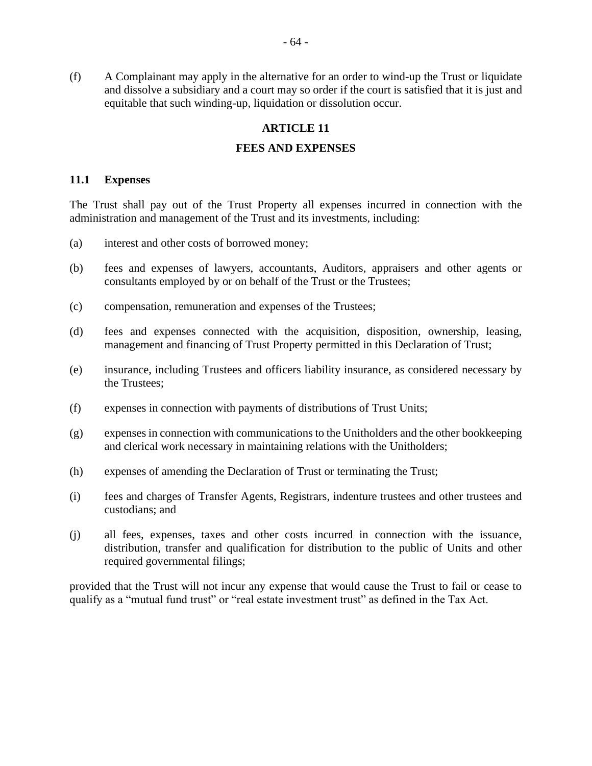(f) A Complainant may apply in the alternative for an order to wind-up the Trust or liquidate and dissolve a subsidiary and a court may so order if the court is satisfied that it is just and equitable that such winding-up, liquidation or dissolution occur.

#### **ARTICLE 11**

#### **FEES AND EXPENSES**

#### **11.1 Expenses**

The Trust shall pay out of the Trust Property all expenses incurred in connection with the administration and management of the Trust and its investments, including:

- (a) interest and other costs of borrowed money;
- (b) fees and expenses of lawyers, accountants, Auditors, appraisers and other agents or consultants employed by or on behalf of the Trust or the Trustees;
- (c) compensation, remuneration and expenses of the Trustees;
- (d) fees and expenses connected with the acquisition, disposition, ownership, leasing, management and financing of Trust Property permitted in this Declaration of Trust;
- (e) insurance, including Trustees and officers liability insurance, as considered necessary by the Trustees;
- (f) expenses in connection with payments of distributions of Trust Units;
- (g) expenses in connection with communications to the Unitholders and the other bookkeeping and clerical work necessary in maintaining relations with the Unitholders;
- (h) expenses of amending the Declaration of Trust or terminating the Trust;
- (i) fees and charges of Transfer Agents, Registrars, indenture trustees and other trustees and custodians; and
- (j) all fees, expenses, taxes and other costs incurred in connection with the issuance, distribution, transfer and qualification for distribution to the public of Units and other required governmental filings;

provided that the Trust will not incur any expense that would cause the Trust to fail or cease to qualify as a "mutual fund trust" or "real estate investment trust" as defined in the Tax Act.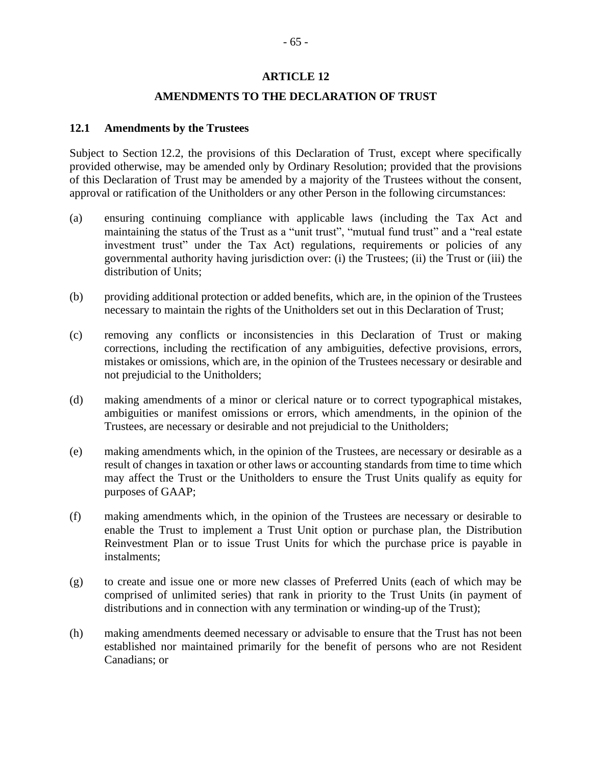#### **ARTICLE 12**

#### **AMENDMENTS TO THE DECLARATION OF TRUST**

#### <span id="page-70-2"></span><span id="page-70-0"></span>**12.1 Amendments by the Trustees**

Subject to Section [12.2,](#page-71-0) the provisions of this Declaration of Trust, except where specifically provided otherwise, may be amended only by Ordinary Resolution; provided that the provisions of this Declaration of Trust may be amended by a majority of the Trustees without the consent, approval or ratification of the Unitholders or any other Person in the following circumstances:

- (a) ensuring continuing compliance with applicable laws (including the Tax Act and maintaining the status of the Trust as a "unit trust", "mutual fund trust" and a "real estate investment trust" under the Tax Act) regulations, requirements or policies of any governmental authority having jurisdiction over: (i) the Trustees; (ii) the Trust or (iii) the distribution of Units;
- (b) providing additional protection or added benefits, which are, in the opinion of the Trustees necessary to maintain the rights of the Unitholders set out in this Declaration of Trust;
- (c) removing any conflicts or inconsistencies in this Declaration of Trust or making corrections, including the rectification of any ambiguities, defective provisions, errors, mistakes or omissions, which are, in the opinion of the Trustees necessary or desirable and not prejudicial to the Unitholders;
- (d) making amendments of a minor or clerical nature or to correct typographical mistakes, ambiguities or manifest omissions or errors, which amendments, in the opinion of the Trustees, are necessary or desirable and not prejudicial to the Unitholders;
- (e) making amendments which, in the opinion of the Trustees, are necessary or desirable as a result of changes in taxation or other laws or accounting standards from time to time which may affect the Trust or the Unitholders to ensure the Trust Units qualify as equity for purposes of GAAP;
- (f) making amendments which, in the opinion of the Trustees are necessary or desirable to enable the Trust to implement a Trust Unit option or purchase plan, the Distribution Reinvestment Plan or to issue Trust Units for which the purchase price is payable in instalments;
- <span id="page-70-1"></span>(g) to create and issue one or more new classes of Preferred Units (each of which may be comprised of unlimited series) that rank in priority to the Trust Units (in payment of distributions and in connection with any termination or winding-up of the Trust);
- (h) making amendments deemed necessary or advisable to ensure that the Trust has not been established nor maintained primarily for the benefit of persons who are not Resident Canadians; or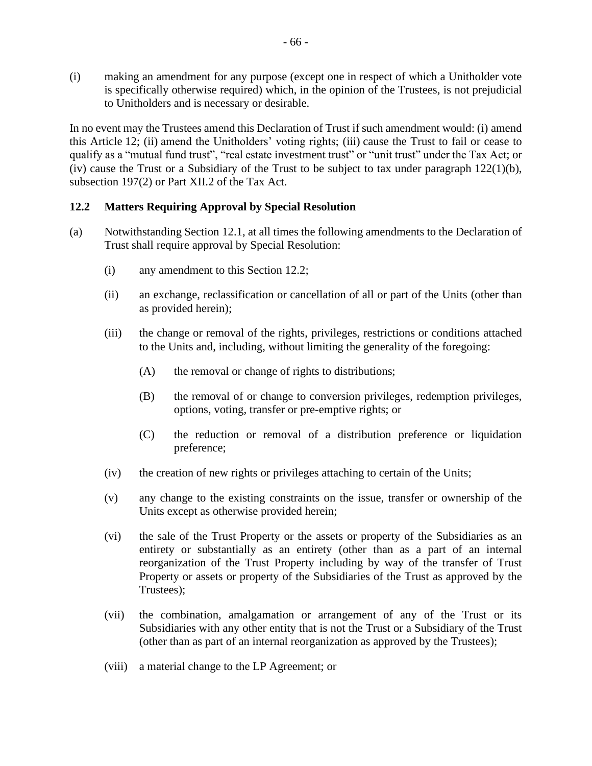(i) making an amendment for any purpose (except one in respect of which a Unitholder vote is specifically otherwise required) which, in the opinion of the Trustees, is not prejudicial to Unitholders and is necessary or desirable.

In no event may the Trustees amend this Declaration of Trust if such amendment would: (i) amend this [Article](#page-70-2) 12; (ii) amend the Unitholders' voting rights; (iii) cause the Trust to fail or cease to qualify as a "mutual fund trust", "real estate investment trust" or "unit trust" under the Tax Act; or (iv) cause the Trust or a Subsidiary of the Trust to be subject to tax under paragraph  $122(1)(b)$ , subsection 197(2) or Part XII.2 of the Tax Act.

### <span id="page-71-0"></span>**12.2 Matters Requiring Approval by Special Resolution**

- (a) Notwithstanding Section [12.1,](#page-70-0) at all times the following amendments to the Declaration of Trust shall require approval by Special Resolution:
	- (i) any amendment to this Section [12.2;](#page-71-0)
	- (ii) an exchange, reclassification or cancellation of all or part of the Units (other than as provided herein);
	- (iii) the change or removal of the rights, privileges, restrictions or conditions attached to the Units and, including, without limiting the generality of the foregoing:
		- (A) the removal or change of rights to distributions;
		- (B) the removal of or change to conversion privileges, redemption privileges, options, voting, transfer or pre-emptive rights; or
		- (C) the reduction or removal of a distribution preference or liquidation preference;
	- (iv) the creation of new rights or privileges attaching to certain of the Units;
	- (v) any change to the existing constraints on the issue, transfer or ownership of the Units except as otherwise provided herein;
	- (vi) the sale of the Trust Property or the assets or property of the Subsidiaries as an entirety or substantially as an entirety (other than as a part of an internal reorganization of the Trust Property including by way of the transfer of Trust Property or assets or property of the Subsidiaries of the Trust as approved by the Trustees);
	- (vii) the combination, amalgamation or arrangement of any of the Trust or its Subsidiaries with any other entity that is not the Trust or a Subsidiary of the Trust (other than as part of an internal reorganization as approved by the Trustees);
	- (viii) a material change to the LP Agreement; or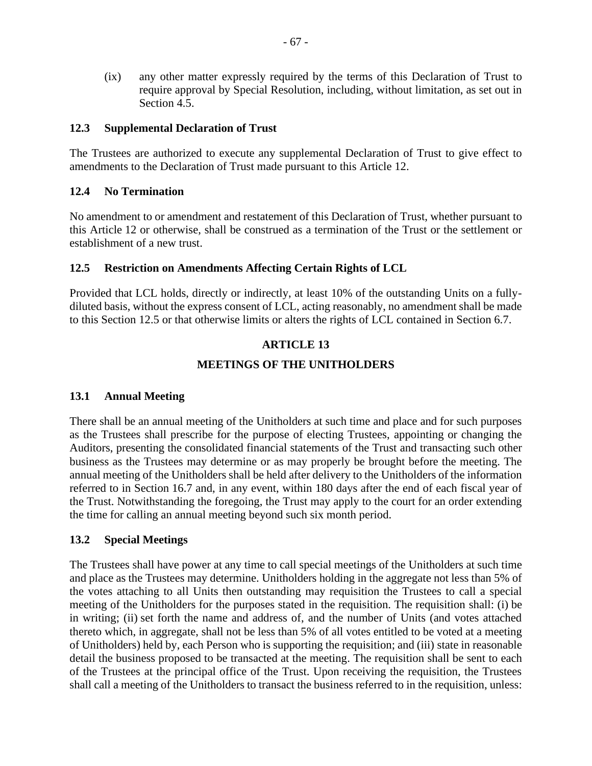(ix) any other matter expressly required by the terms of this Declaration of Trust to require approval by Special Resolution, including, without limitation, as set out in Section [4.5.](#page-42-0)

#### **12.3 Supplemental Declaration of Trust**

The Trustees are authorized to execute any supplemental Declaration of Trust to give effect to amendments to the Declaration of Trust made pursuant to this [Article](#page-70-0) 12.

### **12.4 No Termination**

No amendment to or amendment and restatement of this Declaration of Trust, whether pursuant to this [Article](#page-70-0) 12 or otherwise, shall be construed as a termination of the Trust or the settlement or establishment of a new trust.

### <span id="page-72-0"></span>**12.5 Restriction on Amendments Affecting Certain Rights of LCL**

<span id="page-72-2"></span>Provided that LCL holds, directly or indirectly, at least 10% of the outstanding Units on a fullydiluted basis, without the express consent of LCL, acting reasonably, no amendment shall be made to this Section [12.5](#page-72-0) or that otherwise limits or alters the rights of LCL contained in Section [6.7.](#page-48-0)

### **ARTICLE 13**

### **MEETINGS OF THE UNITHOLDERS**

### **13.1 Annual Meeting**

There shall be an annual meeting of the Unitholders at such time and place and for such purposes as the Trustees shall prescribe for the purpose of electing Trustees, appointing or changing the Auditors, presenting the consolidated financial statements of the Trust and transacting such other business as the Trustees may determine or as may properly be brought before the meeting. The annual meeting of the Unitholders shall be held after delivery to the Unitholders of the information referred to in Section [16.7](#page-85-0) and, in any event, within 180 days after the end of each fiscal year of the Trust. Notwithstanding the foregoing, the Trust may apply to the court for an order extending the time for calling an annual meeting beyond such six month period.

### <span id="page-72-1"></span>**13.2 Special Meetings**

The Trustees shall have power at any time to call special meetings of the Unitholders at such time and place as the Trustees may determine. Unitholders holding in the aggregate not less than 5% of the votes attaching to all Units then outstanding may requisition the Trustees to call a special meeting of the Unitholders for the purposes stated in the requisition. The requisition shall: (i) be in writing; (ii) set forth the name and address of, and the number of Units (and votes attached thereto which, in aggregate, shall not be less than 5% of all votes entitled to be voted at a meeting of Unitholders) held by, each Person who is supporting the requisition; and (iii) state in reasonable detail the business proposed to be transacted at the meeting. The requisition shall be sent to each of the Trustees at the principal office of the Trust. Upon receiving the requisition, the Trustees shall call a meeting of the Unitholders to transact the business referred to in the requisition, unless: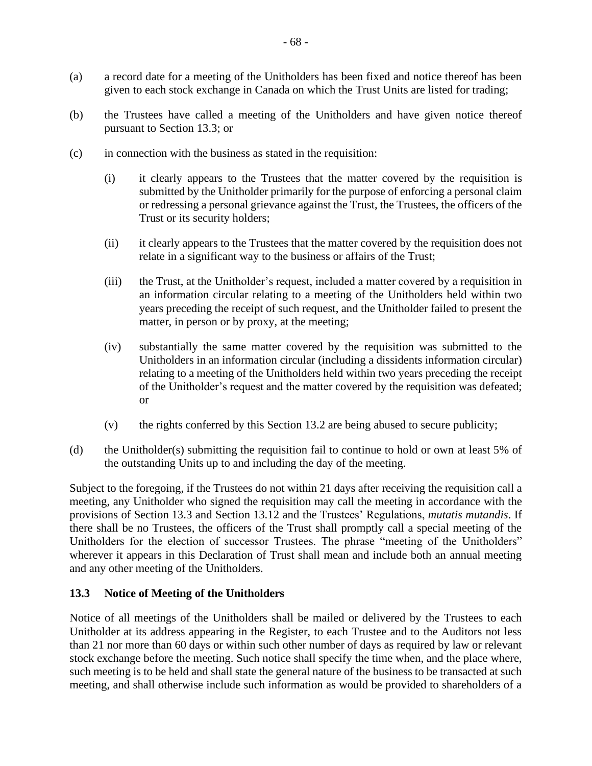- (a) a record date for a meeting of the Unitholders has been fixed and notice thereof has been given to each stock exchange in Canada on which the Trust Units are listed for trading;
- (b) the Trustees have called a meeting of the Unitholders and have given notice thereof pursuant to Section [13.3;](#page-73-0) or
- (c) in connection with the business as stated in the requisition:
	- (i) it clearly appears to the Trustees that the matter covered by the requisition is submitted by the Unitholder primarily for the purpose of enforcing a personal claim or redressing a personal grievance against the Trust, the Trustees, the officers of the Trust or its security holders;
	- (ii) it clearly appears to the Trustees that the matter covered by the requisition does not relate in a significant way to the business or affairs of the Trust;
	- (iii) the Trust, at the Unitholder's request, included a matter covered by a requisition in an information circular relating to a meeting of the Unitholders held within two years preceding the receipt of such request, and the Unitholder failed to present the matter, in person or by proxy, at the meeting;
	- (iv) substantially the same matter covered by the requisition was submitted to the Unitholders in an information circular (including a dissidents information circular) relating to a meeting of the Unitholders held within two years preceding the receipt of the Unitholder's request and the matter covered by the requisition was defeated; or
	- (v) the rights conferred by this Section [13.2](#page-72-1) are being abused to secure publicity;
- (d) the Unitholder(s) submitting the requisition fail to continue to hold or own at least 5% of the outstanding Units up to and including the day of the meeting.

Subject to the foregoing, if the Trustees do not within 21 days after receiving the requisition call a meeting, any Unitholder who signed the requisition may call the meeting in accordance with the provisions of Section [13.3](#page-73-0) and Section [13.12](#page-79-0) and the Trustees' Regulations, *mutatis mutandis*. If there shall be no Trustees, the officers of the Trust shall promptly call a special meeting of the Unitholders for the election of successor Trustees. The phrase "meeting of the Unitholders" wherever it appears in this Declaration of Trust shall mean and include both an annual meeting and any other meeting of the Unitholders.

# <span id="page-73-0"></span>**13.3 Notice of Meeting of the Unitholders**

Notice of all meetings of the Unitholders shall be mailed or delivered by the Trustees to each Unitholder at its address appearing in the Register, to each Trustee and to the Auditors not less than 21 nor more than 60 days or within such other number of days as required by law or relevant stock exchange before the meeting. Such notice shall specify the time when, and the place where, such meeting is to be held and shall state the general nature of the business to be transacted at such meeting, and shall otherwise include such information as would be provided to shareholders of a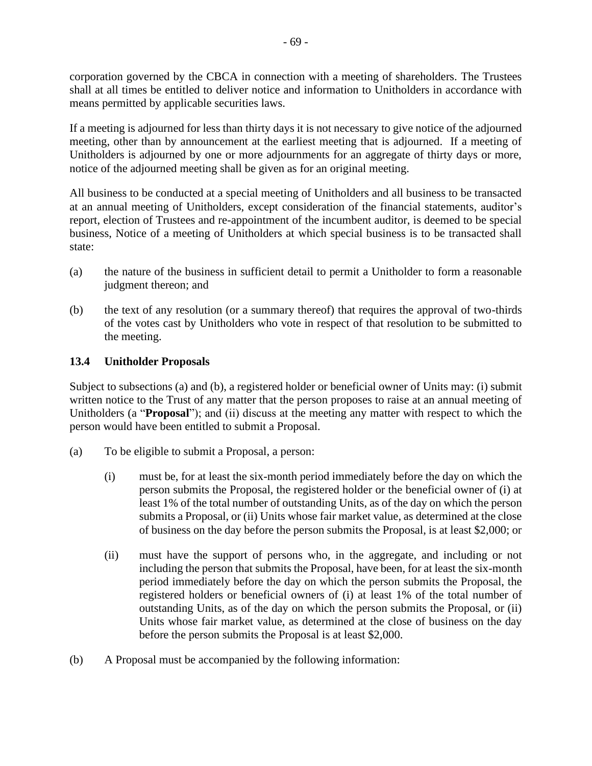corporation governed by the CBCA in connection with a meeting of shareholders. The Trustees shall at all times be entitled to deliver notice and information to Unitholders in accordance with means permitted by applicable securities laws.

If a meeting is adjourned for less than thirty days it is not necessary to give notice of the adjourned meeting, other than by announcement at the earliest meeting that is adjourned. If a meeting of Unitholders is adjourned by one or more adjournments for an aggregate of thirty days or more, notice of the adjourned meeting shall be given as for an original meeting.

All business to be conducted at a special meeting of Unitholders and all business to be transacted at an annual meeting of Unitholders, except consideration of the financial statements, auditor's report, election of Trustees and re-appointment of the incumbent auditor, is deemed to be special business, Notice of a meeting of Unitholders at which special business is to be transacted shall state:

- (a) the nature of the business in sufficient detail to permit a Unitholder to form a reasonable judgment thereon; and
- (b) the text of any resolution (or a summary thereof) that requires the approval of two-thirds of the votes cast by Unitholders who vote in respect of that resolution to be submitted to the meeting.

# **13.4 Unitholder Proposals**

Subject to subsections [\(a\)](#page-74-0) and [\(b\),](#page-74-1) a registered holder or beneficial owner of Units may: (i) submit written notice to the Trust of any matter that the person proposes to raise at an annual meeting of Unitholders (a "**Proposal**"); and (ii) discuss at the meeting any matter with respect to which the person would have been entitled to submit a Proposal.

- <span id="page-74-0"></span>(a) To be eligible to submit a Proposal, a person:
	- (i) must be, for at least the six-month period immediately before the day on which the person submits the Proposal, the registered holder or the beneficial owner of (i) at least 1% of the total number of outstanding Units, as of the day on which the person submits a Proposal, or (ii) Units whose fair market value, as determined at the close of business on the day before the person submits the Proposal, is at least \$2,000; or
	- (ii) must have the support of persons who, in the aggregate, and including or not including the person that submits the Proposal, have been, for at least the six-month period immediately before the day on which the person submits the Proposal, the registered holders or beneficial owners of (i) at least 1% of the total number of outstanding Units, as of the day on which the person submits the Proposal, or (ii) Units whose fair market value, as determined at the close of business on the day before the person submits the Proposal is at least \$2,000.
- <span id="page-74-1"></span>(b) A Proposal must be accompanied by the following information: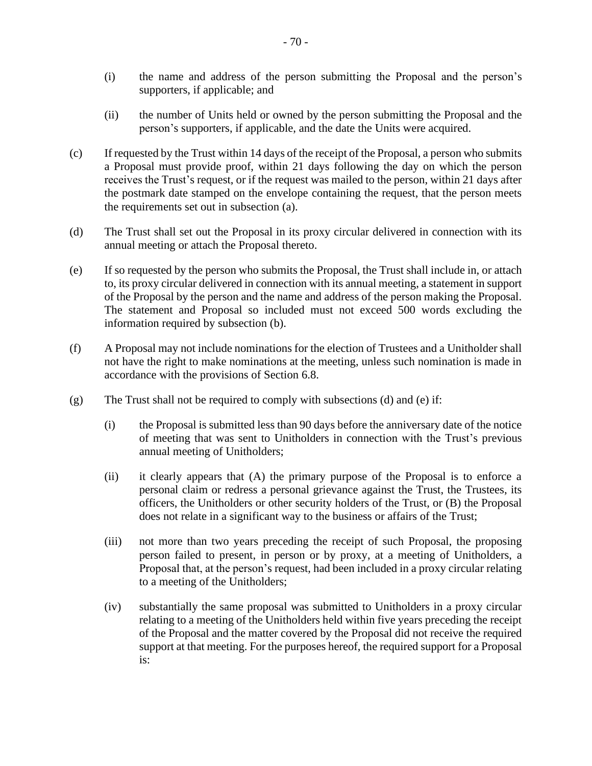- (i) the name and address of the person submitting the Proposal and the person's supporters, if applicable; and
- (ii) the number of Units held or owned by the person submitting the Proposal and the person's supporters, if applicable, and the date the Units were acquired.
- <span id="page-75-2"></span>(c) If requested by the Trust within 14 days of the receipt of the Proposal, a person who submits a Proposal must provide proof, within 21 days following the day on which the person receives the Trust's request, or if the request was mailed to the person, within 21 days after the postmark date stamped on the envelope containing the request, that the person meets the requirements set out in subsection [\(a\).](#page-74-0)
- <span id="page-75-0"></span>(d) The Trust shall set out the Proposal in its proxy circular delivered in connection with its annual meeting or attach the Proposal thereto.
- <span id="page-75-1"></span>(e) If so requested by the person who submits the Proposal, the Trust shall include in, or attach to, its proxy circular delivered in connection with its annual meeting, a statement in support of the Proposal by the person and the name and address of the person making the Proposal. The statement and Proposal so included must not exceed 500 words excluding the information required by subsection [\(b\).](#page-74-1)
- (f) A Proposal may not include nominations for the election of Trustees and a Unitholder shall not have the right to make nominations at the meeting, unless such nomination is made in accordance with the provisions of Section [6.8.](#page-49-0)
- <span id="page-75-3"></span>(g) The Trust shall not be required to comply with subsections [\(d\)](#page-75-0) and [\(e\)](#page-75-1) if:
	- (i) the Proposal is submitted less than 90 days before the anniversary date of the notice of meeting that was sent to Unitholders in connection with the Trust's previous annual meeting of Unitholders;
	- (ii) it clearly appears that (A) the primary purpose of the Proposal is to enforce a personal claim or redress a personal grievance against the Trust, the Trustees, its officers, the Unitholders or other security holders of the Trust, or (B) the Proposal does not relate in a significant way to the business or affairs of the Trust;
	- (iii) not more than two years preceding the receipt of such Proposal, the proposing person failed to present, in person or by proxy, at a meeting of Unitholders, a Proposal that, at the person's request, had been included in a proxy circular relating to a meeting of the Unitholders;
	- (iv) substantially the same proposal was submitted to Unitholders in a proxy circular relating to a meeting of the Unitholders held within five years preceding the receipt of the Proposal and the matter covered by the Proposal did not receive the required support at that meeting. For the purposes hereof, the required support for a Proposal is: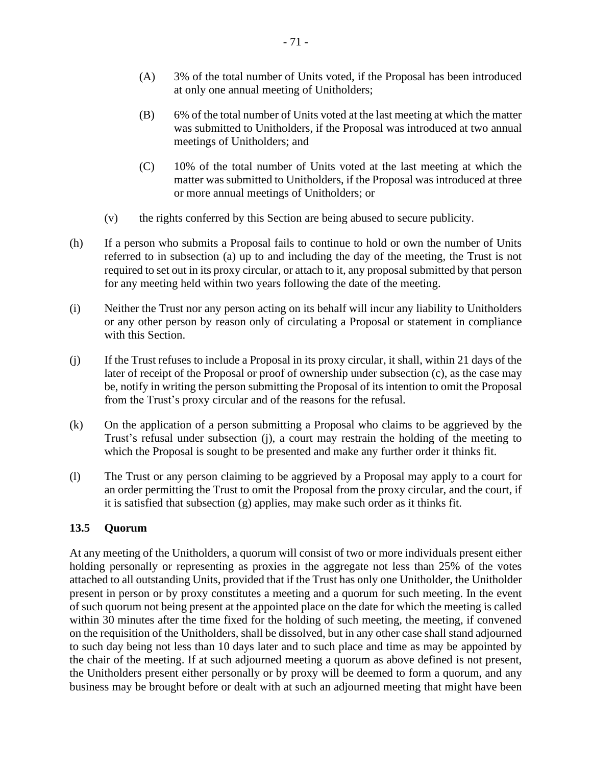- (A) 3% of the total number of Units voted, if the Proposal has been introduced at only one annual meeting of Unitholders;
- (B) 6% of the total number of Units voted at the last meeting at which the matter was submitted to Unitholders, if the Proposal was introduced at two annual meetings of Unitholders; and
- (C) 10% of the total number of Units voted at the last meeting at which the matter was submitted to Unitholders, if the Proposal was introduced at three or more annual meetings of Unitholders; or
- (v) the rights conferred by this Section are being abused to secure publicity.
- (h) If a person who submits a Proposal fails to continue to hold or own the number of Units referred to in subsection [\(a\)](#page-74-0) up to and including the day of the meeting, the Trust is not required to set out in its proxy circular, or attach to it, any proposal submitted by that person for any meeting held within two years following the date of the meeting.
- (i) Neither the Trust nor any person acting on its behalf will incur any liability to Unitholders or any other person by reason only of circulating a Proposal or statement in compliance with this Section.
- <span id="page-76-0"></span>(j) If the Trust refuses to include a Proposal in its proxy circular, it shall, within 21 days of the later of receipt of the Proposal or proof of ownership under subsection [\(c\),](#page-75-2) as the case may be, notify in writing the person submitting the Proposal of its intention to omit the Proposal from the Trust's proxy circular and of the reasons for the refusal.
- (k) On the application of a person submitting a Proposal who claims to be aggrieved by the Trust's refusal under subsection [\(j\),](#page-76-0) a court may restrain the holding of the meeting to which the Proposal is sought to be presented and make any further order it thinks fit.
- (l) The Trust or any person claiming to be aggrieved by a Proposal may apply to a court for an order permitting the Trust to omit the Proposal from the proxy circular, and the court, if it is satisfied that subsection [\(g\)](#page-75-3) applies, may make such order as it thinks fit.

# **13.5 Quorum**

At any meeting of the Unitholders, a quorum will consist of two or more individuals present either holding personally or representing as proxies in the aggregate not less than 25% of the votes attached to all outstanding Units, provided that if the Trust has only one Unitholder, the Unitholder present in person or by proxy constitutes a meeting and a quorum for such meeting. In the event of such quorum not being present at the appointed place on the date for which the meeting is called within 30 minutes after the time fixed for the holding of such meeting, the meeting, if convened on the requisition of the Unitholders, shall be dissolved, but in any other case shall stand adjourned to such day being not less than 10 days later and to such place and time as may be appointed by the chair of the meeting. If at such adjourned meeting a quorum as above defined is not present, the Unitholders present either personally or by proxy will be deemed to form a quorum, and any business may be brought before or dealt with at such an adjourned meeting that might have been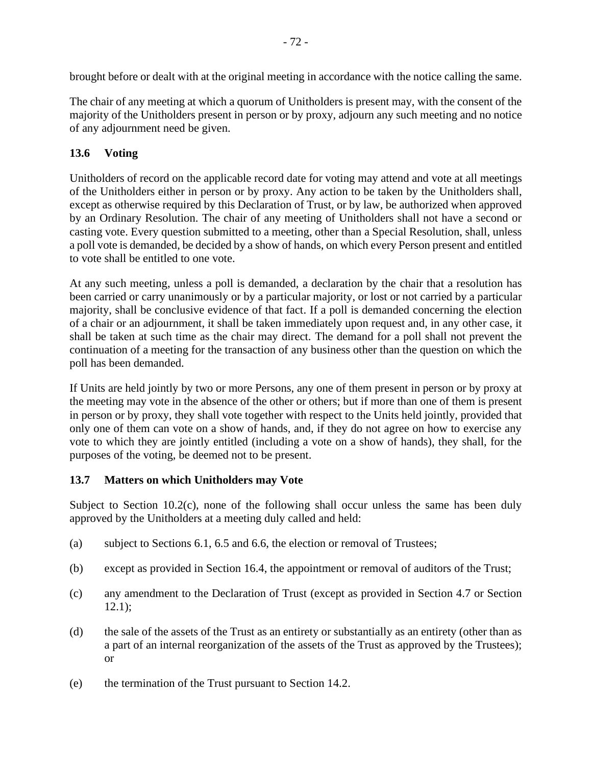brought before or dealt with at the original meeting in accordance with the notice calling the same.

The chair of any meeting at which a quorum of Unitholders is present may, with the consent of the majority of the Unitholders present in person or by proxy, adjourn any such meeting and no notice of any adjournment need be given.

# **13.6 Voting**

Unitholders of record on the applicable record date for voting may attend and vote at all meetings of the Unitholders either in person or by proxy. Any action to be taken by the Unitholders shall, except as otherwise required by this Declaration of Trust, or by law, be authorized when approved by an Ordinary Resolution. The chair of any meeting of Unitholders shall not have a second or casting vote. Every question submitted to a meeting, other than a Special Resolution, shall, unless a poll vote is demanded, be decided by a show of hands, on which every Person present and entitled to vote shall be entitled to one vote.

At any such meeting, unless a poll is demanded, a declaration by the chair that a resolution has been carried or carry unanimously or by a particular majority, or lost or not carried by a particular majority, shall be conclusive evidence of that fact. If a poll is demanded concerning the election of a chair or an adjournment, it shall be taken immediately upon request and, in any other case, it shall be taken at such time as the chair may direct. The demand for a poll shall not prevent the continuation of a meeting for the transaction of any business other than the question on which the poll has been demanded.

If Units are held jointly by two or more Persons, any one of them present in person or by proxy at the meeting may vote in the absence of the other or others; but if more than one of them is present in person or by proxy, they shall vote together with respect to the Units held jointly, provided that only one of them can vote on a show of hands, and, if they do not agree on how to exercise any vote to which they are jointly entitled (including a vote on a show of hands), they shall, for the purposes of the voting, be deemed not to be present.

# <span id="page-77-0"></span>**13.7 Matters on which Unitholders may Vote**

Subject to Section [10.2\(c\),](#page-67-0) none of the following shall occur unless the same has been duly approved by the Unitholders at a meeting duly called and held:

- (a) subject to Sections [6.1,](#page-46-0) [6.5](#page-47-0) and [6.6,](#page-48-1) the election or removal of Trustees;
- (b) except as provided in Section [16.4,](#page-85-1) the appointment or removal of auditors of the Trust;
- (c) any amendment to the Declaration of Trust (except as provided in Section [4.7](#page-42-1) or Section [12.1\)](#page-70-1);
- (d) the sale of the assets of the Trust as an entirety or substantially as an entirety (other than as a part of an internal reorganization of the assets of the Trust as approved by the Trustees); or
- (e) the termination of the Trust pursuant to Section [14.2.](#page-81-0)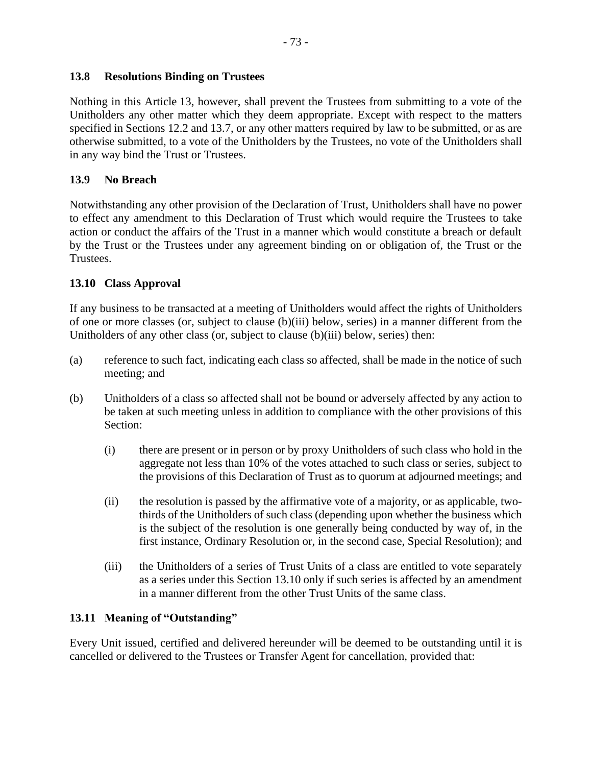# **13.8 Resolutions Binding on Trustees**

Nothing in this [Article](#page-72-2) 13, however, shall prevent the Trustees from submitting to a vote of the Unitholders any other matter which they deem appropriate. Except with respect to the matters specified in Sections [12.2](#page-71-0) and [13.7,](#page-77-0) or any other matters required by law to be submitted, or as are otherwise submitted, to a vote of the Unitholders by the Trustees, no vote of the Unitholders shall in any way bind the Trust or Trustees.

### **13.9 No Breach**

Notwithstanding any other provision of the Declaration of Trust, Unitholders shall have no power to effect any amendment to this Declaration of Trust which would require the Trustees to take action or conduct the affairs of the Trust in a manner which would constitute a breach or default by the Trust or the Trustees under any agreement binding on or obligation of, the Trust or the Trustees.

### <span id="page-78-2"></span>**13.10 Class Approval**

If any business to be transacted at a meeting of Unitholders would affect the rights of Unitholders of one or more classes (or, subject to clause [\(b\)](#page-78-0)[\(iii\)](#page-78-1) below, series) in a manner different from the Unitholders of any other class (or, subject to clause [\(b\)](#page-78-0)[\(iii\)](#page-78-1) below, series) then:

- (a) reference to such fact, indicating each class so affected, shall be made in the notice of such meeting; and
- <span id="page-78-0"></span>(b) Unitholders of a class so affected shall not be bound or adversely affected by any action to be taken at such meeting unless in addition to compliance with the other provisions of this Section:
	- (i) there are present or in person or by proxy Unitholders of such class who hold in the aggregate not less than 10% of the votes attached to such class or series, subject to the provisions of this Declaration of Trust as to quorum at adjourned meetings; and
	- (ii) the resolution is passed by the affirmative vote of a majority, or as applicable, twothirds of the Unitholders of such class (depending upon whether the business which is the subject of the resolution is one generally being conducted by way of, in the first instance, Ordinary Resolution or, in the second case, Special Resolution); and
	- (iii) the Unitholders of a series of Trust Units of a class are entitled to vote separately as a series under this Section [13.10](#page-78-2) only if such series is affected by an amendment in a manner different from the other Trust Units of the same class.

# <span id="page-78-3"></span><span id="page-78-1"></span>**13.11 Meaning of "Outstanding"**

Every Unit issued, certified and delivered hereunder will be deemed to be outstanding until it is cancelled or delivered to the Trustees or Transfer Agent for cancellation, provided that: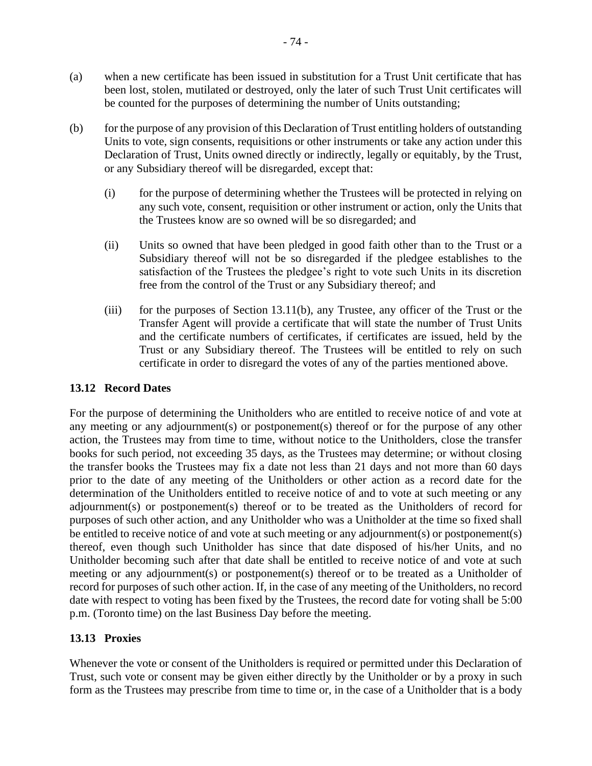- (a) when a new certificate has been issued in substitution for a Trust Unit certificate that has been lost, stolen, mutilated or destroyed, only the later of such Trust Unit certificates will be counted for the purposes of determining the number of Units outstanding;
- <span id="page-79-1"></span>(b) for the purpose of any provision of this Declaration of Trust entitling holders of outstanding Units to vote, sign consents, requisitions or other instruments or take any action under this Declaration of Trust, Units owned directly or indirectly, legally or equitably, by the Trust, or any Subsidiary thereof will be disregarded, except that:
	- (i) for the purpose of determining whether the Trustees will be protected in relying on any such vote, consent, requisition or other instrument or action, only the Units that the Trustees know are so owned will be so disregarded; and
	- (ii) Units so owned that have been pledged in good faith other than to the Trust or a Subsidiary thereof will not be so disregarded if the pledgee establishes to the satisfaction of the Trustees the pledgee's right to vote such Units in its discretion free from the control of the Trust or any Subsidiary thereof; and
	- (iii) for the purposes of Section [13.11](#page-78-3)[\(b\),](#page-79-1) any Trustee, any officer of the Trust or the Transfer Agent will provide a certificate that will state the number of Trust Units and the certificate numbers of certificates, if certificates are issued, held by the Trust or any Subsidiary thereof. The Trustees will be entitled to rely on such certificate in order to disregard the votes of any of the parties mentioned above.

# <span id="page-79-0"></span>**13.12 Record Dates**

For the purpose of determining the Unitholders who are entitled to receive notice of and vote at any meeting or any adjournment(s) or postponement(s) thereof or for the purpose of any other action, the Trustees may from time to time, without notice to the Unitholders, close the transfer books for such period, not exceeding 35 days, as the Trustees may determine; or without closing the transfer books the Trustees may fix a date not less than 21 days and not more than 60 days prior to the date of any meeting of the Unitholders or other action as a record date for the determination of the Unitholders entitled to receive notice of and to vote at such meeting or any adjournment(s) or postponement(s) thereof or to be treated as the Unitholders of record for purposes of such other action, and any Unitholder who was a Unitholder at the time so fixed shall be entitled to receive notice of and vote at such meeting or any adjournment(s) or postponement(s) thereof, even though such Unitholder has since that date disposed of his/her Units, and no Unitholder becoming such after that date shall be entitled to receive notice of and vote at such meeting or any adjournment(s) or postponement(s) thereof or to be treated as a Unitholder of record for purposes of such other action. If, in the case of any meeting of the Unitholders, no record date with respect to voting has been fixed by the Trustees, the record date for voting shall be 5:00 p.m. (Toronto time) on the last Business Day before the meeting.

# **13.13 Proxies**

Whenever the vote or consent of the Unitholders is required or permitted under this Declaration of Trust, such vote or consent may be given either directly by the Unitholder or by a proxy in such form as the Trustees may prescribe from time to time or, in the case of a Unitholder that is a body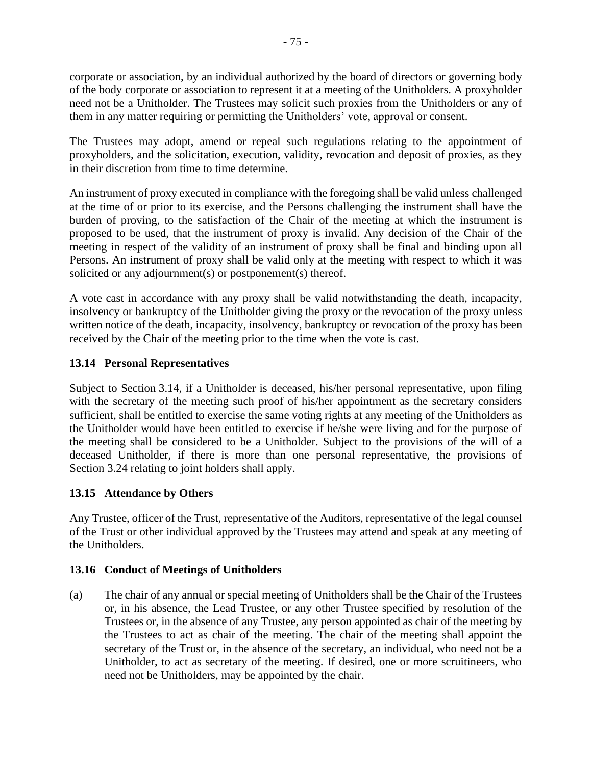corporate or association, by an individual authorized by the board of directors or governing body of the body corporate or association to represent it at a meeting of the Unitholders. A proxyholder need not be a Unitholder. The Trustees may solicit such proxies from the Unitholders or any of them in any matter requiring or permitting the Unitholders' vote, approval or consent.

The Trustees may adopt, amend or repeal such regulations relating to the appointment of proxyholders, and the solicitation, execution, validity, revocation and deposit of proxies, as they in their discretion from time to time determine.

An instrument of proxy executed in compliance with the foregoing shall be valid unless challenged at the time of or prior to its exercise, and the Persons challenging the instrument shall have the burden of proving, to the satisfaction of the Chair of the meeting at which the instrument is proposed to be used, that the instrument of proxy is invalid. Any decision of the Chair of the meeting in respect of the validity of an instrument of proxy shall be final and binding upon all Persons. An instrument of proxy shall be valid only at the meeting with respect to which it was solicited or any adjournment(s) or postponement(s) thereof.

A vote cast in accordance with any proxy shall be valid notwithstanding the death, incapacity, insolvency or bankruptcy of the Unitholder giving the proxy or the revocation of the proxy unless written notice of the death, incapacity, insolvency, bankruptcy or revocation of the proxy has been received by the Chair of the meeting prior to the time when the vote is cast.

# **13.14 Personal Representatives**

Subject to Section [3.14,](#page-23-0) if a Unitholder is deceased, his/her personal representative, upon filing with the secretary of the meeting such proof of his/her appointment as the secretary considers sufficient, shall be entitled to exercise the same voting rights at any meeting of the Unitholders as the Unitholder would have been entitled to exercise if he/she were living and for the purpose of the meeting shall be considered to be a Unitholder. Subject to the provisions of the will of a deceased Unitholder, if there is more than one personal representative, the provisions of Section [3.24](#page-31-0) relating to joint holders shall apply.

# **13.15 Attendance by Others**

Any Trustee, officer of the Trust, representative of the Auditors, representative of the legal counsel of the Trust or other individual approved by the Trustees may attend and speak at any meeting of the Unitholders.

# **13.16 Conduct of Meetings of Unitholders**

(a) The chair of any annual or special meeting of Unitholders shall be the Chair of the Trustees or, in his absence, the Lead Trustee, or any other Trustee specified by resolution of the Trustees or, in the absence of any Trustee, any person appointed as chair of the meeting by the Trustees to act as chair of the meeting. The chair of the meeting shall appoint the secretary of the Trust or, in the absence of the secretary, an individual, who need not be a Unitholder, to act as secretary of the meeting. If desired, one or more scruitineers, who need not be Unitholders, may be appointed by the chair.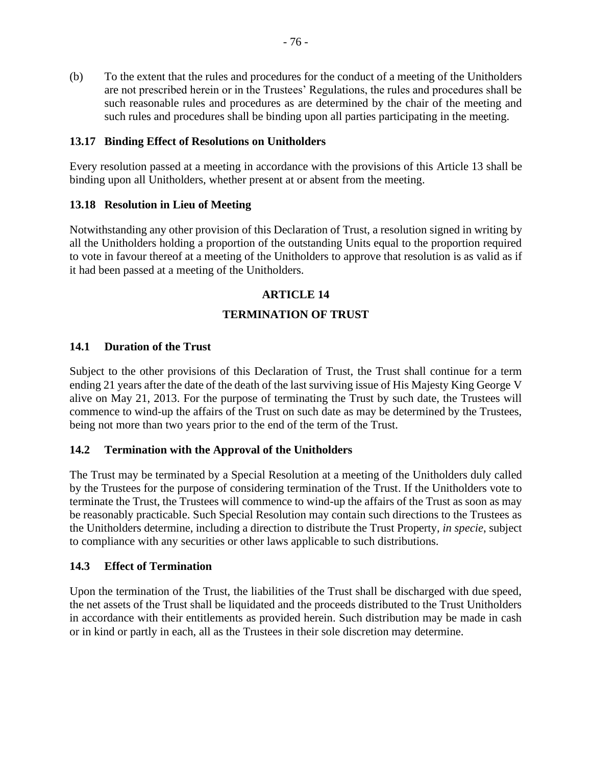(b) To the extent that the rules and procedures for the conduct of a meeting of the Unitholders are not prescribed herein or in the Trustees' Regulations, the rules and procedures shall be such reasonable rules and procedures as are determined by the chair of the meeting and such rules and procedures shall be binding upon all parties participating in the meeting.

### **13.17 Binding Effect of Resolutions on Unitholders**

Every resolution passed at a meeting in accordance with the provisions of this [Article](#page-72-2) 13 shall be binding upon all Unitholders, whether present at or absent from the meeting.

### **13.18 Resolution in Lieu of Meeting**

Notwithstanding any other provision of this Declaration of Trust, a resolution signed in writing by all the Unitholders holding a proportion of the outstanding Units equal to the proportion required to vote in favour thereof at a meeting of the Unitholders to approve that resolution is as valid as if it had been passed at a meeting of the Unitholders.

# **ARTICLE 14**

### **TERMINATION OF TRUST**

### **14.1 Duration of the Trust**

Subject to the other provisions of this Declaration of Trust, the Trust shall continue for a term ending 21 years after the date of the death of the last surviving issue of His Majesty King George V alive on May 21, 2013. For the purpose of terminating the Trust by such date, the Trustees will commence to wind-up the affairs of the Trust on such date as may be determined by the Trustees, being not more than two years prior to the end of the term of the Trust.

### <span id="page-81-0"></span>**14.2 Termination with the Approval of the Unitholders**

The Trust may be terminated by a Special Resolution at a meeting of the Unitholders duly called by the Trustees for the purpose of considering termination of the Trust. If the Unitholders vote to terminate the Trust, the Trustees will commence to wind-up the affairs of the Trust as soon as may be reasonably practicable. Such Special Resolution may contain such directions to the Trustees as the Unitholders determine, including a direction to distribute the Trust Property, *in specie*, subject to compliance with any securities or other laws applicable to such distributions.

### <span id="page-81-1"></span>**14.3 Effect of Termination**

Upon the termination of the Trust, the liabilities of the Trust shall be discharged with due speed, the net assets of the Trust shall be liquidated and the proceeds distributed to the Trust Unitholders in accordance with their entitlements as provided herein. Such distribution may be made in cash or in kind or partly in each, all as the Trustees in their sole discretion may determine.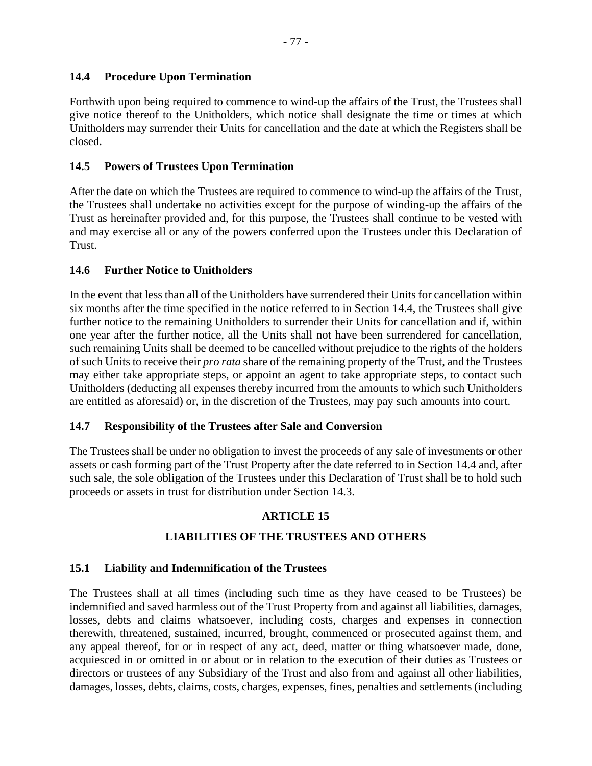<span id="page-82-0"></span>Forthwith upon being required to commence to wind-up the affairs of the Trust, the Trustees shall give notice thereof to the Unitholders, which notice shall designate the time or times at which Unitholders may surrender their Units for cancellation and the date at which the Registers shall be closed.

# **14.5 Powers of Trustees Upon Termination**

After the date on which the Trustees are required to commence to wind-up the affairs of the Trust, the Trustees shall undertake no activities except for the purpose of winding-up the affairs of the Trust as hereinafter provided and, for this purpose, the Trustees shall continue to be vested with and may exercise all or any of the powers conferred upon the Trustees under this Declaration of Trust.

# **14.6 Further Notice to Unitholders**

In the event that less than all of the Unitholders have surrendered their Units for cancellation within six months after the time specified in the notice referred to in Section [14.4,](#page-82-0) the Trustees shall give further notice to the remaining Unitholders to surrender their Units for cancellation and if, within one year after the further notice, all the Units shall not have been surrendered for cancellation, such remaining Units shall be deemed to be cancelled without prejudice to the rights of the holders of such Units to receive their *pro rata* share of the remaining property of the Trust, and the Trustees may either take appropriate steps, or appoint an agent to take appropriate steps, to contact such Unitholders (deducting all expenses thereby incurred from the amounts to which such Unitholders are entitled as aforesaid) or, in the discretion of the Trustees, may pay such amounts into court.

# **14.7 Responsibility of the Trustees after Sale and Conversion**

The Trustees shall be under no obligation to invest the proceeds of any sale of investments or other assets or cash forming part of the Trust Property after the date referred to in Section [14.4](#page-82-0) and, after such sale, the sole obligation of the Trustees under this Declaration of Trust shall be to hold such proceeds or assets in trust for distribution under Section [14.3.](#page-81-1)

# **ARTICLE 15**

# **LIABILITIES OF THE TRUSTEES AND OTHERS**

# <span id="page-82-1"></span>**15.1 Liability and Indemnification of the Trustees**

The Trustees shall at all times (including such time as they have ceased to be Trustees) be indemnified and saved harmless out of the Trust Property from and against all liabilities, damages, losses, debts and claims whatsoever, including costs, charges and expenses in connection therewith, threatened, sustained, incurred, brought, commenced or prosecuted against them, and any appeal thereof, for or in respect of any act, deed, matter or thing whatsoever made, done, acquiesced in or omitted in or about or in relation to the execution of their duties as Trustees or directors or trustees of any Subsidiary of the Trust and also from and against all other liabilities, damages, losses, debts, claims, costs, charges, expenses, fines, penalties and settlements (including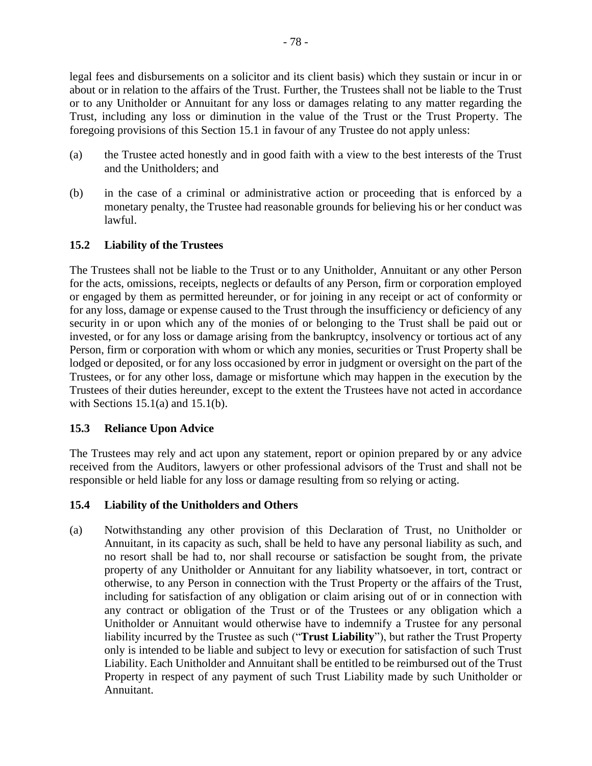legal fees and disbursements on a solicitor and its client basis) which they sustain or incur in or about or in relation to the affairs of the Trust. Further, the Trustees shall not be liable to the Trust or to any Unitholder or Annuitant for any loss or damages relating to any matter regarding the Trust, including any loss or diminution in the value of the Trust or the Trust Property. The foregoing provisions of this Section [15.1](#page-82-1) in favour of any Trustee do not apply unless:

- <span id="page-83-0"></span>(a) the Trustee acted honestly and in good faith with a view to the best interests of the Trust and the Unitholders; and
- <span id="page-83-1"></span>(b) in the case of a criminal or administrative action or proceeding that is enforced by a monetary penalty, the Trustee had reasonable grounds for believing his or her conduct was lawful.

# <span id="page-83-2"></span>**15.2 Liability of the Trustees**

The Trustees shall not be liable to the Trust or to any Unitholder, Annuitant or any other Person for the acts, omissions, receipts, neglects or defaults of any Person, firm or corporation employed or engaged by them as permitted hereunder, or for joining in any receipt or act of conformity or for any loss, damage or expense caused to the Trust through the insufficiency or deficiency of any security in or upon which any of the monies of or belonging to the Trust shall be paid out or invested, or for any loss or damage arising from the bankruptcy, insolvency or tortious act of any Person, firm or corporation with whom or which any monies, securities or Trust Property shall be lodged or deposited, or for any loss occasioned by error in judgment or oversight on the part of the Trustees, or for any other loss, damage or misfortune which may happen in the execution by the Trustees of their duties hereunder, except to the extent the Trustees have not acted in accordance with Sections  $15.1(a)$  and  $15.1(b)$ .

# **15.3 Reliance Upon Advice**

The Trustees may rely and act upon any statement, report or opinion prepared by or any advice received from the Auditors, lawyers or other professional advisors of the Trust and shall not be responsible or held liable for any loss or damage resulting from so relying or acting.

# **15.4 Liability of the Unitholders and Others**

(a) Notwithstanding any other provision of this Declaration of Trust, no Unitholder or Annuitant, in its capacity as such, shall be held to have any personal liability as such, and no resort shall be had to, nor shall recourse or satisfaction be sought from, the private property of any Unitholder or Annuitant for any liability whatsoever, in tort, contract or otherwise, to any Person in connection with the Trust Property or the affairs of the Trust, including for satisfaction of any obligation or claim arising out of or in connection with any contract or obligation of the Trust or of the Trustees or any obligation which a Unitholder or Annuitant would otherwise have to indemnify a Trustee for any personal liability incurred by the Trustee as such ("**Trust Liability**"), but rather the Trust Property only is intended to be liable and subject to levy or execution for satisfaction of such Trust Liability. Each Unitholder and Annuitant shall be entitled to be reimbursed out of the Trust Property in respect of any payment of such Trust Liability made by such Unitholder or Annuitant.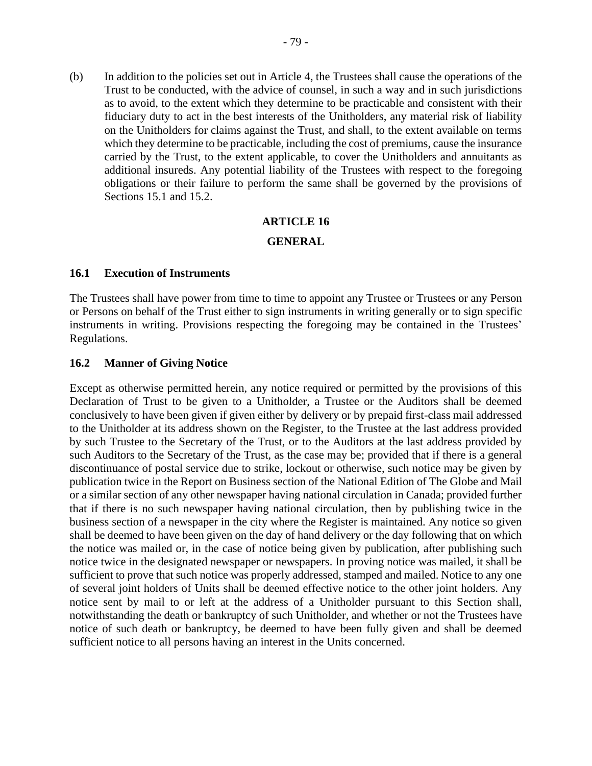(b) In addition to the policies set out in [Article](#page-36-0) 4, the Trustees shall cause the operations of the Trust to be conducted, with the advice of counsel, in such a way and in such jurisdictions as to avoid, to the extent which they determine to be practicable and consistent with their fiduciary duty to act in the best interests of the Unitholders, any material risk of liability on the Unitholders for claims against the Trust, and shall, to the extent available on terms which they determine to be practicable, including the cost of premiums, cause the insurance carried by the Trust, to the extent applicable, to cover the Unitholders and annuitants as additional insureds. Any potential liability of the Trustees with respect to the foregoing obligations or their failure to perform the same shall be governed by the provisions of Sections [15.1](#page-82-1) and [15.2.](#page-83-2)

### **ARTICLE 16**

### **GENERAL**

### **16.1 Execution of Instruments**

The Trustees shall have power from time to time to appoint any Trustee or Trustees or any Person or Persons on behalf of the Trust either to sign instruments in writing generally or to sign specific instruments in writing. Provisions respecting the foregoing may be contained in the Trustees' Regulations.

### **16.2 Manner of Giving Notice**

Except as otherwise permitted herein, any notice required or permitted by the provisions of this Declaration of Trust to be given to a Unitholder, a Trustee or the Auditors shall be deemed conclusively to have been given if given either by delivery or by prepaid first-class mail addressed to the Unitholder at its address shown on the Register, to the Trustee at the last address provided by such Trustee to the Secretary of the Trust, or to the Auditors at the last address provided by such Auditors to the Secretary of the Trust, as the case may be; provided that if there is a general discontinuance of postal service due to strike, lockout or otherwise, such notice may be given by publication twice in the Report on Business section of the National Edition of The Globe and Mail or a similar section of any other newspaper having national circulation in Canada; provided further that if there is no such newspaper having national circulation, then by publishing twice in the business section of a newspaper in the city where the Register is maintained. Any notice so given shall be deemed to have been given on the day of hand delivery or the day following that on which the notice was mailed or, in the case of notice being given by publication, after publishing such notice twice in the designated newspaper or newspapers. In proving notice was mailed, it shall be sufficient to prove that such notice was properly addressed, stamped and mailed. Notice to any one of several joint holders of Units shall be deemed effective notice to the other joint holders. Any notice sent by mail to or left at the address of a Unitholder pursuant to this Section shall, notwithstanding the death or bankruptcy of such Unitholder, and whether or not the Trustees have notice of such death or bankruptcy, be deemed to have been fully given and shall be deemed sufficient notice to all persons having an interest in the Units concerned.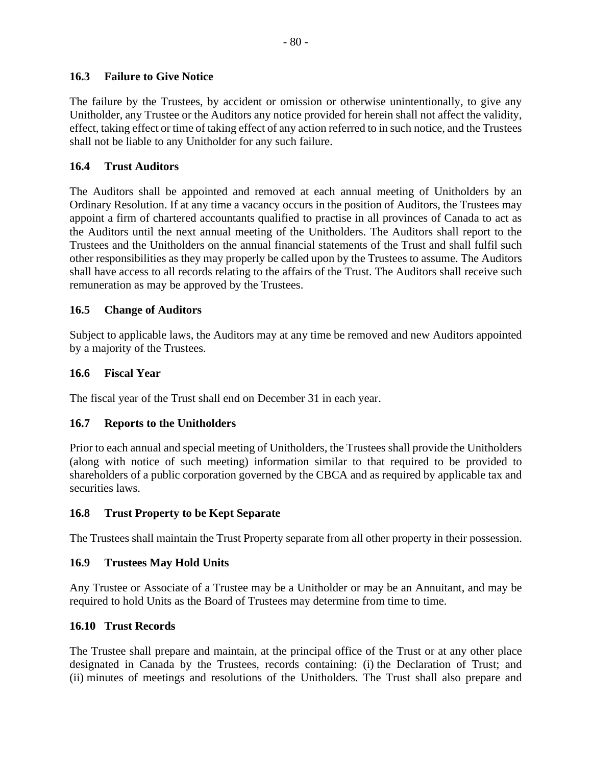# **16.3 Failure to Give Notice**

The failure by the Trustees, by accident or omission or otherwise unintentionally, to give any Unitholder, any Trustee or the Auditors any notice provided for herein shall not affect the validity, effect, taking effect or time of taking effect of any action referred to in such notice, and the Trustees shall not be liable to any Unitholder for any such failure.

### <span id="page-85-1"></span>**16.4 Trust Auditors**

The Auditors shall be appointed and removed at each annual meeting of Unitholders by an Ordinary Resolution. If at any time a vacancy occurs in the position of Auditors, the Trustees may appoint a firm of chartered accountants qualified to practise in all provinces of Canada to act as the Auditors until the next annual meeting of the Unitholders. The Auditors shall report to the Trustees and the Unitholders on the annual financial statements of the Trust and shall fulfil such other responsibilities as they may properly be called upon by the Trustees to assume. The Auditors shall have access to all records relating to the affairs of the Trust. The Auditors shall receive such remuneration as may be approved by the Trustees.

### **16.5 Change of Auditors**

Subject to applicable laws, the Auditors may at any time be removed and new Auditors appointed by a majority of the Trustees.

### **16.6 Fiscal Year**

The fiscal year of the Trust shall end on December 31 in each year.

### <span id="page-85-0"></span>**16.7 Reports to the Unitholders**

Prior to each annual and special meeting of Unitholders, the Trustees shall provide the Unitholders (along with notice of such meeting) information similar to that required to be provided to shareholders of a public corporation governed by the CBCA and as required by applicable tax and securities laws.

### **16.8 Trust Property to be Kept Separate**

The Trustees shall maintain the Trust Property separate from all other property in their possession.

### **16.9 Trustees May Hold Units**

Any Trustee or Associate of a Trustee may be a Unitholder or may be an Annuitant, and may be required to hold Units as the Board of Trustees may determine from time to time.

### **16.10 Trust Records**

The Trustee shall prepare and maintain, at the principal office of the Trust or at any other place designated in Canada by the Trustees, records containing: (i) the Declaration of Trust; and (ii) minutes of meetings and resolutions of the Unitholders. The Trust shall also prepare and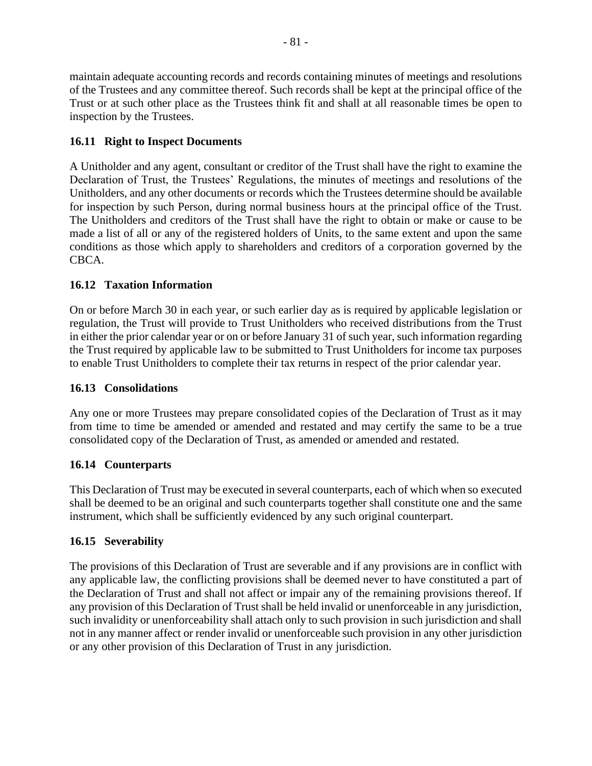maintain adequate accounting records and records containing minutes of meetings and resolutions of the Trustees and any committee thereof. Such records shall be kept at the principal office of the Trust or at such other place as the Trustees think fit and shall at all reasonable times be open to inspection by the Trustees.

# **16.11 Right to Inspect Documents**

A Unitholder and any agent, consultant or creditor of the Trust shall have the right to examine the Declaration of Trust, the Trustees' Regulations, the minutes of meetings and resolutions of the Unitholders, and any other documents or records which the Trustees determine should be available for inspection by such Person, during normal business hours at the principal office of the Trust. The Unitholders and creditors of the Trust shall have the right to obtain or make or cause to be made a list of all or any of the registered holders of Units, to the same extent and upon the same conditions as those which apply to shareholders and creditors of a corporation governed by the CBCA.

# **16.12 Taxation Information**

On or before March 30 in each year, or such earlier day as is required by applicable legislation or regulation, the Trust will provide to Trust Unitholders who received distributions from the Trust in either the prior calendar year or on or before January 31 of such year, such information regarding the Trust required by applicable law to be submitted to Trust Unitholders for income tax purposes to enable Trust Unitholders to complete their tax returns in respect of the prior calendar year.

# **16.13 Consolidations**

Any one or more Trustees may prepare consolidated copies of the Declaration of Trust as it may from time to time be amended or amended and restated and may certify the same to be a true consolidated copy of the Declaration of Trust, as amended or amended and restated.

# **16.14 Counterparts**

This Declaration of Trust may be executed in several counterparts, each of which when so executed shall be deemed to be an original and such counterparts together shall constitute one and the same instrument, which shall be sufficiently evidenced by any such original counterpart.

# **16.15 Severability**

The provisions of this Declaration of Trust are severable and if any provisions are in conflict with any applicable law, the conflicting provisions shall be deemed never to have constituted a part of the Declaration of Trust and shall not affect or impair any of the remaining provisions thereof. If any provision of this Declaration of Trust shall be held invalid or unenforceable in any jurisdiction, such invalidity or unenforceability shall attach only to such provision in such jurisdiction and shall not in any manner affect or render invalid or unenforceable such provision in any other jurisdiction or any other provision of this Declaration of Trust in any jurisdiction.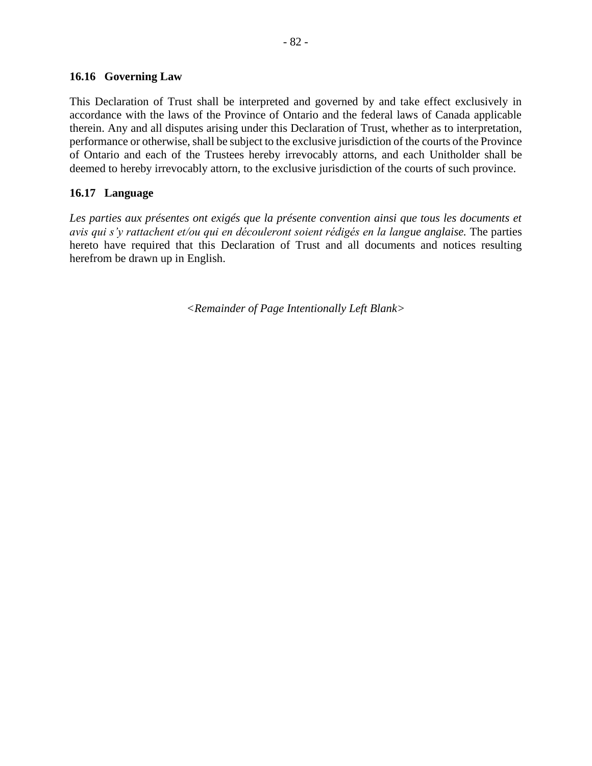### **16.16 Governing Law**

This Declaration of Trust shall be interpreted and governed by and take effect exclusively in accordance with the laws of the Province of Ontario and the federal laws of Canada applicable therein. Any and all disputes arising under this Declaration of Trust, whether as to interpretation, performance or otherwise, shall be subject to the exclusive jurisdiction of the courts of the Province of Ontario and each of the Trustees hereby irrevocably attorns, and each Unitholder shall be deemed to hereby irrevocably attorn, to the exclusive jurisdiction of the courts of such province.

### **16.17 Language**

Les parties aux présentes ont exigés que la présente convention ainsi que tous les documents et *avis qui s'y rattachent et/ou qui en découleront soient rédigés en la langue anglaise.* The parties hereto have required that this Declaration of Trust and all documents and notices resulting herefrom be drawn up in English.

*<Remainder of Page Intentionally Left Blank>*